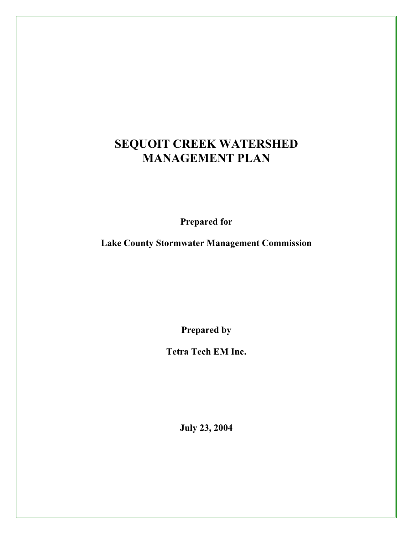# **SEQUOIT CREEK WATERSHED MANAGEMENT PLAN**

**Prepared for** 

**Lake County Stormwater Management Commission** 

**Prepared by** 

**Tetra Tech EM Inc.** 

**July 23, 2004**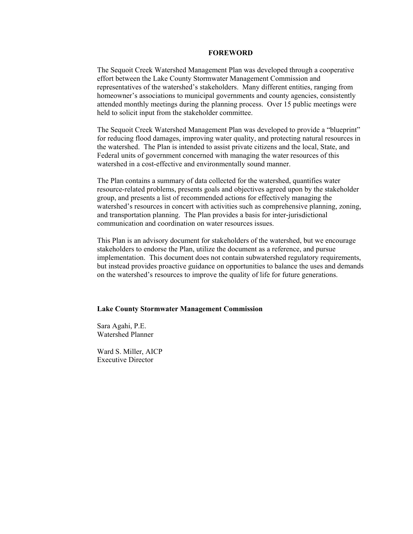#### **FOREWORD**

The Sequoit Creek Watershed Management Plan was developed through a cooperative effort between the Lake County Stormwater Management Commission and representatives of the watershed's stakeholders. Many different entities, ranging from homeowner's associations to municipal governments and county agencies, consistently attended monthly meetings during the planning process. Over 15 public meetings were held to solicit input from the stakeholder committee.

The Sequoit Creek Watershed Management Plan was developed to provide a "blueprint" for reducing flood damages, improving water quality, and protecting natural resources in the watershed. The Plan is intended to assist private citizens and the local, State, and Federal units of government concerned with managing the water resources of this watershed in a cost-effective and environmentally sound manner.

The Plan contains a summary of data collected for the watershed, quantifies water resource-related problems, presents goals and objectives agreed upon by the stakeholder group, and presents a list of recommended actions for effectively managing the watershed's resources in concert with activities such as comprehensive planning, zoning, and transportation planning. The Plan provides a basis for inter-jurisdictional communication and coordination on water resources issues.

This Plan is an advisory document for stakeholders of the watershed, but we encourage stakeholders to endorse the Plan, utilize the document as a reference, and pursue implementation. This document does not contain subwatershed regulatory requirements, but instead provides proactive guidance on opportunities to balance the uses and demands on the watershed's resources to improve the quality of life for future generations.

#### **Lake County Stormwater Management Commission**

Sara Agahi, P.E. Watershed Planner

Ward S. Miller, AICP Executive Director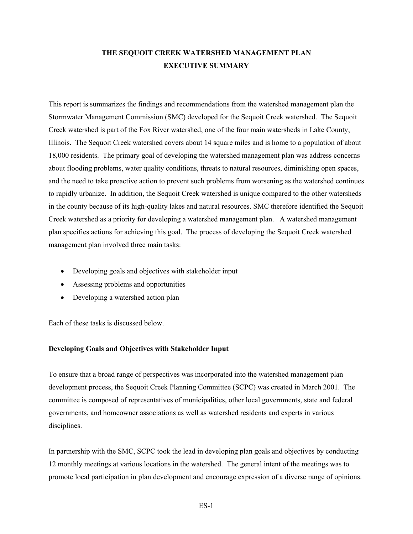# **THE SEQUOIT CREEK WATERSHED MANAGEMENT PLAN EXECUTIVE SUMMARY**

This report is summarizes the findings and recommendations from the watershed management plan the Stormwater Management Commission (SMC) developed for the Sequoit Creek watershed. The Sequoit Creek watershed is part of the Fox River watershed, one of the four main watersheds in Lake County, Illinois. The Sequoit Creek watershed covers about 14 square miles and is home to a population of about 18,000 residents. The primary goal of developing the watershed management plan was address concerns about flooding problems, water quality conditions, threats to natural resources, diminishing open spaces, and the need to take proactive action to prevent such problems from worsening as the watershed continues to rapidly urbanize. In addition, the Sequoit Creek watershed is unique compared to the other watersheds in the county because of its high-quality lakes and natural resources. SMC therefore identified the Sequoit Creek watershed as a priority for developing a watershed management plan. A watershed management plan specifies actions for achieving this goal. The process of developing the Sequoit Creek watershed management plan involved three main tasks:

- Developing goals and objectives with stakeholder input
- Assessing problems and opportunities
- Developing a watershed action plan

Each of these tasks is discussed below.

## **Developing Goals and Objectives with Stakeholder Input**

To ensure that a broad range of perspectives was incorporated into the watershed management plan development process, the Sequoit Creek Planning Committee (SCPC) was created in March 2001. The committee is composed of representatives of municipalities, other local governments, state and federal governments, and homeowner associations as well as watershed residents and experts in various disciplines.

In partnership with the SMC, SCPC took the lead in developing plan goals and objectives by conducting 12 monthly meetings at various locations in the watershed. The general intent of the meetings was to promote local participation in plan development and encourage expression of a diverse range of opinions.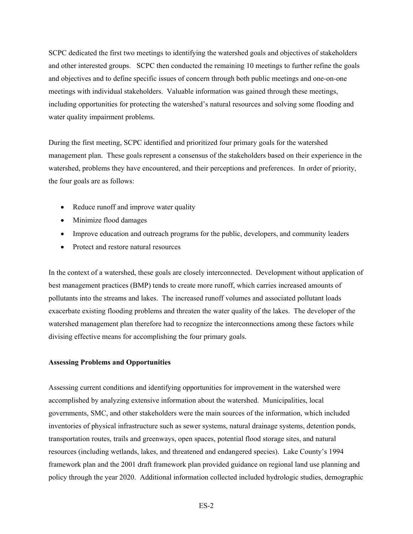SCPC dedicated the first two meetings to identifying the watershed goals and objectives of stakeholders and other interested groups. SCPC then conducted the remaining 10 meetings to further refine the goals and objectives and to define specific issues of concern through both public meetings and one-on-one meetings with individual stakeholders. Valuable information was gained through these meetings, including opportunities for protecting the watershed's natural resources and solving some flooding and water quality impairment problems.

During the first meeting, SCPC identified and prioritized four primary goals for the watershed management plan. These goals represent a consensus of the stakeholders based on their experience in the watershed, problems they have encountered, and their perceptions and preferences. In order of priority, the four goals are as follows:

- Reduce runoff and improve water quality
- Minimize flood damages
- Improve education and outreach programs for the public, developers, and community leaders
- Protect and restore natural resources

In the context of a watershed, these goals are closely interconnected. Development without application of best management practices (BMP) tends to create more runoff, which carries increased amounts of pollutants into the streams and lakes. The increased runoff volumes and associated pollutant loads exacerbate existing flooding problems and threaten the water quality of the lakes. The developer of the watershed management plan therefore had to recognize the interconnections among these factors while divising effective means for accomplishing the four primary goals.

#### **Assessing Problems and Opportunities**

Assessing current conditions and identifying opportunities for improvement in the watershed were accomplished by analyzing extensive information about the watershed. Municipalities, local governments, SMC, and other stakeholders were the main sources of the information, which included inventories of physical infrastructure such as sewer systems, natural drainage systems, detention ponds, transportation routes, trails and greenways, open spaces, potential flood storage sites, and natural resources (including wetlands, lakes, and threatened and endangered species). Lake County's 1994 framework plan and the 2001 draft framework plan provided guidance on regional land use planning and policy through the year 2020. Additional information collected included hydrologic studies, demographic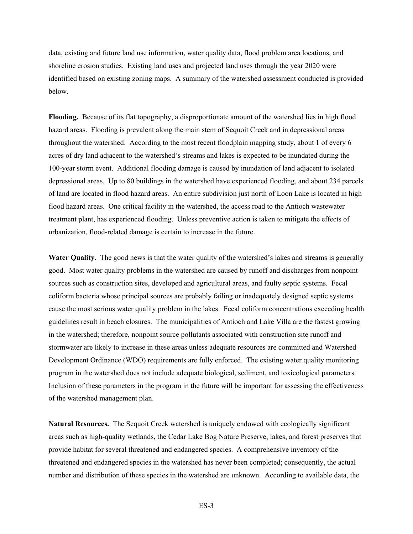data, existing and future land use information, water quality data, flood problem area locations, and shoreline erosion studies. Existing land uses and projected land uses through the year 2020 were identified based on existing zoning maps. A summary of the watershed assessment conducted is provided below.

**Flooding.** Because of its flat topography, a disproportionate amount of the watershed lies in high flood hazard areas. Flooding is prevalent along the main stem of Sequoit Creek and in depressional areas throughout the watershed. According to the most recent floodplain mapping study, about 1 of every 6 acres of dry land adjacent to the watershed's streams and lakes is expected to be inundated during the 100-year storm event. Additional flooding damage is caused by inundation of land adjacent to isolated depressional areas. Up to 80 buildings in the watershed have experienced flooding, and about 234 parcels of land are located in flood hazard areas. An entire subdivision just north of Loon Lake is located in high flood hazard areas. One critical facility in the watershed, the access road to the Antioch wastewater treatment plant, has experienced flooding. Unless preventive action is taken to mitigate the effects of urbanization, flood-related damage is certain to increase in the future.

**Water Quality.** The good news is that the water quality of the watershed's lakes and streams is generally good. Most water quality problems in the watershed are caused by runoff and discharges from nonpoint sources such as construction sites, developed and agricultural areas, and faulty septic systems. Fecal coliform bacteria whose principal sources are probably failing or inadequately designed septic systems cause the most serious water quality problem in the lakes. Fecal coliform concentrations exceeding health guidelines result in beach closures. The municipalities of Antioch and Lake Villa are the fastest growing in the watershed; therefore, nonpoint source pollutants associated with construction site runoff and stormwater are likely to increase in these areas unless adequate resources are committed and Watershed Development Ordinance (WDO) requirements are fully enforced. The existing water quality monitoring program in the watershed does not include adequate biological, sediment, and toxicological parameters. Inclusion of these parameters in the program in the future will be important for assessing the effectiveness of the watershed management plan.

**Natural Resources.** The Sequoit Creek watershed is uniquely endowed with ecologically significant areas such as high-quality wetlands, the Cedar Lake Bog Nature Preserve, lakes, and forest preserves that provide habitat for several threatened and endangered species. A comprehensive inventory of the threatened and endangered species in the watershed has never been completed; consequently, the actual number and distribution of these species in the watershed are unknown. According to available data, the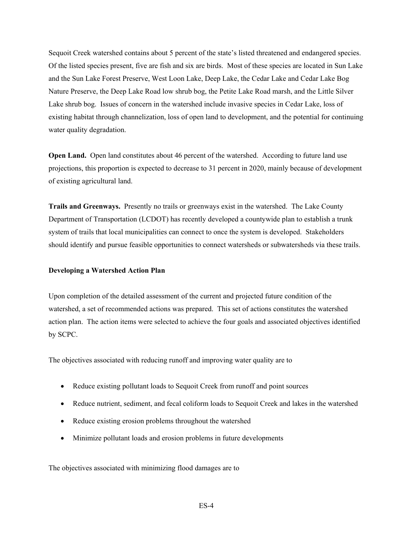Sequoit Creek watershed contains about 5 percent of the state's listed threatened and endangered species. Of the listed species present, five are fish and six are birds. Most of these species are located in Sun Lake and the Sun Lake Forest Preserve, West Loon Lake, Deep Lake, the Cedar Lake and Cedar Lake Bog Nature Preserve, the Deep Lake Road low shrub bog, the Petite Lake Road marsh, and the Little Silver Lake shrub bog. Issues of concern in the watershed include invasive species in Cedar Lake, loss of existing habitat through channelization, loss of open land to development, and the potential for continuing water quality degradation.

**Open Land.** Open land constitutes about 46 percent of the watershed. According to future land use projections, this proportion is expected to decrease to 31 percent in 2020, mainly because of development of existing agricultural land.

**Trails and Greenways.** Presently no trails or greenways exist in the watershed. The Lake County Department of Transportation (LCDOT) has recently developed a countywide plan to establish a trunk system of trails that local municipalities can connect to once the system is developed. Stakeholders should identify and pursue feasible opportunities to connect watersheds or subwatersheds via these trails.

#### **Developing a Watershed Action Plan**

Upon completion of the detailed assessment of the current and projected future condition of the watershed, a set of recommended actions was prepared. This set of actions constitutes the watershed action plan. The action items were selected to achieve the four goals and associated objectives identified by SCPC.

The objectives associated with reducing runoff and improving water quality are to

- Reduce existing pollutant loads to Sequoit Creek from runoff and point sources
- Reduce nutrient, sediment, and fecal coliform loads to Sequoit Creek and lakes in the watershed
- Reduce existing erosion problems throughout the watershed
- Minimize pollutant loads and erosion problems in future developments

The objectives associated with minimizing flood damages are to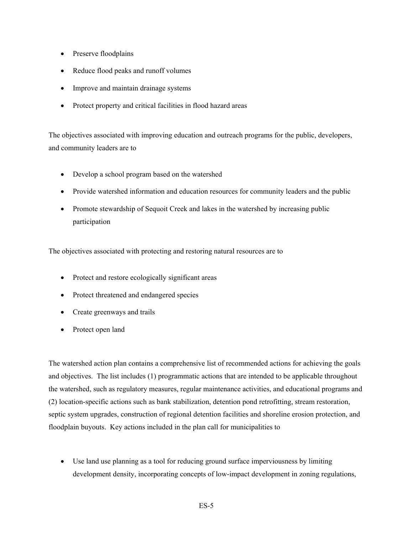- Preserve floodplains
- Reduce flood peaks and runoff volumes
- Improve and maintain drainage systems
- Protect property and critical facilities in flood hazard areas

The objectives associated with improving education and outreach programs for the public, developers, and community leaders are to

- Develop a school program based on the watershed
- Provide watershed information and education resources for community leaders and the public
- Promote stewardship of Sequoit Creek and lakes in the watershed by increasing public participation

The objectives associated with protecting and restoring natural resources are to

- Protect and restore ecologically significant areas
- Protect threatened and endangered species
- Create greenways and trails
- Protect open land

The watershed action plan contains a comprehensive list of recommended actions for achieving the goals and objectives. The list includes (1) programmatic actions that are intended to be applicable throughout the watershed, such as regulatory measures, regular maintenance activities, and educational programs and (2) location-specific actions such as bank stabilization, detention pond retrofitting, stream restoration, septic system upgrades, construction of regional detention facilities and shoreline erosion protection, and floodplain buyouts. Key actions included in the plan call for municipalities to

• Use land use planning as a tool for reducing ground surface imperviousness by limiting development density, incorporating concepts of low-impact development in zoning regulations,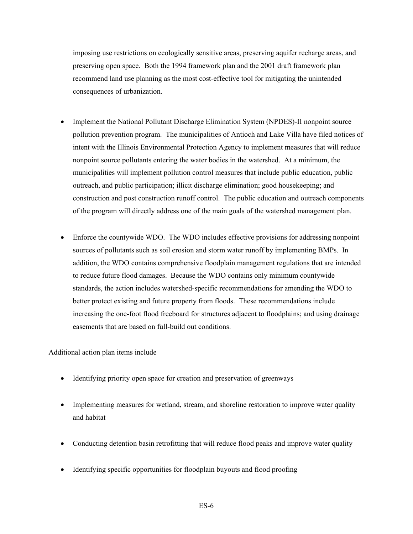imposing use restrictions on ecologically sensitive areas, preserving aquifer recharge areas, and preserving open space. Both the 1994 framework plan and the 2001 draft framework plan recommend land use planning as the most cost-effective tool for mitigating the unintended consequences of urbanization.

- Implement the National Pollutant Discharge Elimination System (NPDES)-II nonpoint source pollution prevention program. The municipalities of Antioch and Lake Villa have filed notices of intent with the Illinois Environmental Protection Agency to implement measures that will reduce nonpoint source pollutants entering the water bodies in the watershed. At a minimum, the municipalities will implement pollution control measures that include public education, public outreach, and public participation; illicit discharge elimination; good housekeeping; and construction and post construction runoff control. The public education and outreach components of the program will directly address one of the main goals of the watershed management plan.
- Enforce the countywide WDO. The WDO includes effective provisions for addressing nonpoint sources of pollutants such as soil erosion and storm water runoff by implementing BMPs. In addition, the WDO contains comprehensive floodplain management regulations that are intended to reduce future flood damages. Because the WDO contains only minimum countywide standards, the action includes watershed-specific recommendations for amending the WDO to better protect existing and future property from floods. These recommendations include increasing the one-foot flood freeboard for structures adjacent to floodplains; and using drainage easements that are based on full-build out conditions.

## Additional action plan items include

- Identifying priority open space for creation and preservation of greenways
- Implementing measures for wetland, stream, and shoreline restoration to improve water quality and habitat
- Conducting detention basin retrofitting that will reduce flood peaks and improve water quality
- Identifying specific opportunities for floodplain buyouts and flood proofing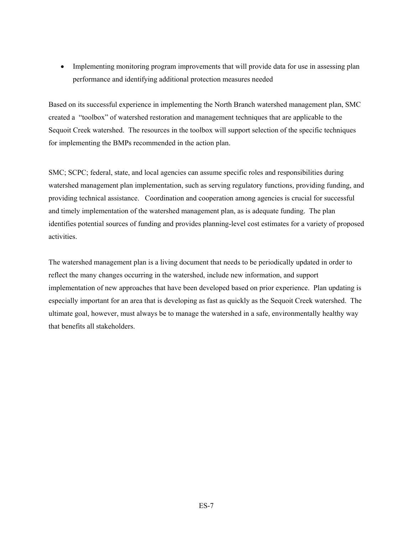• Implementing monitoring program improvements that will provide data for use in assessing plan performance and identifying additional protection measures needed

Based on its successful experience in implementing the North Branch watershed management plan, SMC created a "toolbox" of watershed restoration and management techniques that are applicable to the Sequoit Creek watershed. The resources in the toolbox will support selection of the specific techniques for implementing the BMPs recommended in the action plan.

SMC; SCPC; federal, state, and local agencies can assume specific roles and responsibilities during watershed management plan implementation, such as serving regulatory functions, providing funding, and providing technical assistance. Coordination and cooperation among agencies is crucial for successful and timely implementation of the watershed management plan, as is adequate funding. The plan identifies potential sources of funding and provides planning-level cost estimates for a variety of proposed activities.

The watershed management plan is a living document that needs to be periodically updated in order to reflect the many changes occurring in the watershed, include new information, and support implementation of new approaches that have been developed based on prior experience. Plan updating is especially important for an area that is developing as fast as quickly as the Sequoit Creek watershed. The ultimate goal, however, must always be to manage the watershed in a safe, environmentally healthy way that benefits all stakeholders.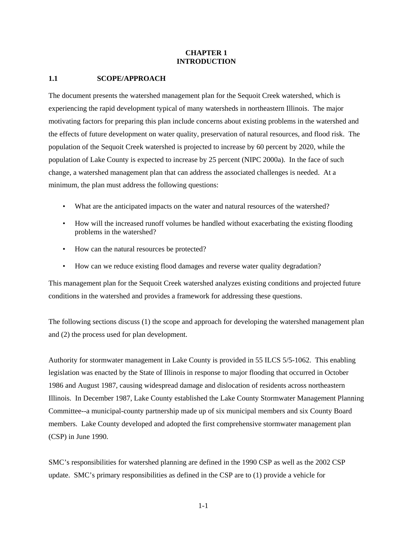#### **CHAPTER 1 INTRODUCTION**

## **1.1 SCOPE/APPROACH**

The document presents the watershed management plan for the Sequoit Creek watershed, which is experiencing the rapid development typical of many watersheds in northeastern Illinois. The major motivating factors for preparing this plan include concerns about existing problems in the watershed and the effects of future development on water quality, preservation of natural resources, and flood risk. The population of the Sequoit Creek watershed is projected to increase by 60 percent by 2020, while the population of Lake County is expected to increase by 25 percent (NIPC 2000a). In the face of such change, a watershed management plan that can address the associated challenges is needed. At a minimum, the plan must address the following questions:

- What are the anticipated impacts on the water and natural resources of the watershed?
- How will the increased runoff volumes be handled without exacerbating the existing flooding problems in the watershed?
- How can the natural resources be protected?
- How can we reduce existing flood damages and reverse water quality degradation?

This management plan for the Sequoit Creek watershed analyzes existing conditions and projected future conditions in the watershed and provides a framework for addressing these questions.

The following sections discuss (1) the scope and approach for developing the watershed management plan and (2) the process used for plan development.

Authority for stormwater management in Lake County is provided in 55 ILCS 5/5-1062. This enabling legislation was enacted by the State of Illinois in response to major flooding that occurred in October 1986 and August 1987, causing widespread damage and dislocation of residents across northeastern Illinois. In December 1987, Lake County established the Lake County Stormwater Management Planning Committee--a municipal-county partnership made up of six municipal members and six County Board members. Lake County developed and adopted the first comprehensive stormwater management plan (CSP) in June 1990.

SMC's responsibilities for watershed planning are defined in the 1990 CSP as well as the 2002 CSP update. SMC's primary responsibilities as defined in the CSP are to (1) provide a vehicle for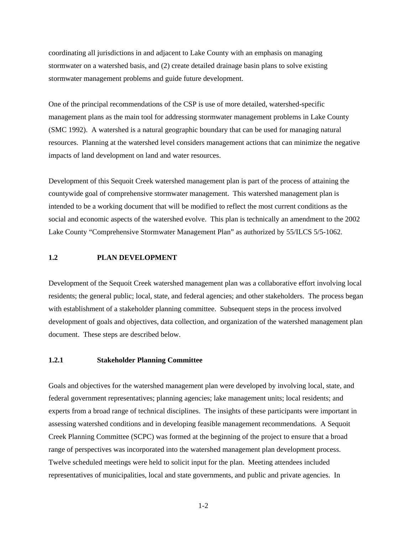coordinating all jurisdictions in and adjacent to Lake County with an emphasis on managing stormwater on a watershed basis, and (2) create detailed drainage basin plans to solve existing stormwater management problems and guide future development.

One of the principal recommendations of the CSP is use of more detailed, watershed-specific management plans as the main tool for addressing stormwater management problems in Lake County (SMC 1992). A watershed is a natural geographic boundary that can be used for managing natural resources. Planning at the watershed level considers management actions that can minimize the negative impacts of land development on land and water resources.

Development of this Sequoit Creek watershed management plan is part of the process of attaining the countywide goal of comprehensive stormwater management. This watershed management plan is intended to be a working document that will be modified to reflect the most current conditions as the social and economic aspects of the watershed evolve. This plan is technically an amendment to the 2002 Lake County "Comprehensive Stormwater Management Plan" as authorized by 55/ILCS 5/5-1062.

### **1.2 PLAN DEVELOPMENT**

Development of the Sequoit Creek watershed management plan was a collaborative effort involving local residents; the general public; local, state, and federal agencies; and other stakeholders. The process began with establishment of a stakeholder planning committee. Subsequent steps in the process involved development of goals and objectives, data collection, and organization of the watershed management plan document. These steps are described below.

#### **1.2.1 Stakeholder Planning Committee**

Goals and objectives for the watershed management plan were developed by involving local, state, and federal government representatives; planning agencies; lake management units; local residents; and experts from a broad range of technical disciplines. The insights of these participants were important in assessing watershed conditions and in developing feasible management recommendations. A Sequoit Creek Planning Committee (SCPC) was formed at the beginning of the project to ensure that a broad range of perspectives was incorporated into the watershed management plan development process. Twelve scheduled meetings were held to solicit input for the plan. Meeting attendees included representatives of municipalities, local and state governments, and public and private agencies. In

1-2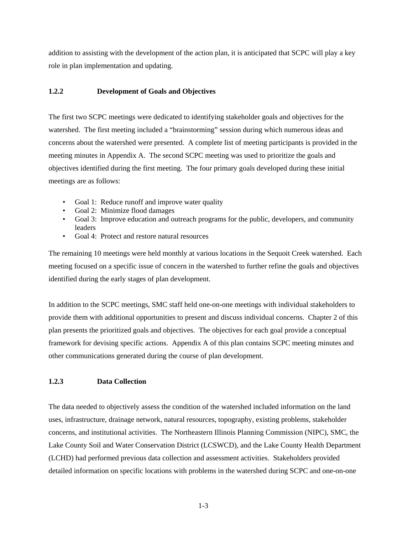addition to assisting with the development of the action plan, it is anticipated that SCPC will play a key role in plan implementation and updating.

### **1.2.2 Development of Goals and Objectives**

The first two SCPC meetings were dedicated to identifying stakeholder goals and objectives for the watershed. The first meeting included a "brainstorming" session during which numerous ideas and concerns about the watershed were presented. A complete list of meeting participants is provided in the meeting minutes in Appendix A. The second SCPC meeting was used to prioritize the goals and objectives identified during the first meeting. The four primary goals developed during these initial meetings are as follows:

- Goal 1: Reduce runoff and improve water quality
- Goal 2: Minimize flood damages
- Goal 3: Improve education and outreach programs for the public, developers, and community leaders
- Goal 4: Protect and restore natural resources

The remaining 10 meetings were held monthly at various locations in the Sequoit Creek watershed. Each meeting focused on a specific issue of concern in the watershed to further refine the goals and objectives identified during the early stages of plan development.

In addition to the SCPC meetings, SMC staff held one-on-one meetings with individual stakeholders to provide them with additional opportunities to present and discuss individual concerns. Chapter 2 of this plan presents the prioritized goals and objectives. The objectives for each goal provide a conceptual framework for devising specific actions. Appendix A of this plan contains SCPC meeting minutes and other communications generated during the course of plan development.

#### **1.2.3 Data Collection**

The data needed to objectively assess the condition of the watershed included information on the land uses, infrastructure, drainage network, natural resources, topography, existing problems, stakeholder concerns, and institutional activities. The Northeastern Illinois Planning Commission (NIPC), SMC, the Lake County Soil and Water Conservation District (LCSWCD), and the Lake County Health Department (LCHD) had performed previous data collection and assessment activities. Stakeholders provided detailed information on specific locations with problems in the watershed during SCPC and one-on-one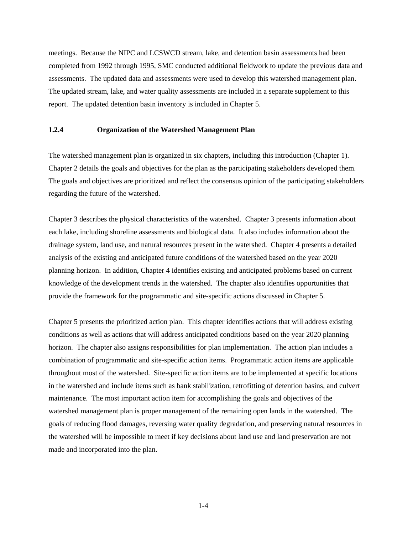meetings. Because the NIPC and LCSWCD stream, lake, and detention basin assessments had been completed from 1992 through 1995, SMC conducted additional fieldwork to update the previous data and assessments. The updated data and assessments were used to develop this watershed management plan. The updated stream, lake, and water quality assessments are included in a separate supplement to this report. The updated detention basin inventory is included in Chapter 5.

#### **1.2.4 Organization of the Watershed Management Plan**

The watershed management plan is organized in six chapters, including this introduction (Chapter 1). Chapter 2 details the goals and objectives for the plan as the participating stakeholders developed them. The goals and objectives are prioritized and reflect the consensus opinion of the participating stakeholders regarding the future of the watershed.

Chapter 3 describes the physical characteristics of the watershed. Chapter 3 presents information about each lake, including shoreline assessments and biological data. It also includes information about the drainage system, land use, and natural resources present in the watershed. Chapter 4 presents a detailed analysis of the existing and anticipated future conditions of the watershed based on the year 2020 planning horizon. In addition, Chapter 4 identifies existing and anticipated problems based on current knowledge of the development trends in the watershed. The chapter also identifies opportunities that provide the framework for the programmatic and site-specific actions discussed in Chapter 5.

Chapter 5 presents the prioritized action plan. This chapter identifies actions that will address existing conditions as well as actions that will address anticipated conditions based on the year 2020 planning horizon. The chapter also assigns responsibilities for plan implementation. The action plan includes a combination of programmatic and site-specific action items. Programmatic action items are applicable throughout most of the watershed. Site-specific action items are to be implemented at specific locations in the watershed and include items such as bank stabilization, retrofitting of detention basins, and culvert maintenance. The most important action item for accomplishing the goals and objectives of the watershed management plan is proper management of the remaining open lands in the watershed. The goals of reducing flood damages, reversing water quality degradation, and preserving natural resources in the watershed will be impossible to meet if key decisions about land use and land preservation are not made and incorporated into the plan.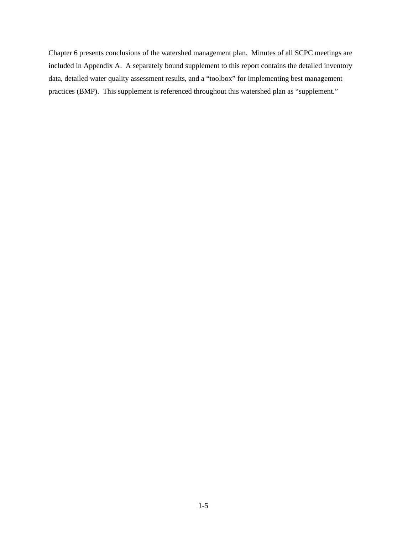Chapter 6 presents conclusions of the watershed management plan. Minutes of all SCPC meetings are included in Appendix A. A separately bound supplement to this report contains the detailed inventory data, detailed water quality assessment results, and a "toolbox" for implementing best management practices (BMP). This supplement is referenced throughout this watershed plan as "supplement."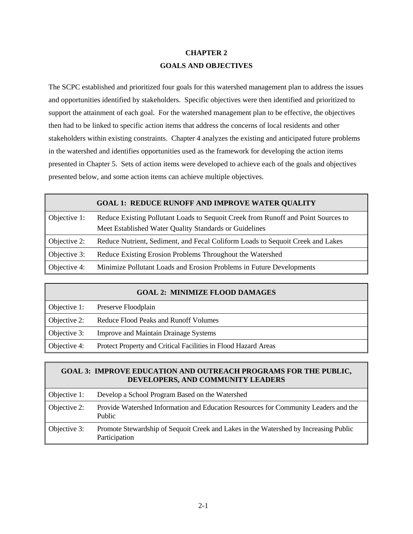# **CHAPTER 2 GOALS AND OBJECTIVES**

The SCPC established and prioritized four goals for this watershed management plan to address the issues and opportunities identified by stakeholders. Specific objectives were then identified and prioritized to support the attainment of each goal. For the watershed management plan to be effective, the objectives then had to be linked to specific action items that address the concerns of local residents and other stakeholders within existing constraints. Chapter 4 analyzes the existing and anticipated future problems in the watershed and identifies opportunities used as the framework for developing the action items presented in Chapter 5. Sets of action items were developed to achieve each of the goals and objectives presented below, and some action items can achieve multiple objectives.

|              | <b>GOAL 1: REDUCE RUNOFF AND IMPROVE WATER QUALITY</b>                                                                                      |
|--------------|---------------------------------------------------------------------------------------------------------------------------------------------|
| Objective 1: | Reduce Existing Pollutant Loads to Sequoit Creek from Runoff and Point Sources to<br>Meet Established Water Quality Standards or Guidelines |
| Objective 2: | Reduce Nutrient, Sediment, and Fecal Coliform Loads to Sequoit Creek and Lakes                                                              |
| Objective 3: | Reduce Existing Erosion Problems Throughout the Watershed                                                                                   |
| Objective 4: | Minimize Pollutant Loads and Erosion Problems in Future Developments                                                                        |

## **GOAL 2: MINIMIZE FLOOD DAMAGES**

|              | Objective 1: Preserve Floodplain                               |
|--------------|----------------------------------------------------------------|
| Objective 2: | Reduce Flood Peaks and Runoff Volumes                          |
| Objective 3: | <b>Improve and Maintain Drainage Systems</b>                   |
| Objective 4: | Protect Property and Critical Facilities in Flood Hazard Areas |

# **GOAL 3: IMPROVE EDUCATION AND OUTREACH PROGRAMS FOR THE PUBLIC, DEVELOPERS, AND COMMUNITY LEADERS**

| Objective 1: | Develop a School Program Based on the Watershed                                                       |
|--------------|-------------------------------------------------------------------------------------------------------|
| Objective 2: | Provide Watershed Information and Education Resources for Community Leaders and the<br><b>Public</b>  |
| Objective 3: | Promote Stewardship of Sequoit Creek and Lakes in the Watershed by Increasing Public<br>Participation |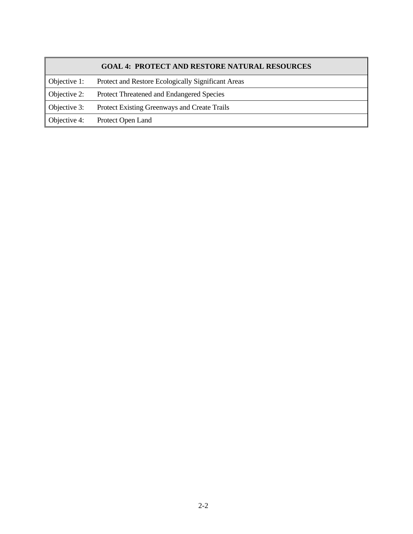# **GOAL 4: PROTECT AND RESTORE NATURAL RESOURCES**

Objective 1: Protect and Restore Ecologically Significant Areas

Objective 2: Protect Threatened and Endangered Species

Objective 3: Protect Existing Greenways and Create Trails

Objective 4: Protect Open Land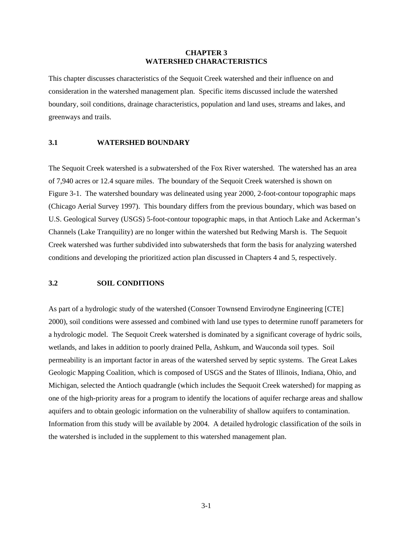#### **CHAPTER 3 WATERSHED CHARACTERISTICS**

This chapter discusses characteristics of the Sequoit Creek watershed and their influence on and consideration in the watershed management plan. Specific items discussed include the watershed boundary, soil conditions, drainage characteristics, population and land uses, streams and lakes, and greenways and trails.

### **3.1 WATERSHED BOUNDARY**

The Sequoit Creek watershed is a subwatershed of the Fox River watershed. The watershed has an area of 7,940 acres or 12.4 square miles. The boundary of the Sequoit Creek watershed is shown on Figure 3-1. The watershed boundary was delineated using year 2000, 2-foot-contour topographic maps (Chicago Aerial Survey 1997). This boundary differs from the previous boundary, which was based on U.S. Geological Survey (USGS) 5-foot-contour topographic maps, in that Antioch Lake and Ackerman's Channels (Lake Tranquility) are no longer within the watershed but Redwing Marsh is. The Sequoit Creek watershed was further subdivided into subwatersheds that form the basis for analyzing watershed conditions and developing the prioritized action plan discussed in Chapters 4 and 5, respectively.

#### **3.2 SOIL CONDITIONS**

As part of a hydrologic study of the watershed (Consoer Townsend Envirodyne Engineering [CTE] 2000), soil conditions were assessed and combined with land use types to determine runoff parameters for a hydrologic model. The Sequoit Creek watershed is dominated by a significant coverage of hydric soils, wetlands, and lakes in addition to poorly drained Pella, Ashkum, and Wauconda soil types. Soil permeability is an important factor in areas of the watershed served by septic systems. The Great Lakes Geologic Mapping Coalition, which is composed of USGS and the States of Illinois, Indiana, Ohio, and Michigan, selected the Antioch quadrangle (which includes the Sequoit Creek watershed) for mapping as one of the high-priority areas for a program to identify the locations of aquifer recharge areas and shallow aquifers and to obtain geologic information on the vulnerability of shallow aquifers to contamination. Information from this study will be available by 2004. A detailed hydrologic classification of the soils in the watershed is included in the supplement to this watershed management plan.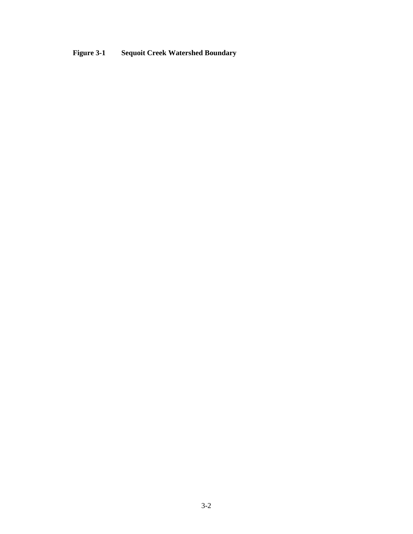# **Figure 3-1 Sequoit Creek Watershed Boundary**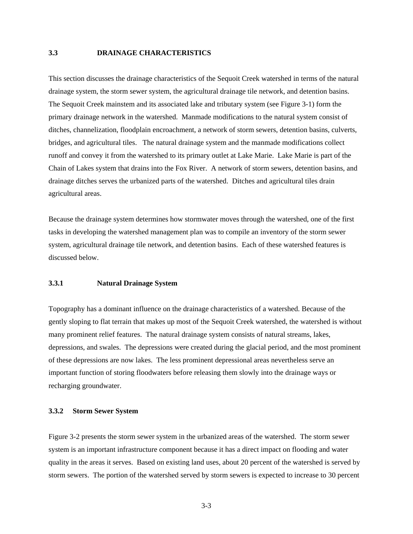#### **3.3 DRAINAGE CHARACTERISTICS**

This section discusses the drainage characteristics of the Sequoit Creek watershed in terms of the natural drainage system, the storm sewer system, the agricultural drainage tile network, and detention basins. The Sequoit Creek mainstem and its associated lake and tributary system (see Figure 3-1) form the primary drainage network in the watershed. Manmade modifications to the natural system consist of ditches, channelization, floodplain encroachment, a network of storm sewers, detention basins, culverts, bridges, and agricultural tiles. The natural drainage system and the manmade modifications collect runoff and convey it from the watershed to its primary outlet at Lake Marie. Lake Marie is part of the Chain of Lakes system that drains into the Fox River. A network of storm sewers, detention basins, and drainage ditches serves the urbanized parts of the watershed. Ditches and agricultural tiles drain agricultural areas.

Because the drainage system determines how stormwater moves through the watershed, one of the first tasks in developing the watershed management plan was to compile an inventory of the storm sewer system, agricultural drainage tile network, and detention basins. Each of these watershed features is discussed below.

### **3.3.1 Natural Drainage System**

Topography has a dominant influence on the drainage characteristics of a watershed. Because of the gently sloping to flat terrain that makes up most of the Sequoit Creek watershed, the watershed is without many prominent relief features. The natural drainage system consists of natural streams, lakes, depressions, and swales. The depressions were created during the glacial period, and the most prominent of these depressions are now lakes. The less prominent depressional areas nevertheless serve an important function of storing floodwaters before releasing them slowly into the drainage ways or recharging groundwater.

#### **3.3.2 Storm Sewer System**

Figure 3-2 presents the storm sewer system in the urbanized areas of the watershed. The storm sewer system is an important infrastructure component because it has a direct impact on flooding and water quality in the areas it serves. Based on existing land uses, about 20 percent of the watershed is served by storm sewers. The portion of the watershed served by storm sewers is expected to increase to 30 percent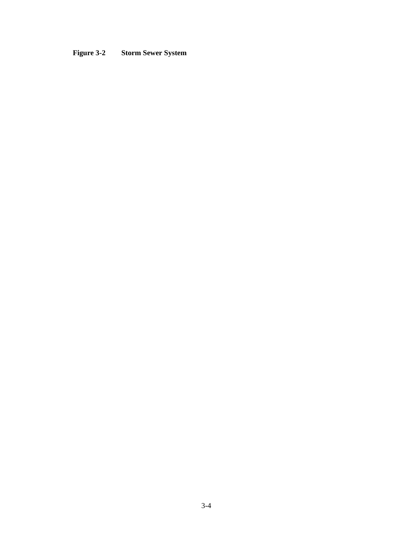# **Figure 3-2 Storm Sewer System**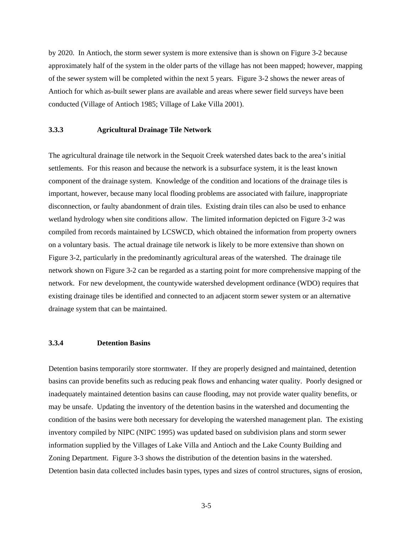by 2020. In Antioch, the storm sewer system is more extensive than is shown on Figure 3-2 because approximately half of the system in the older parts of the village has not been mapped; however, mapping of the sewer system will be completed within the next 5 years. Figure 3-2 shows the newer areas of Antioch for which as-built sewer plans are available and areas where sewer field surveys have been conducted (Village of Antioch 1985; Village of Lake Villa 2001).

### **3.3.3 Agricultural Drainage Tile Network**

The agricultural drainage tile network in the Sequoit Creek watershed dates back to the area's initial settlements. For this reason and because the network is a subsurface system, it is the least known component of the drainage system. Knowledge of the condition and locations of the drainage tiles is important, however, because many local flooding problems are associated with failure, inappropriate disconnection, or faulty abandonment of drain tiles. Existing drain tiles can also be used to enhance wetland hydrology when site conditions allow. The limited information depicted on Figure 3-2 was compiled from records maintained by LCSWCD, which obtained the information from property owners on a voluntary basis. The actual drainage tile network is likely to be more extensive than shown on Figure 3-2, particularly in the predominantly agricultural areas of the watershed. The drainage tile network shown on Figure 3-2 can be regarded as a starting point for more comprehensive mapping of the network. For new development, the countywide watershed development ordinance (WDO) requires that existing drainage tiles be identified and connected to an adjacent storm sewer system or an alternative drainage system that can be maintained.

#### **3.3.4 Detention Basins**

Detention basins temporarily store stormwater. If they are properly designed and maintained, detention basins can provide benefits such as reducing peak flows and enhancing water quality. Poorly designed or inadequately maintained detention basins can cause flooding, may not provide water quality benefits, or may be unsafe. Updating the inventory of the detention basins in the watershed and documenting the condition of the basins were both necessary for developing the watershed management plan. The existing inventory compiled by NIPC (NIPC 1995) was updated based on subdivision plans and storm sewer information supplied by the Villages of Lake Villa and Antioch and the Lake County Building and Zoning Department. Figure 3-3 shows the distribution of the detention basins in the watershed. Detention basin data collected includes basin types, types and sizes of control structures, signs of erosion,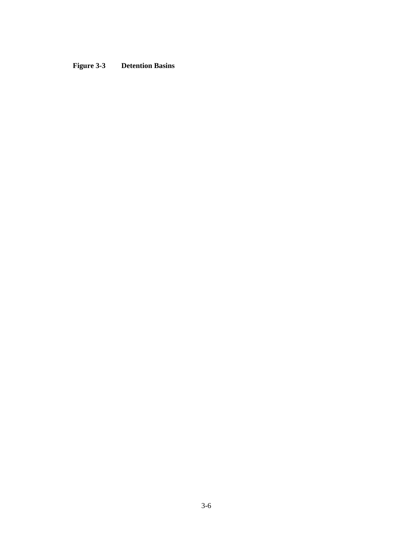# **Figure 3-3 Detention Basins**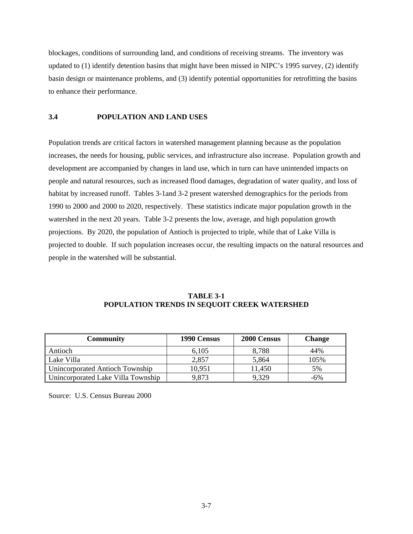blockages, conditions of surrounding land, and conditions of receiving streams. The inventory was updated to (1) identify detention basins that might have been missed in NIPC's 1995 survey, (2) identify basin design or maintenance problems, and (3) identify potential opportunities for retrofitting the basins to enhance their performance.

#### **3.4 POPULATION AND LAND USES**

Population trends are critical factors in watershed management planning because as the population increases, the needs for housing, public services, and infrastructure also increase. Population growth and development are accompanied by changes in land use, which in turn can have unintended impacts on people and natural resources, such as increased flood damages, degradation of water quality, and loss of habitat by increased runoff. Tables 3-1and 3-2 present watershed demographics for the periods from 1990 to 2000 and 2000 to 2020, respectively. These statistics indicate major population growth in the watershed in the next 20 years. Table 3-2 presents the low, average, and high population growth projections. By 2020, the population of Antioch is projected to triple, while that of Lake Villa is projected to double. If such population increases occur, the resulting impacts on the natural resources and people in the watershed will be substantial.

#### **TABLE 3-1 POPULATION TRENDS IN SEQUOIT CREEK WATERSHED**

| Community                          | 1990 Census | 2000 Census | <b>Change</b> |
|------------------------------------|-------------|-------------|---------------|
| Antioch                            | 6.105       | 8,788       | 44%           |
| Lake Villa                         | 2,857       | 5,864       | 105%          |
| Unincorporated Antioch Township    | 10,951      | 11,450      | 5%            |
| Unincorporated Lake Villa Township | 9,873       | 9,329       | $-6%$         |

Source: U.S. Census Bureau 2000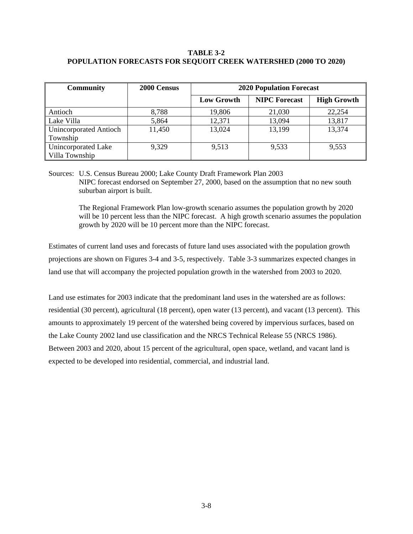## **TABLE 3-2 POPULATION FORECASTS FOR SEQUOIT CREEK WATERSHED (2000 TO 2020)**

| <b>Community</b>       | 2000 Census | <b>2020 Population Forecast</b> |                      |                    |  |
|------------------------|-------------|---------------------------------|----------------------|--------------------|--|
|                        |             | <b>Low Growth</b>               | <b>NIPC Forecast</b> | <b>High Growth</b> |  |
| Antioch                | 8,788       | 19,806                          | 21,030               | 22,254             |  |
| Lake Villa             | 5,864       | 12,371                          | 13,094               | 13,817             |  |
| Unincorporated Antioch | 11,450      | 13,024                          | 13,199               | 13,374             |  |
| Township               |             |                                 |                      |                    |  |
| Unincorporated Lake    | 9,329       | 9,513                           | 9,533                | 9,553              |  |
| Villa Township         |             |                                 |                      |                    |  |

Sources: U.S. Census Bureau 2000; Lake County Draft Framework Plan 2003 NIPC forecast endorsed on September 27, 2000, based on the assumption that no new south suburban airport is built.

 The Regional Framework Plan low-growth scenario assumes the population growth by 2020 will be 10 percent less than the NIPC forecast. A high growth scenario assumes the population growth by 2020 will be 10 percent more than the NIPC forecast.

Estimates of current land uses and forecasts of future land uses associated with the population growth projections are shown on Figures 3-4 and 3-5, respectively. Table 3-3 summarizes expected changes in land use that will accompany the projected population growth in the watershed from 2003 to 2020.

Land use estimates for 2003 indicate that the predominant land uses in the watershed are as follows: residential (30 percent), agricultural (18 percent), open water (13 percent), and vacant (13 percent). This amounts to approximately 19 percent of the watershed being covered by impervious surfaces, based on the Lake County 2002 land use classification and the NRCS Technical Release 55 (NRCS 1986). Between 2003 and 2020, about 15 percent of the agricultural, open space, wetland, and vacant land is expected to be developed into residential, commercial, and industrial land.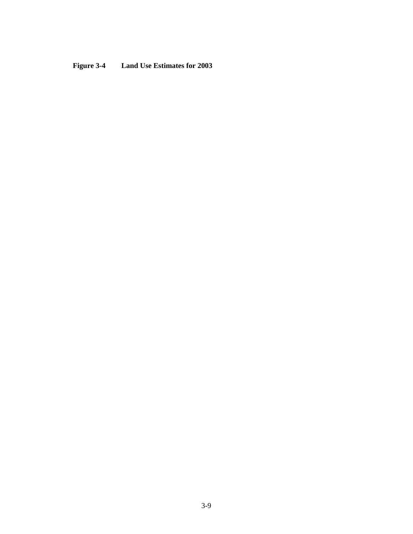**Figure 3-4 Land Use Estimates for 2003**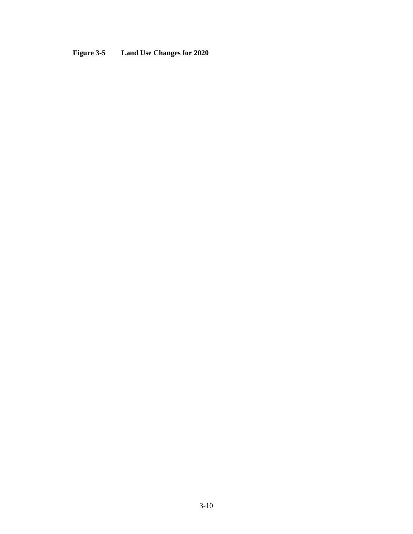# **Figure 3-5 Land Use Changes for 2020**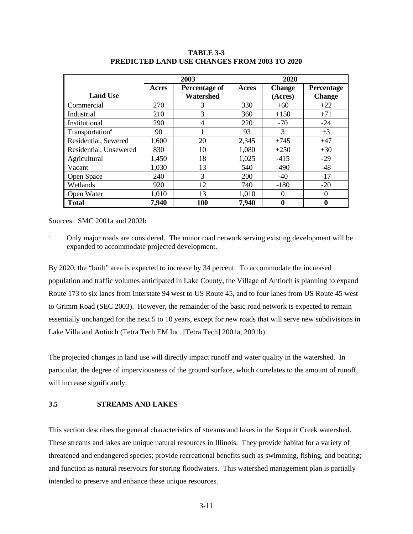|                             | 2003  |               | 2020       |               |                   |
|-----------------------------|-------|---------------|------------|---------------|-------------------|
|                             | Acres | Percentage of | Acres      | <b>Change</b> | <b>Percentage</b> |
| <b>Land Use</b>             |       | Watershed     |            | (Acres)       | <b>Change</b>     |
| Commercial                  | 270   | 3             | 330        | $+60$         | $+22$             |
| Industrial                  | 210   | 3             | 360        | $+150$        | $+71$             |
| Institutional               | 290   | 4             | 220        | $-70$         | $-24$             |
| Transportation <sup>a</sup> | 90    |               | 93         | 3             | $+3$              |
| Residential, Sewered        | 1,600 | 20            | 2,345      | $+745$        | $+47$             |
| Residential, Unsewered      | 830   | 10            | 1,080      | $+250$        | $+30$             |
| Agricultural                | 1,450 | 18            | 1,025      | $-415$        | $-29$             |
| Vacant                      | 1,030 | 13            | 540        | $-490$        | -48               |
| Open Space                  | 240   | 3             | <b>200</b> | $-40$         | $-17$             |
| Wetlands                    | 920   | 12            | 740        | $-180$        | $-20$             |
| Open Water                  | 1,010 | 13            | 1,010      | $\Omega$      | $\Omega$          |
| <b>Total</b>                | 7,940 | 100           | 7,940      | $\mathbf{0}$  | $\mathbf 0$       |

#### **TABLE 3-3 PREDICTED LAND USE CHANGES FROM 2003 TO 2020**

Sources: SMC 2001a and 2002b

a Only major roads are considered. The minor road network serving existing development will be expanded to accommodate projected development.

By 2020, the "built" area is expected to increase by 34 percent. To accommodate the increased population and traffic volumes anticipated in Lake County, the Village of Antioch is planning to expand Route 173 to six lanes from Interstate 94 west to US Route 45, and to four lanes from US Route 45 west to Grimm Road (SEC 2003). However, the remainder of the basic road network is expected to remain essentially unchanged for the next 5 to 10 years, except for new roads that will serve new subdivisions in Lake Villa and Antioch (Tetra Tech EM Inc. [Tetra Tech] 2001a, 2001b).

The projected changes in land use will directly impact runoff and water quality in the watershed. In particular, the degree of imperviousness of the ground surface, which correlates to the amount of runoff, will increase significantly.

#### **3.5 STREAMS AND LAKES**

This section describes the general characteristics of streams and lakes in the Sequoit Creek watershed. These streams and lakes are unique natural resources in Illinois. They provide habitat for a variety of threatened and endangered species; provide recreational benefits such as swimming, fishing, and boating; and function as natural reservoirs for storing floodwaters. This watershed management plan is partially intended to preserve and enhance these unique resources.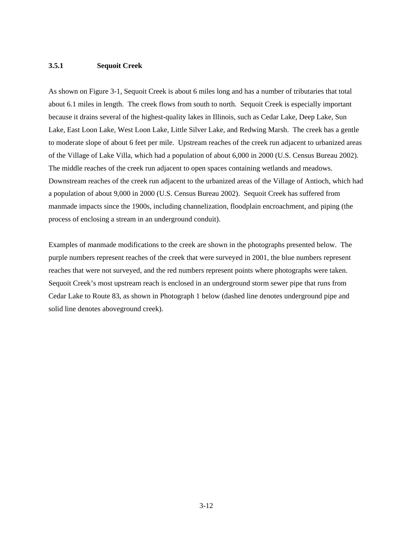#### **3.5.1 Sequoit Creek**

As shown on Figure 3-1, Sequoit Creek is about 6 miles long and has a number of tributaries that total about 6.1 miles in length. The creek flows from south to north. Sequoit Creek is especially important because it drains several of the highest-quality lakes in Illinois, such as Cedar Lake, Deep Lake, Sun Lake, East Loon Lake, West Loon Lake, Little Silver Lake, and Redwing Marsh. The creek has a gentle to moderate slope of about 6 feet per mile. Upstream reaches of the creek run adjacent to urbanized areas of the Village of Lake Villa, which had a population of about 6,000 in 2000 (U.S. Census Bureau 2002). The middle reaches of the creek run adjacent to open spaces containing wetlands and meadows. Downstream reaches of the creek run adjacent to the urbanized areas of the Village of Antioch, which had a population of about 9,000 in 2000 (U.S. Census Bureau 2002). Sequoit Creek has suffered from manmade impacts since the 1900s, including channelization, floodplain encroachment, and piping (the process of enclosing a stream in an underground conduit).

Examples of manmade modifications to the creek are shown in the photographs presented below. The purple numbers represent reaches of the creek that were surveyed in 2001, the blue numbers represent reaches that were not surveyed, and the red numbers represent points where photographs were taken. Sequoit Creek's most upstream reach is enclosed in an underground storm sewer pipe that runs from Cedar Lake to Route 83, as shown in Photograph 1 below (dashed line denotes underground pipe and solid line denotes aboveground creek).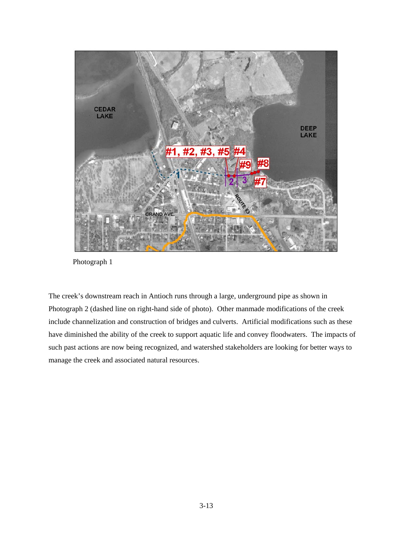

Photograph 1

The creek's downstream reach in Antioch runs through a large, underground pipe as shown in Photograph 2 (dashed line on right-hand side of photo). Other manmade modifications of the creek include channelization and construction of bridges and culverts. Artificial modifications such as these have diminished the ability of the creek to support aquatic life and convey floodwaters. The impacts of such past actions are now being recognized, and watershed stakeholders are looking for better ways to manage the creek and associated natural resources.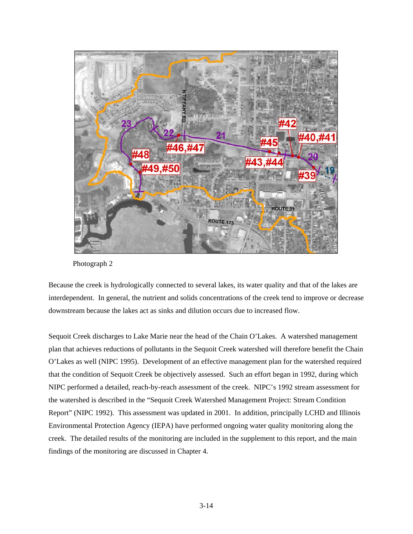

Photograph 2

Because the creek is hydrologically connected to several lakes, its water quality and that of the lakes are interdependent. In general, the nutrient and solids concentrations of the creek tend to improve or decrease downstream because the lakes act as sinks and dilution occurs due to increased flow.

Sequoit Creek discharges to Lake Marie near the head of the Chain O'Lakes. A watershed management plan that achieves reductions of pollutants in the Sequoit Creek watershed will therefore benefit the Chain O'Lakes as well (NIPC 1995). Development of an effective management plan for the watershed required that the condition of Sequoit Creek be objectively assessed. Such an effort began in 1992, during which NIPC performed a detailed, reach-by-reach assessment of the creek. NIPC's 1992 stream assessment for the watershed is described in the "Sequoit Creek Watershed Management Project: Stream Condition Report" (NIPC 1992). This assessment was updated in 2001. In addition, principally LCHD and Illinois Environmental Protection Agency (IEPA) have performed ongoing water quality monitoring along the creek. The detailed results of the monitoring are included in the supplement to this report, and the main findings of the monitoring are discussed in Chapter 4.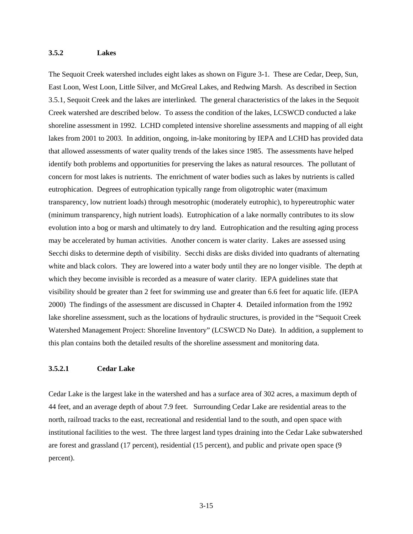#### **3.5.2 Lakes**

The Sequoit Creek watershed includes eight lakes as shown on Figure 3-1. These are Cedar, Deep, Sun, East Loon, West Loon, Little Silver, and McGreal Lakes, and Redwing Marsh. As described in Section 3.5.1, Sequoit Creek and the lakes are interlinked. The general characteristics of the lakes in the Sequoit Creek watershed are described below. To assess the condition of the lakes, LCSWCD conducted a lake shoreline assessment in 1992. LCHD completed intensive shoreline assessments and mapping of all eight lakes from 2001 to 2003. In addition, ongoing, in-lake monitoring by IEPA and LCHD has provided data that allowed assessments of water quality trends of the lakes since 1985. The assessments have helped identify both problems and opportunities for preserving the lakes as natural resources. The pollutant of concern for most lakes is nutrients. The enrichment of water bodies such as lakes by nutrients is called eutrophication. Degrees of eutrophication typically range from oligotrophic water (maximum transparency, low nutrient loads) through mesotrophic (moderately eutrophic), to hypereutrophic water (minimum transparency, high nutrient loads). Eutrophication of a lake normally contributes to its slow evolution into a bog or marsh and ultimately to dry land. Eutrophication and the resulting aging process may be accelerated by human activities. Another concern is water clarity. Lakes are assessed using Secchi disks to determine depth of visibility. Secchi disks are disks divided into quadrants of alternating white and black colors. They are lowered into a water body until they are no longer visible. The depth at which they become invisible is recorded as a measure of water clarity. IEPA guidelines state that visibility should be greater than 2 feet for swimming use and greater than 6.6 feet for aquatic life. (IEPA 2000) The findings of the assessment are discussed in Chapter 4. Detailed information from the 1992 lake shoreline assessment, such as the locations of hydraulic structures, is provided in the "Sequoit Creek Watershed Management Project: Shoreline Inventory" (LCSWCD No Date). In addition, a supplement to this plan contains both the detailed results of the shoreline assessment and monitoring data.

# **3.5.2.1 Cedar Lake**

Cedar Lake is the largest lake in the watershed and has a surface area of 302 acres, a maximum depth of 44 feet, and an average depth of about 7.9 feet. Surrounding Cedar Lake are residential areas to the north, railroad tracks to the east, recreational and residential land to the south, and open space with institutional facilities to the west. The three largest land types draining into the Cedar Lake subwatershed are forest and grassland (17 percent), residential (15 percent), and public and private open space (9 percent).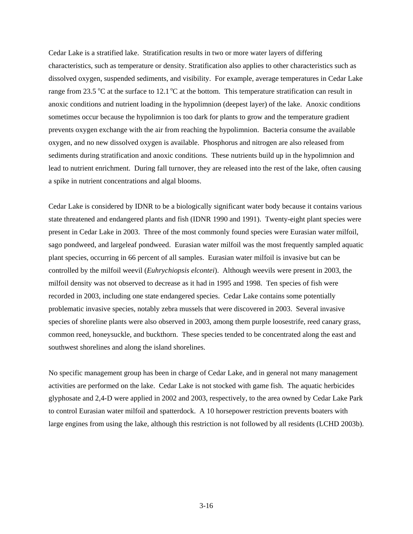Cedar Lake is a stratified lake. Stratification results in two or more water layers of differing characteristics, such as temperature or density. Stratification also applies to other characteristics such as dissolved oxygen, suspended sediments, and visibility. For example, average temperatures in Cedar Lake range from 23.5 °C at the surface to 12.1 °C at the bottom. This temperature stratification can result in anoxic conditions and nutrient loading in the hypolimnion (deepest layer) of the lake. Anoxic conditions sometimes occur because the hypolimnion is too dark for plants to grow and the temperature gradient prevents oxygen exchange with the air from reaching the hypolimnion. Bacteria consume the available oxygen, and no new dissolved oxygen is available. Phosphorus and nitrogen are also released from sediments during stratification and anoxic conditions. These nutrients build up in the hypolimnion and lead to nutrient enrichment. During fall turnover, they are released into the rest of the lake, often causing a spike in nutrient concentrations and algal blooms.

Cedar Lake is considered by IDNR to be a biologically significant water body because it contains various state threatened and endangered plants and fish (IDNR 1990 and 1991). Twenty-eight plant species were present in Cedar Lake in 2003. Three of the most commonly found species were Eurasian water milfoil, sago pondweed, and largeleaf pondweed. Eurasian water milfoil was the most frequently sampled aquatic plant species, occurring in 66 percent of all samples. Eurasian water milfoil is invasive but can be controlled by the milfoil weevil (*Euhrychiopsis elcontei*). Although weevils were present in 2003, the milfoil density was not observed to decrease as it had in 1995 and 1998. Ten species of fish were recorded in 2003, including one state endangered species. Cedar Lake contains some potentially problematic invasive species, notably zebra mussels that were discovered in 2003. Several invasive species of shoreline plants were also observed in 2003, among them purple loosestrife, reed canary grass, common reed, honeysuckle, and buckthorn. These species tended to be concentrated along the east and southwest shorelines and along the island shorelines.

No specific management group has been in charge of Cedar Lake, and in general not many management activities are performed on the lake. Cedar Lake is not stocked with game fish. The aquatic herbicides glyphosate and 2,4-D were applied in 2002 and 2003, respectively, to the area owned by Cedar Lake Park to control Eurasian water milfoil and spatterdock. A 10 horsepower restriction prevents boaters with large engines from using the lake, although this restriction is not followed by all residents (LCHD 2003b).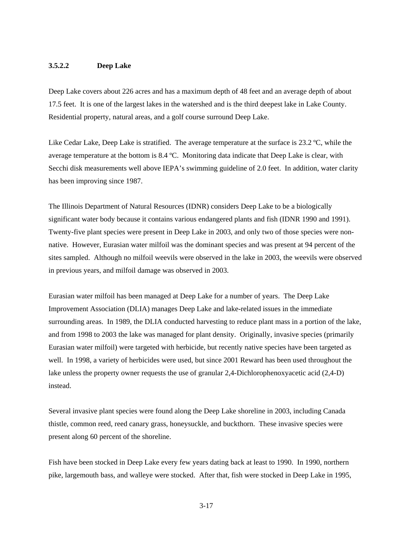#### **3.5.2.2 Deep Lake**

Deep Lake covers about 226 acres and has a maximum depth of 48 feet and an average depth of about 17.5 feet. It is one of the largest lakes in the watershed and is the third deepest lake in Lake County. Residential property, natural areas, and a golf course surround Deep Lake.

Like Cedar Lake, Deep Lake is stratified. The average temperature at the surface is 23.2 ºC, while the average temperature at the bottom is 8.4 ºC. Monitoring data indicate that Deep Lake is clear, with Secchi disk measurements well above IEPA's swimming guideline of 2.0 feet. In addition, water clarity has been improving since 1987.

The Illinois Department of Natural Resources (IDNR) considers Deep Lake to be a biologically significant water body because it contains various endangered plants and fish (IDNR 1990 and 1991). Twenty-five plant species were present in Deep Lake in 2003, and only two of those species were nonnative. However, Eurasian water milfoil was the dominant species and was present at 94 percent of the sites sampled. Although no milfoil weevils were observed in the lake in 2003, the weevils were observed in previous years, and milfoil damage was observed in 2003.

Eurasian water milfoil has been managed at Deep Lake for a number of years. The Deep Lake Improvement Association (DLIA) manages Deep Lake and lake-related issues in the immediate surrounding areas. In 1989, the DLIA conducted harvesting to reduce plant mass in a portion of the lake, and from 1998 to 2003 the lake was managed for plant density. Originally, invasive species (primarily Eurasian water milfoil) were targeted with herbicide, but recently native species have been targeted as well. In 1998, a variety of herbicides were used, but since 2001 Reward has been used throughout the lake unless the property owner requests the use of granular 2,4-Dichlorophenoxyacetic acid (2,4-D) instead.

Several invasive plant species were found along the Deep Lake shoreline in 2003, including Canada thistle, common reed, reed canary grass, honeysuckle, and buckthorn. These invasive species were present along 60 percent of the shoreline.

Fish have been stocked in Deep Lake every few years dating back at least to 1990. In 1990, northern pike, largemouth bass, and walleye were stocked. After that, fish were stocked in Deep Lake in 1995,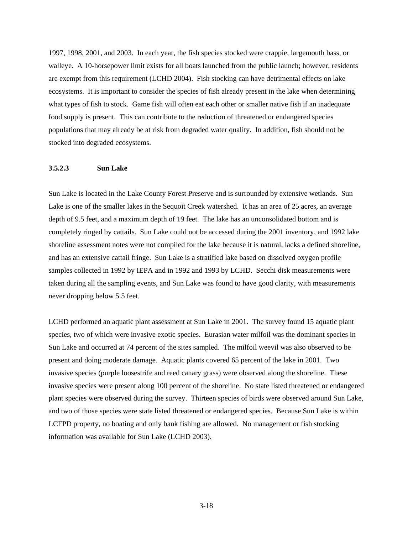1997, 1998, 2001, and 2003. In each year, the fish species stocked were crappie, largemouth bass, or walleye. A 10-horsepower limit exists for all boats launched from the public launch; however, residents are exempt from this requirement (LCHD 2004). Fish stocking can have detrimental effects on lake ecosystems. It is important to consider the species of fish already present in the lake when determining what types of fish to stock. Game fish will often eat each other or smaller native fish if an inadequate food supply is present. This can contribute to the reduction of threatened or endangered species populations that may already be at risk from degraded water quality. In addition, fish should not be stocked into degraded ecosystems.

#### **3.5.2.3 Sun Lake**

Sun Lake is located in the Lake County Forest Preserve and is surrounded by extensive wetlands. Sun Lake is one of the smaller lakes in the Sequoit Creek watershed. It has an area of 25 acres, an average depth of 9.5 feet, and a maximum depth of 19 feet. The lake has an unconsolidated bottom and is completely ringed by cattails. Sun Lake could not be accessed during the 2001 inventory, and 1992 lake shoreline assessment notes were not compiled for the lake because it is natural, lacks a defined shoreline, and has an extensive cattail fringe. Sun Lake is a stratified lake based on dissolved oxygen profile samples collected in 1992 by IEPA and in 1992 and 1993 by LCHD. Secchi disk measurements were taken during all the sampling events, and Sun Lake was found to have good clarity, with measurements never dropping below 5.5 feet.

LCHD performed an aquatic plant assessment at Sun Lake in 2001. The survey found 15 aquatic plant species, two of which were invasive exotic species. Eurasian water milfoil was the dominant species in Sun Lake and occurred at 74 percent of the sites sampled. The milfoil weevil was also observed to be present and doing moderate damage. Aquatic plants covered 65 percent of the lake in 2001. Two invasive species (purple loosestrife and reed canary grass) were observed along the shoreline. These invasive species were present along 100 percent of the shoreline. No state listed threatened or endangered plant species were observed during the survey. Thirteen species of birds were observed around Sun Lake, and two of those species were state listed threatened or endangered species. Because Sun Lake is within LCFPD property, no boating and only bank fishing are allowed. No management or fish stocking information was available for Sun Lake (LCHD 2003).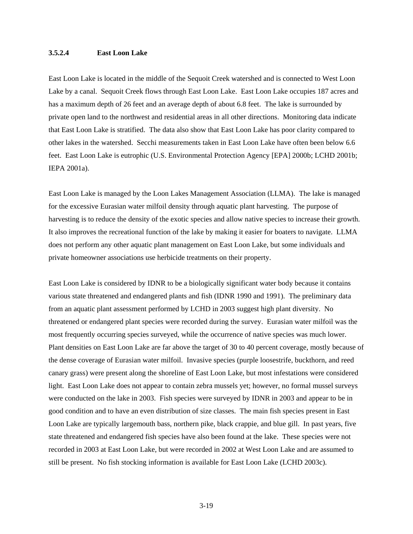#### **3.5.2.4 East Loon Lake**

East Loon Lake is located in the middle of the Sequoit Creek watershed and is connected to West Loon Lake by a canal. Sequoit Creek flows through East Loon Lake. East Loon Lake occupies 187 acres and has a maximum depth of 26 feet and an average depth of about 6.8 feet. The lake is surrounded by private open land to the northwest and residential areas in all other directions. Monitoring data indicate that East Loon Lake is stratified. The data also show that East Loon Lake has poor clarity compared to other lakes in the watershed. Secchi measurements taken in East Loon Lake have often been below 6.6 feet. East Loon Lake is eutrophic (U.S. Environmental Protection Agency [EPA] 2000b; LCHD 2001b; IEPA 2001a).

East Loon Lake is managed by the Loon Lakes Management Association (LLMA). The lake is managed for the excessive Eurasian water milfoil density through aquatic plant harvesting. The purpose of harvesting is to reduce the density of the exotic species and allow native species to increase their growth. It also improves the recreational function of the lake by making it easier for boaters to navigate. LLMA does not perform any other aquatic plant management on East Loon Lake, but some individuals and private homeowner associations use herbicide treatments on their property.

East Loon Lake is considered by IDNR to be a biologically significant water body because it contains various state threatened and endangered plants and fish (IDNR 1990 and 1991). The preliminary data from an aquatic plant assessment performed by LCHD in 2003 suggest high plant diversity. No threatened or endangered plant species were recorded during the survey. Eurasian water milfoil was the most frequently occurring species surveyed, while the occurrence of native species was much lower. Plant densities on East Loon Lake are far above the target of 30 to 40 percent coverage, mostly because of the dense coverage of Eurasian water milfoil. Invasive species (purple loosestrife, buckthorn, and reed canary grass) were present along the shoreline of East Loon Lake, but most infestations were considered light. East Loon Lake does not appear to contain zebra mussels yet; however, no formal mussel surveys were conducted on the lake in 2003. Fish species were surveyed by IDNR in 2003 and appear to be in good condition and to have an even distribution of size classes. The main fish species present in East Loon Lake are typically largemouth bass, northern pike, black crappie, and blue gill. In past years, five state threatened and endangered fish species have also been found at the lake. These species were not recorded in 2003 at East Loon Lake, but were recorded in 2002 at West Loon Lake and are assumed to still be present. No fish stocking information is available for East Loon Lake (LCHD 2003c).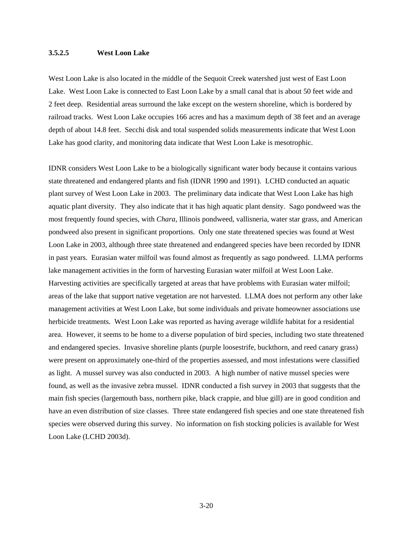#### **3.5.2.5 West Loon Lake**

West Loon Lake is also located in the middle of the Sequoit Creek watershed just west of East Loon Lake. West Loon Lake is connected to East Loon Lake by a small canal that is about 50 feet wide and 2 feet deep. Residential areas surround the lake except on the western shoreline, which is bordered by railroad tracks. West Loon Lake occupies 166 acres and has a maximum depth of 38 feet and an average depth of about 14.8 feet. Secchi disk and total suspended solids measurements indicate that West Loon Lake has good clarity, and monitoring data indicate that West Loon Lake is mesotrophic.

IDNR considers West Loon Lake to be a biologically significant water body because it contains various state threatened and endangered plants and fish (IDNR 1990 and 1991). LCHD conducted an aquatic plant survey of West Loon Lake in 2003. The preliminary data indicate that West Loon Lake has high aquatic plant diversity. They also indicate that it has high aquatic plant density. Sago pondweed was the most frequently found species, with *Chara*, Illinois pondweed, vallisneria, water star grass, and American pondweed also present in significant proportions. Only one state threatened species was found at West Loon Lake in 2003, although three state threatened and endangered species have been recorded by IDNR in past years. Eurasian water milfoil was found almost as frequently as sago pondweed. LLMA performs lake management activities in the form of harvesting Eurasian water milfoil at West Loon Lake. Harvesting activities are specifically targeted at areas that have problems with Eurasian water milfoil; areas of the lake that support native vegetation are not harvested. LLMA does not perform any other lake management activities at West Loon Lake, but some individuals and private homeowner associations use herbicide treatments. West Loon Lake was reported as having average wildlife habitat for a residential area. However, it seems to be home to a diverse population of bird species, including two state threatened and endangered species. Invasive shoreline plants (purple loosestrife, buckthorn, and reed canary grass) were present on approximately one-third of the properties assessed, and most infestations were classified as light. A mussel survey was also conducted in 2003. A high number of native mussel species were found, as well as the invasive zebra mussel. IDNR conducted a fish survey in 2003 that suggests that the main fish species (largemouth bass, northern pike, black crappie, and blue gill) are in good condition and have an even distribution of size classes. Three state endangered fish species and one state threatened fish species were observed during this survey. No information on fish stocking policies is available for West Loon Lake (LCHD 2003d).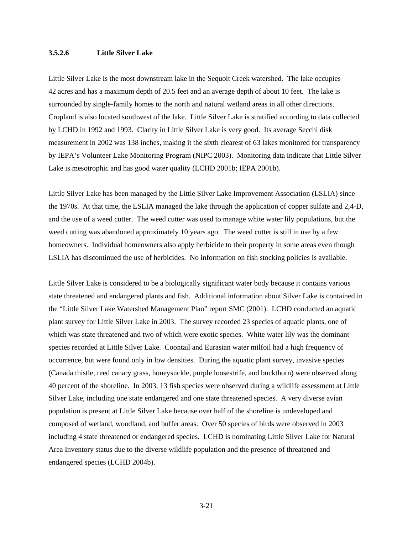#### **3.5.2.6 Little Silver Lake**

Little Silver Lake is the most downstream lake in the Sequoit Creek watershed. The lake occupies 42 acres and has a maximum depth of 20.5 feet and an average depth of about 10 feet. The lake is surrounded by single-family homes to the north and natural wetland areas in all other directions. Cropland is also located southwest of the lake. Little Silver Lake is stratified according to data collected by LCHD in 1992 and 1993. Clarity in Little Silver Lake is very good. Its average Secchi disk measurement in 2002 was 138 inches, making it the sixth clearest of 63 lakes monitored for transparency by IEPA's Volunteer Lake Monitoring Program (NIPC 2003). Monitoring data indicate that Little Silver Lake is mesotrophic and has good water quality (LCHD 2001b; IEPA 2001b).

Little Silver Lake has been managed by the Little Silver Lake Improvement Association (LSLIA) since the 1970s. At that time, the LSLIA managed the lake through the application of copper sulfate and 2,4-D, and the use of a weed cutter. The weed cutter was used to manage white water lily populations, but the weed cutting was abandoned approximately 10 years ago. The weed cutter is still in use by a few homeowners. Individual homeowners also apply herbicide to their property in some areas even though LSLIA has discontinued the use of herbicides. No information on fish stocking policies is available.

Little Silver Lake is considered to be a biologically significant water body because it contains various state threatened and endangered plants and fish. Additional information about Silver Lake is contained in the "Little Silver Lake Watershed Management Plan" report SMC (2001). LCHD conducted an aquatic plant survey for Little Silver Lake in 2003. The survey recorded 23 species of aquatic plants, one of which was state threatened and two of which were exotic species. White water lily was the dominant species recorded at Little Silver Lake. Coontail and Eurasian water milfoil had a high frequency of occurrence, but were found only in low densities. During the aquatic plant survey, invasive species (Canada thistle, reed canary grass, honeysuckle, purple loosestrife, and buckthorn) were observed along 40 percent of the shoreline. In 2003, 13 fish species were observed during a wildlife assessment at Little Silver Lake, including one state endangered and one state threatened species. A very diverse avian population is present at Little Silver Lake because over half of the shoreline is undeveloped and composed of wetland, woodland, and buffer areas. Over 50 species of birds were observed in 2003 including 4 state threatened or endangered species. LCHD is nominating Little Silver Lake for Natural Area Inventory status due to the diverse wildlife population and the presence of threatened and endangered species (LCHD 2004b).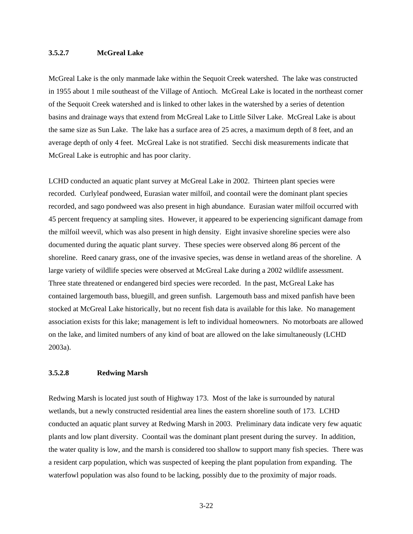#### **3.5.2.7 McGreal Lake**

McGreal Lake is the only manmade lake within the Sequoit Creek watershed. The lake was constructed in 1955 about 1 mile southeast of the Village of Antioch. McGreal Lake is located in the northeast corner of the Sequoit Creek watershed and is linked to other lakes in the watershed by a series of detention basins and drainage ways that extend from McGreal Lake to Little Silver Lake. McGreal Lake is about the same size as Sun Lake. The lake has a surface area of 25 acres, a maximum depth of 8 feet, and an average depth of only 4 feet. McGreal Lake is not stratified. Secchi disk measurements indicate that McGreal Lake is eutrophic and has poor clarity.

LCHD conducted an aquatic plant survey at McGreal Lake in 2002. Thirteen plant species were recorded. Curlyleaf pondweed, Eurasian water milfoil, and coontail were the dominant plant species recorded, and sago pondweed was also present in high abundance. Eurasian water milfoil occurred with 45 percent frequency at sampling sites. However, it appeared to be experiencing significant damage from the milfoil weevil, which was also present in high density. Eight invasive shoreline species were also documented during the aquatic plant survey. These species were observed along 86 percent of the shoreline. Reed canary grass, one of the invasive species, was dense in wetland areas of the shoreline. A large variety of wildlife species were observed at McGreal Lake during a 2002 wildlife assessment. Three state threatened or endangered bird species were recorded. In the past, McGreal Lake has contained largemouth bass, bluegill, and green sunfish. Largemouth bass and mixed panfish have been stocked at McGreal Lake historically, but no recent fish data is available for this lake. No management association exists for this lake; management is left to individual homeowners. No motorboats are allowed on the lake, and limited numbers of any kind of boat are allowed on the lake simultaneously (LCHD 2003a).

#### **3.5.2.8 Redwing Marsh**

Redwing Marsh is located just south of Highway 173. Most of the lake is surrounded by natural wetlands, but a newly constructed residential area lines the eastern shoreline south of 173. LCHD conducted an aquatic plant survey at Redwing Marsh in 2003. Preliminary data indicate very few aquatic plants and low plant diversity. Coontail was the dominant plant present during the survey. In addition, the water quality is low, and the marsh is considered too shallow to support many fish species. There was a resident carp population, which was suspected of keeping the plant population from expanding. The waterfowl population was also found to be lacking, possibly due to the proximity of major roads.

3-22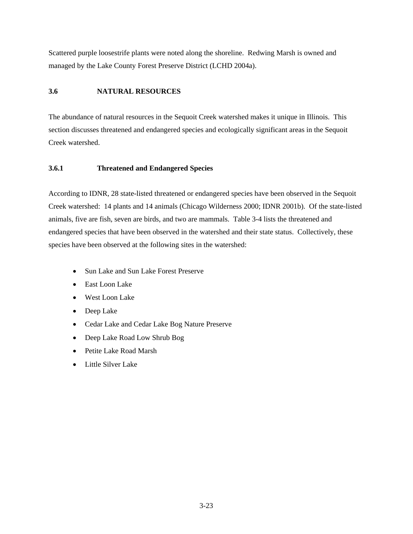Scattered purple loosestrife plants were noted along the shoreline. Redwing Marsh is owned and managed by the Lake County Forest Preserve District (LCHD 2004a).

# **3.6 NATURAL RESOURCES**

The abundance of natural resources in the Sequoit Creek watershed makes it unique in Illinois. This section discusses threatened and endangered species and ecologically significant areas in the Sequoit Creek watershed.

## **3.6.1 Threatened and Endangered Species**

According to IDNR, 28 state-listed threatened or endangered species have been observed in the Sequoit Creek watershed: 14 plants and 14 animals (Chicago Wilderness 2000; IDNR 2001b). Of the state-listed animals, five are fish, seven are birds, and two are mammals. Table 3-4 lists the threatened and endangered species that have been observed in the watershed and their state status. Collectively, these species have been observed at the following sites in the watershed:

- Sun Lake and Sun Lake Forest Preserve
- East Loon Lake
- West Loon Lake
- Deep Lake
- Cedar Lake and Cedar Lake Bog Nature Preserve
- Deep Lake Road Low Shrub Bog
- Petite Lake Road Marsh
- Little Silver Lake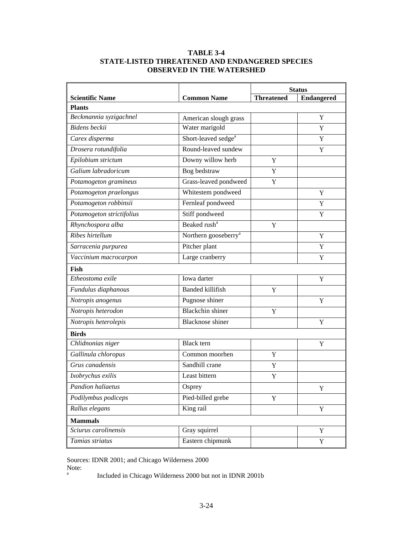# **TABLE 3-4 STATE-LISTED THREATENED AND ENDANGERED SPECIES OBSERVED IN THE WATERSHED**

|                           |                                  | <b>Status</b>     |                   |
|---------------------------|----------------------------------|-------------------|-------------------|
| <b>Scientific Name</b>    | <b>Common Name</b>               | <b>Threatened</b> | <b>Endangered</b> |
| <b>Plants</b>             |                                  |                   |                   |
| Beckmannia syzigachnel    | American slough grass            |                   | Y                 |
| Bidens beckii             | Water marigold                   |                   | Y                 |
| Carex disperma            | Short-leaved sedge <sup>a</sup>  |                   | Y                 |
| Drosera rotundifolia      | Round-leaved sundew              |                   | Y                 |
| Epilobium strictum        | Downy willow herb                | Y                 |                   |
| Galium labradoricum       | Bog bedstraw                     | Y                 |                   |
| Potamogeton gramineus     | Grass-leaved pondweed            | Y                 |                   |
| Potamogeton praelongus    | Whitestem pondweed               |                   | Y                 |
| Potamogeton robbinsii     | Fernleaf pondweed                |                   | Y                 |
| Potamogeton strictifolius | Stiff pondweed                   |                   | Y                 |
| Rhynchospora alba         | Beaked rush <sup>a</sup>         | Y                 |                   |
| Ribes hirtellum           | Northern gooseberry <sup>a</sup> |                   | Y                 |
| Sarracenia purpurea       | Pitcher plant                    |                   | Y                 |
| Vaccinium macrocarpon     | Large cranberry                  |                   | Y                 |
| Fish                      |                                  |                   |                   |
| Etheostoma exile          | Iowa darter                      |                   | Y                 |
| Fundulus diaphanous       | <b>Banded killifish</b>          | Y                 |                   |
| Notropis anogenus         | Pugnose shiner                   |                   | Y                 |
| Notropis heterodon        | <b>Blackchin</b> shiner          | $\mathbf Y$       |                   |
| Notropis heterolepis      | <b>Blacknose</b> shiner          |                   | Y                 |
| <b>Birds</b>              |                                  |                   |                   |
| Chlidnonias niger         | Black tern                       |                   | Y                 |
| Gallinula chloropus       | Common moorhen                   | Y                 |                   |
| Grus canadensis           | Sandhill crane                   | Y                 |                   |
| Ixobrychus exilis         | Least bittern                    | $\mathbf Y$       |                   |
| Pandion haliaetus         | Osprey                           |                   |                   |
| Podilymbus podiceps       | Pied-billed grebe                | Y                 |                   |
| Rallus elegans            | King rail                        |                   | Y                 |
| <b>Mammals</b>            |                                  |                   |                   |
| Sciurus carolinensis      | Gray squirrel                    |                   | Y                 |
| Tamias striatus           | Eastern chipmunk                 |                   | $\mathbf Y$       |

Sources: IDNR 2001; and Chicago Wilderness 2000 Note: a

Included in Chicago Wilderness 2000 but not in IDNR 2001b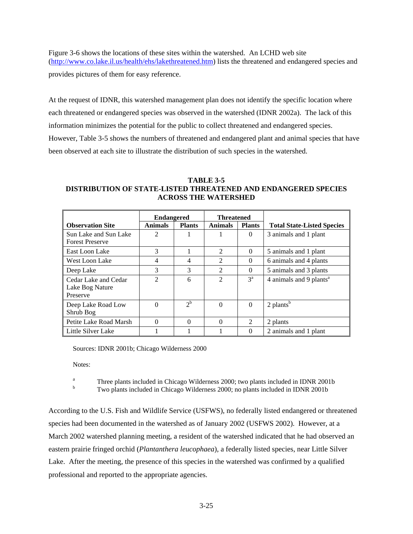Figure 3-6 shows the locations of these sites within the watershed. An LCHD web site (http://www.co.lake.il.us/health/ehs/lakethreatened.htm) lists the threatened and endangered species and provides pictures of them for easy reference.

At the request of IDNR, this watershed management plan does not identify the specific location where each threatened or endangered species was observed in the watershed (IDNR 2002a). The lack of this information minimizes the potential for the public to collect threatened and endangered species. However, Table 3-5 shows the numbers of threatened and endangered plant and animal species that have been observed at each site to illustrate the distribution of such species in the watershed.

**TABLE 3-5 DISTRIBUTION OF STATE-LISTED THREATENED AND ENDANGERED SPECIES ACROSS THE WATERSHED** 

|                                                     | <b>Endangered</b> |               | <b>Threatened</b>           |                |                                     |
|-----------------------------------------------------|-------------------|---------------|-----------------------------|----------------|-------------------------------------|
| <b>Observation Site</b>                             | <b>Animals</b>    | <b>Plants</b> | <b>Animals</b>              | <b>Plants</b>  | <b>Total State-Listed Species</b>   |
| Sun Lake and Sun Lake<br><b>Forest Preserve</b>     | $\overline{2}$    |               |                             | $\Omega$       | 3 animals and 1 plant               |
| East Loon Lake                                      | 3                 |               | $\mathfrak{D}$              | $\Omega$       | 5 animals and 1 plant               |
| West Loon Lake                                      | 4                 | 4             | $\mathfrak{D}$              | $\Omega$       | 6 animals and 4 plants              |
| Deep Lake                                           | 3                 | 3             | $\mathcal{D}_{\mathcal{L}}$ | $\Omega$       | 5 animals and 3 plants              |
| Cedar Lake and Cedar<br>Lake Bog Nature<br>Preserve | $\mathfrak{D}$    | 6             | $\mathfrak{D}$              | $3^a$          | 4 animals and 9 plants <sup>a</sup> |
| Deep Lake Road Low<br>Shrub Bog                     | $\Omega$          | $2^{\rm b}$   | $\Omega$                    | $\Omega$       | $2$ plants <sup>b</sup>             |
| Petite Lake Road Marsh                              | $\Omega$          | $\Omega$      | 0                           | $\mathfrak{D}$ | 2 plants                            |
| Little Silver Lake                                  |                   |               |                             | 0              | 2 animals and 1 plant               |

Sources: IDNR 2001b; Chicago Wilderness 2000

Notes:

a Three plants included in Chicago Wilderness 2000; two plants included in IDNR 2001b b

Two plants included in Chicago Wilderness 2000; no plants included in IDNR 2001b

According to the U.S. Fish and Wildlife Service (USFWS), no federally listed endangered or threatened species had been documented in the watershed as of January 2002 (USFWS 2002). However, at a March 2002 watershed planning meeting, a resident of the watershed indicated that he had observed an eastern prairie fringed orchid (*Plantanthera leucophaea*), a federally listed species, near Little Silver Lake. After the meeting, the presence of this species in the watershed was confirmed by a qualified professional and reported to the appropriate agencies.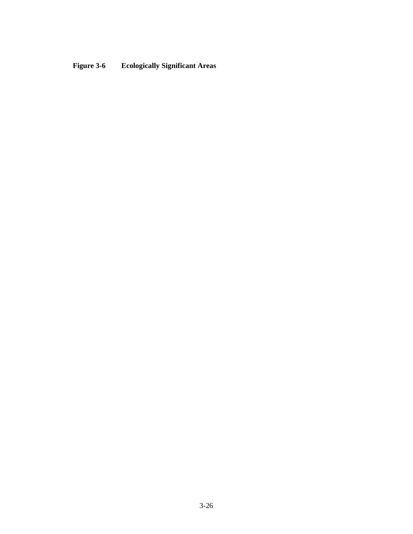**Figure 3-6 Ecologically Significant Areas**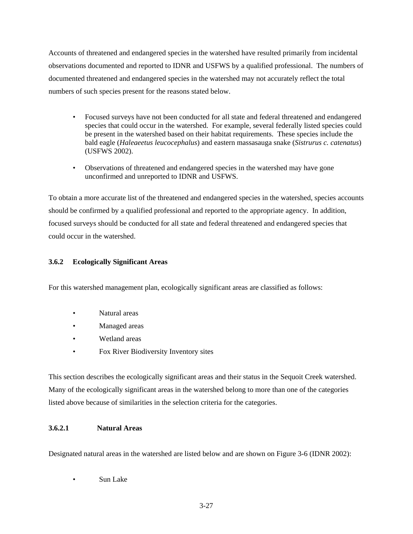Accounts of threatened and endangered species in the watershed have resulted primarily from incidental observations documented and reported to IDNR and USFWS by a qualified professional. The numbers of documented threatened and endangered species in the watershed may not accurately reflect the total numbers of such species present for the reasons stated below.

- Focused surveys have not been conducted for all state and federal threatened and endangered species that could occur in the watershed. For example, several federally listed species could be present in the watershed based on their habitat requirements. These species include the bald eagle (*Haleaeetus leucocephalus*) and eastern massasauga snake (*Sistrurus c. catenatus*) (USFWS 2002).
- Observations of threatened and endangered species in the watershed may have gone unconfirmed and unreported to IDNR and USFWS.

To obtain a more accurate list of the threatened and endangered species in the watershed, species accounts should be confirmed by a qualified professional and reported to the appropriate agency. In addition, focused surveys should be conducted for all state and federal threatened and endangered species that could occur in the watershed.

# **3.6.2 Ecologically Significant Areas**

For this watershed management plan, ecologically significant areas are classified as follows:

- Natural areas
- Managed areas
- Wetland areas
- Fox River Biodiversity Inventory sites

This section describes the ecologically significant areas and their status in the Sequoit Creek watershed. Many of the ecologically significant areas in the watershed belong to more than one of the categories listed above because of similarities in the selection criteria for the categories.

# **3.6.2.1 Natural Areas**

Designated natural areas in the watershed are listed below and are shown on Figure 3-6 (IDNR 2002):

Sun Lake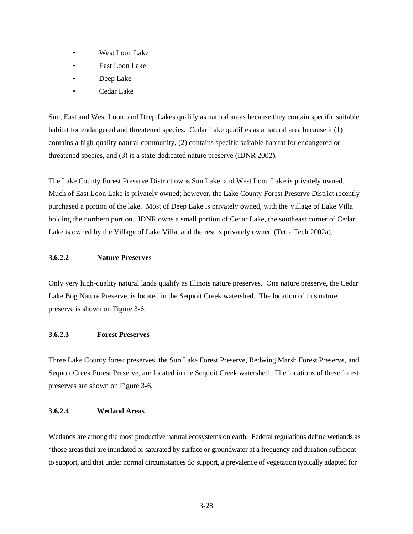- West Loon Lake
- East Loon Lake
- Deep Lake
- Cedar Lake

Sun, East and West Loon, and Deep Lakes qualify as natural areas because they contain specific suitable habitat for endangered and threatened species. Cedar Lake qualifies as a natural area because it (1) contains a high-quality natural community, (2) contains specific suitable habitat for endangered or threatened species, and (3) is a state-dedicated nature preserve (IDNR 2002).

The Lake County Forest Preserve District owns Sun Lake, and West Loon Lake is privately owned. Much of East Loon Lake is privately owned; however, the Lake County Forest Preserve District recently purchased a portion of the lake. Most of Deep Lake is privately owned, with the Village of Lake Villa holding the northern portion. IDNR owns a small portion of Cedar Lake, the southeast corner of Cedar Lake is owned by the Village of Lake Villa, and the rest is privately owned (Tetra Tech 2002a).

## **3.6.2.2 Nature Preserves**

Only very high-quality natural lands qualify as Illinois nature preserves. One nature preserve, the Cedar Lake Bog Nature Preserve, is located in the Sequoit Creek watershed. The location of this nature preserve is shown on Figure 3-6.

# **3.6.2.3 Forest Preserves**

Three Lake County forest preserves, the Sun Lake Forest Preserve, Redwing Marsh Forest Preserve, and Sequoit Creek Forest Preserve, are located in the Sequoit Creek watershed. The locations of these forest preserves are shown on Figure 3-6.

## **3.6.2.4 Wetland Areas**

Wetlands are among the most productive natural ecosystems on earth. Federal regulations define wetlands as "those areas that are inundated or saturated by surface or groundwater at a frequency and duration sufficient to support, and that under normal circumstances do support, a prevalence of vegetation typically adapted for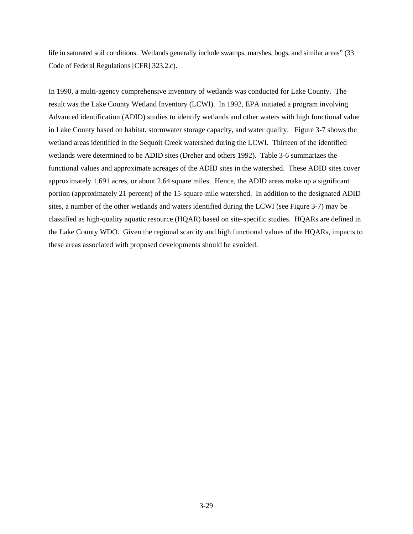life in saturated soil conditions. Wetlands generally include swamps, marshes, bogs, and similar areas" (33 Code of Federal Regulations [CFR] 323.2.c).

In 1990, a multi-agency comprehensive inventory of wetlands was conducted for Lake County. The result was the Lake County Wetland Inventory (LCWI). In 1992, EPA initiated a program involving Advanced identification (ADID) studies to identify wetlands and other waters with high functional value in Lake County based on habitat, stormwater storage capacity, and water quality. Figure 3-7 shows the wetland areas identified in the Sequoit Creek watershed during the LCWI. Thirteen of the identified wetlands were determined to be ADID sites (Dreher and others 1992). Table 3-6 summarizes the functional values and approximate acreages of the ADID sites in the watershed. These ADID sites cover approximately 1,691 acres, or about 2.64 square miles. Hence, the ADID areas make up a significant portion (approximately 21 percent) of the 15-square-mile watershed. In addition to the designated ADID sites, a number of the other wetlands and waters identified during the LCWI (see Figure 3-7) may be classified as high-quality aquatic resource (HQAR) based on site-specific studies. HQARs are defined in the Lake County WDO. Given the regional scarcity and high functional values of the HQARs, impacts to these areas associated with proposed developments should be avoided.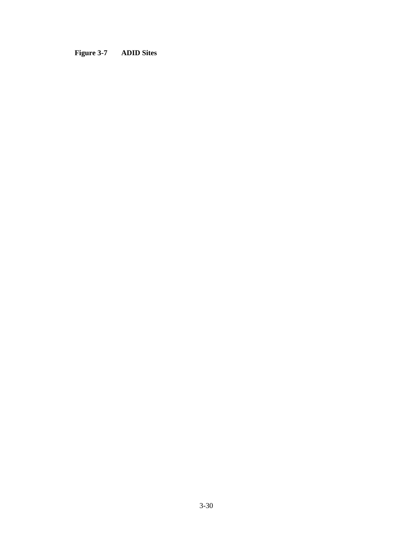# **Figure 3-7 ADID Sites**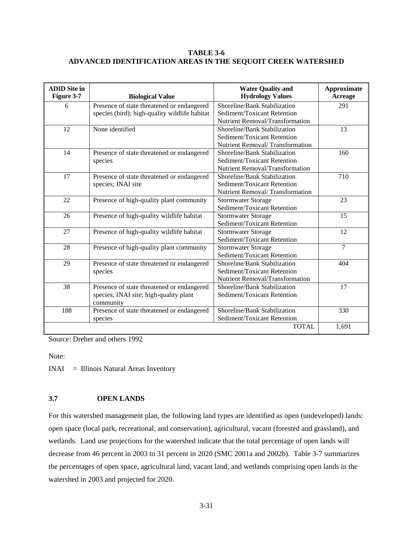## **TABLE 3-6 ADVANCED IDENTIFICATION AREAS IN THE SEQUOIT CREEK WATERSHED**

| <b>ADID Site in</b><br>Figure 3-7 | <b>Biological Value</b>                       | <b>Water Quality and</b><br><b>Hydrology Values</b> | <b>Approximate</b><br>Acreage |
|-----------------------------------|-----------------------------------------------|-----------------------------------------------------|-------------------------------|
| 6                                 | Presence of state threatened or endangered    | Shoreline/Bank Stabilization                        | 291                           |
|                                   | species (bird); high-quality wildlife habitat | Sediment/Toxicant Retention                         |                               |
|                                   |                                               | Nutrient Removal/Transformation                     |                               |
| 12                                | None identified                               | Shoreline/Bank Stabilization                        | 13                            |
|                                   |                                               | Sediment/Toxicant Retention                         |                               |
|                                   |                                               | Nutrient Removal/Transformation                     |                               |
| 14                                | Presence of state threatened or endangered    | Shoreline/Bank Stabilization                        | 160                           |
|                                   | species                                       | Sediment/Toxicant Retention                         |                               |
|                                   |                                               | <b>Nutrient Removal/Transformation</b>              |                               |
| 17                                | Presence of state threatened or endangered    | Shoreline/Bank Stabilization                        | 710                           |
|                                   | species; INAI site                            | Sediment/Toxicant Retention                         |                               |
|                                   |                                               | Nutrient Removal/Transformation                     |                               |
| 22                                | Presence of high-quality plant community      | <b>Stormwater Storage</b>                           | 23                            |
|                                   |                                               | Sediment/Toxicant Retention                         |                               |
| 26                                | Presence of high-quality wildlife habitat     | <b>Stormwater Storage</b>                           | 15                            |
|                                   |                                               | Sediment/Toxicant Retention                         |                               |
| 27                                | Presence of high-quality wildlife habitat     | <b>Stormwater Storage</b>                           | 12                            |
|                                   |                                               | Sediment/Toxicant Retention                         |                               |
| 28                                | Presence of high-quality plant community      | <b>Stormwater Storage</b>                           | $\overline{7}$                |
|                                   |                                               | Sediment/Toxicant Retention                         |                               |
| 29                                | Presence of state threatened or endangered    | Shoreline/Bank Stabilization                        | 404                           |
|                                   | species                                       | Sediment/Toxicant Retention                         |                               |
|                                   |                                               | Nutrient Removal/Transformation                     |                               |
| 38                                | Presence of state threatened or endangered    | Shoreline/Bank Stabilization                        | 17                            |
|                                   | species; INAI site; high-quality plant        | Sediment/Toxicant Retention                         |                               |
|                                   | community                                     |                                                     |                               |
| 188                               | Presence of state threatened or endangered    | Shoreline/Bank Stabilization                        | 330                           |
|                                   | species                                       | Sediment/Toxicant Retention                         |                               |
|                                   |                                               | <b>TOTAL</b>                                        | 1,691                         |

Source: Dreher and others 1992

Note:

INAI = Illinois Natural Areas Inventory

# **3.7 OPEN LANDS**

For this watershed management plan, the following land types are identified as open (undeveloped) lands: open space (local park, recreational, and conservation), agricultural, vacant (forested and grassland), and wetlands. Land use projections for the watershed indicate that the total percentage of open lands will decrease from 46 percent in 2003 to 31 percent in 2020 (SMC 2001a and 2002b). Table 3-7 summarizes the percentages of open space, agricultural land, vacant land, and wetlands comprising open lands in the watershed in 2003 and projected for 2020.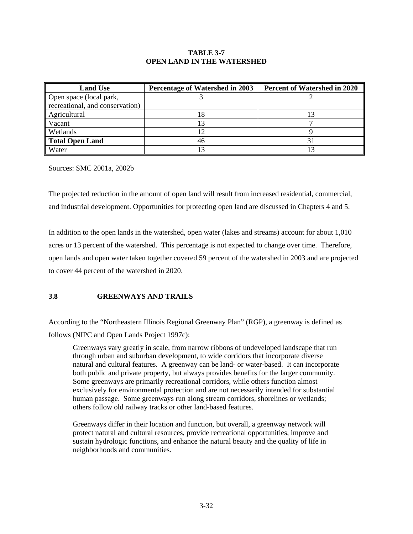## **TABLE 3-7 OPEN LAND IN THE WATERSHED**

| <b>Land Use</b>                 | Percentage of Watershed in 2003 | <b>Percent of Watershed in 2020</b> |
|---------------------------------|---------------------------------|-------------------------------------|
| Open space (local park,         |                                 |                                     |
| recreational, and conservation) |                                 |                                     |
| Agricultural                    | 18                              |                                     |
| Vacant                          |                                 |                                     |
| Wetlands                        |                                 |                                     |
| Total Open Land                 | 46                              |                                     |
| Water                           |                                 |                                     |

Sources: SMC 2001a, 2002b

The projected reduction in the amount of open land will result from increased residential, commercial, and industrial development. Opportunities for protecting open land are discussed in Chapters 4 and 5.

In addition to the open lands in the watershed, open water (lakes and streams) account for about 1,010 acres or 13 percent of the watershed. This percentage is not expected to change over time. Therefore, open lands and open water taken together covered 59 percent of the watershed in 2003 and are projected to cover 44 percent of the watershed in 2020.

## **3.8 GREENWAYS AND TRAILS**

According to the "Northeastern Illinois Regional Greenway Plan" (RGP), a greenway is defined as follows (NIPC and Open Lands Project 1997c):

Greenways vary greatly in scale, from narrow ribbons of undeveloped landscape that run through urban and suburban development, to wide corridors that incorporate diverse natural and cultural features. A greenway can be land- or water-based. It can incorporate both public and private property, but always provides benefits for the larger community. Some greenways are primarily recreational corridors, while others function almost exclusively for environmental protection and are not necessarily intended for substantial human passage. Some greenways run along stream corridors, shorelines or wetlands; others follow old railway tracks or other land-based features.

Greenways differ in their location and function, but overall, a greenway network will protect natural and cultural resources, provide recreational opportunities, improve and sustain hydrologic functions, and enhance the natural beauty and the quality of life in neighborhoods and communities.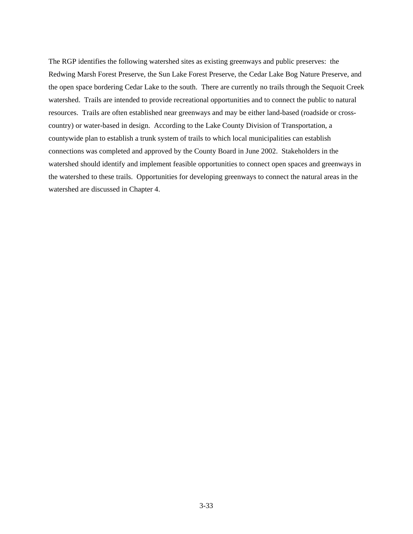The RGP identifies the following watershed sites as existing greenways and public preserves: the Redwing Marsh Forest Preserve, the Sun Lake Forest Preserve, the Cedar Lake Bog Nature Preserve, and the open space bordering Cedar Lake to the south. There are currently no trails through the Sequoit Creek watershed. Trails are intended to provide recreational opportunities and to connect the public to natural resources. Trails are often established near greenways and may be either land-based (roadside or crosscountry) or water-based in design. According to the Lake County Division of Transportation, a countywide plan to establish a trunk system of trails to which local municipalities can establish connections was completed and approved by the County Board in June 2002. Stakeholders in the watershed should identify and implement feasible opportunities to connect open spaces and greenways in the watershed to these trails. Opportunities for developing greenways to connect the natural areas in the watershed are discussed in Chapter 4.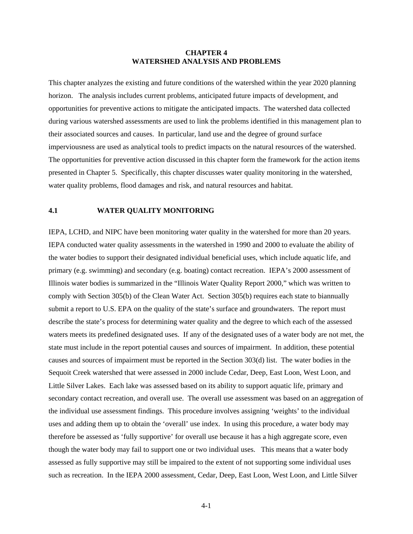#### **CHAPTER 4 WATERSHED ANALYSIS AND PROBLEMS**

This chapter analyzes the existing and future conditions of the watershed within the year 2020 planning horizon. The analysis includes current problems, anticipated future impacts of development, and opportunities for preventive actions to mitigate the anticipated impacts. The watershed data collected during various watershed assessments are used to link the problems identified in this management plan to their associated sources and causes. In particular, land use and the degree of ground surface imperviousness are used as analytical tools to predict impacts on the natural resources of the watershed. The opportunities for preventive action discussed in this chapter form the framework for the action items presented in Chapter 5. Specifically, this chapter discusses water quality monitoring in the watershed, water quality problems, flood damages and risk, and natural resources and habitat.

#### **4.1 WATER QUALITY MONITORING**

IEPA, LCHD, and NIPC have been monitoring water quality in the watershed for more than 20 years. IEPA conducted water quality assessments in the watershed in 1990 and 2000 to evaluate the ability of the water bodies to support their designated individual beneficial uses, which include aquatic life, and primary (e.g. swimming) and secondary (e.g. boating) contact recreation. IEPA's 2000 assessment of Illinois water bodies is summarized in the "Illinois Water Quality Report 2000," which was written to comply with Section 305(b) of the Clean Water Act. Section 305(b) requires each state to biannually submit a report to U.S. EPA on the quality of the state's surface and groundwaters. The report must describe the state's process for determining water quality and the degree to which each of the assessed waters meets its predefined designated uses. If any of the designated uses of a water body are not met, the state must include in the report potential causes and sources of impairment. In addition, these potential causes and sources of impairment must be reported in the Section 303(d) list. The water bodies in the Sequoit Creek watershed that were assessed in 2000 include Cedar, Deep, East Loon, West Loon, and Little Silver Lakes. Each lake was assessed based on its ability to support aquatic life, primary and secondary contact recreation, and overall use. The overall use assessment was based on an aggregation of the individual use assessment findings. This procedure involves assigning 'weights' to the individual uses and adding them up to obtain the 'overall' use index. In using this procedure, a water body may therefore be assessed as 'fully supportive' for overall use because it has a high aggregate score, even though the water body may fail to support one or two individual uses. This means that a water body assessed as fully supportive may still be impaired to the extent of not supporting some individual uses such as recreation. In the IEPA 2000 assessment, Cedar, Deep, East Loon, West Loon, and Little Silver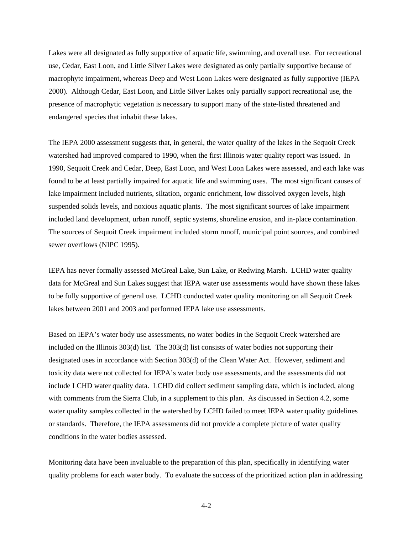Lakes were all designated as fully supportive of aquatic life, swimming, and overall use. For recreational use, Cedar, East Loon, and Little Silver Lakes were designated as only partially supportive because of macrophyte impairment, whereas Deep and West Loon Lakes were designated as fully supportive (IEPA 2000). Although Cedar, East Loon, and Little Silver Lakes only partially support recreational use, the presence of macrophytic vegetation is necessary to support many of the state-listed threatened and endangered species that inhabit these lakes.

The IEPA 2000 assessment suggests that, in general, the water quality of the lakes in the Sequoit Creek watershed had improved compared to 1990, when the first Illinois water quality report was issued. In 1990, Sequoit Creek and Cedar, Deep, East Loon, and West Loon Lakes were assessed, and each lake was found to be at least partially impaired for aquatic life and swimming uses. The most significant causes of lake impairment included nutrients, siltation, organic enrichment, low dissolved oxygen levels, high suspended solids levels, and noxious aquatic plants. The most significant sources of lake impairment included land development, urban runoff, septic systems, shoreline erosion, and in-place contamination. The sources of Sequoit Creek impairment included storm runoff, municipal point sources, and combined sewer overflows (NIPC 1995).

IEPA has never formally assessed McGreal Lake, Sun Lake, or Redwing Marsh. LCHD water quality data for McGreal and Sun Lakes suggest that IEPA water use assessments would have shown these lakes to be fully supportive of general use. LCHD conducted water quality monitoring on all Sequoit Creek lakes between 2001 and 2003 and performed IEPA lake use assessments.

Based on IEPA's water body use assessments, no water bodies in the Sequoit Creek watershed are included on the Illinois 303(d) list. The 303(d) list consists of water bodies not supporting their designated uses in accordance with Section 303(d) of the Clean Water Act. However, sediment and toxicity data were not collected for IEPA's water body use assessments, and the assessments did not include LCHD water quality data. LCHD did collect sediment sampling data, which is included, along with comments from the Sierra Club, in a supplement to this plan. As discussed in Section 4.2, some water quality samples collected in the watershed by LCHD failed to meet IEPA water quality guidelines or standards. Therefore, the IEPA assessments did not provide a complete picture of water quality conditions in the water bodies assessed.

Monitoring data have been invaluable to the preparation of this plan, specifically in identifying water quality problems for each water body. To evaluate the success of the prioritized action plan in addressing

4-2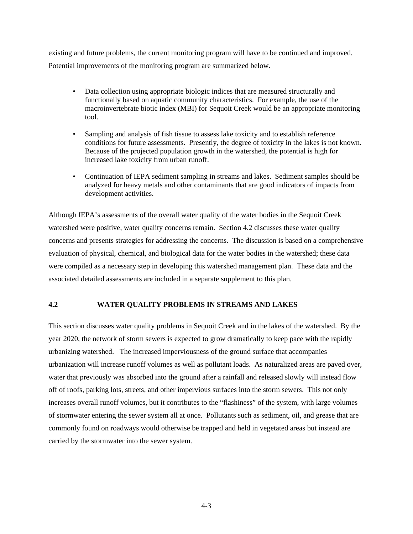existing and future problems, the current monitoring program will have to be continued and improved. Potential improvements of the monitoring program are summarized below.

- Data collection using appropriate biologic indices that are measured structurally and functionally based on aquatic community characteristics. For example, the use of the macroinvertebrate biotic index (MBI) for Sequoit Creek would be an appropriate monitoring tool.
- Sampling and analysis of fish tissue to assess lake toxicity and to establish reference conditions for future assessments. Presently, the degree of toxicity in the lakes is not known. Because of the projected population growth in the watershed, the potential is high for increased lake toxicity from urban runoff.
- Continuation of IEPA sediment sampling in streams and lakes. Sediment samples should be analyzed for heavy metals and other contaminants that are good indicators of impacts from development activities.

Although IEPA's assessments of the overall water quality of the water bodies in the Sequoit Creek watershed were positive, water quality concerns remain. Section 4.2 discusses these water quality concerns and presents strategies for addressing the concerns. The discussion is based on a comprehensive evaluation of physical, chemical, and biological data for the water bodies in the watershed; these data were compiled as a necessary step in developing this watershed management plan. These data and the associated detailed assessments are included in a separate supplement to this plan.

## **4.2 WATER QUALITY PROBLEMS IN STREAMS AND LAKES**

This section discusses water quality problems in Sequoit Creek and in the lakes of the watershed. By the year 2020, the network of storm sewers is expected to grow dramatically to keep pace with the rapidly urbanizing watershed. The increased imperviousness of the ground surface that accompanies urbanization will increase runoff volumes as well as pollutant loads. As naturalized areas are paved over, water that previously was absorbed into the ground after a rainfall and released slowly will instead flow off of roofs, parking lots, streets, and other impervious surfaces into the storm sewers. This not only increases overall runoff volumes, but it contributes to the "flashiness" of the system, with large volumes of stormwater entering the sewer system all at once. Pollutants such as sediment, oil, and grease that are commonly found on roadways would otherwise be trapped and held in vegetated areas but instead are carried by the stormwater into the sewer system.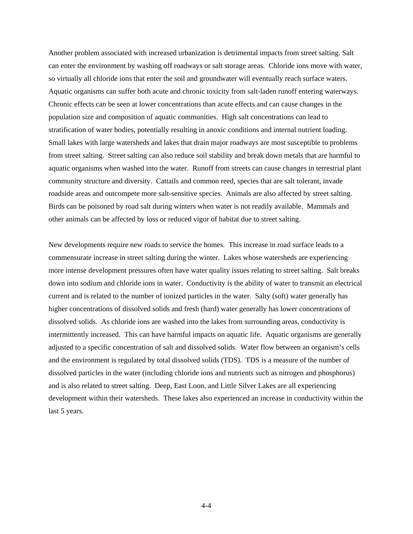Another problem associated with increased urbanization is detrimental impacts from street salting. Salt can enter the environment by washing off roadways or salt storage areas. Chloride ions move with water, so virtually all chloride ions that enter the soil and groundwater will eventually reach surface waters. Aquatic organisms can suffer both acute and chronic toxicity from salt-laden runoff entering waterways. Chronic effects can be seen at lower concentrations than acute effects and can cause changes in the population size and composition of aquatic communities. High salt concentrations can lead to stratification of water bodies, potentially resulting in anoxic conditions and internal nutrient loading. Small lakes with large watersheds and lakes that drain major roadways are most susceptible to problems from street salting. Street salting can also reduce soil stability and break down metals that are harmful to aquatic organisms when washed into the water. Runoff from streets can cause changes in terrestrial plant community structure and diversity. Cattails and common reed, species that are salt tolerant, invade roadside areas and outcompete more salt-sensitive species. Animals are also affected by street salting. Birds can be poisoned by road salt during winters when water is not readily available. Mammals and other animals can be affected by loss or reduced vigor of habitat due to street salting.

New developments require new roads to service the homes. This increase in road surface leads to a commensurate increase in street salting during the winter. Lakes whose watersheds are experiencing more intense development pressures often have water quality issues relating to street salting. Salt breaks down into sodium and chloride ions in water. Conductivity is the ability of water to transmit an electrical current and is related to the number of ionized particles in the water. Salty (soft) water generally has higher concentrations of dissolved solids and fresh (hard) water generally has lower concentrations of dissolved solids. As chloride ions are washed into the lakes from surrounding areas, conductivity is intermittently increased. This can have harmful impacts on aquatic life. Aquatic organisms are generally adjusted to a specific concentration of salt and dissolved solids. Water flow between an organism's cells and the environment is regulated by total dissolved solids (TDS). TDS is a measure of the number of dissolved particles in the water (including chloride ions and nutrients such as nitrogen and phosphorus) and is also related to street salting. Deep, East Loon, and Little Silver Lakes are all experiencing development within their watersheds. These lakes also experienced an increase in conductivity within the last 5 years.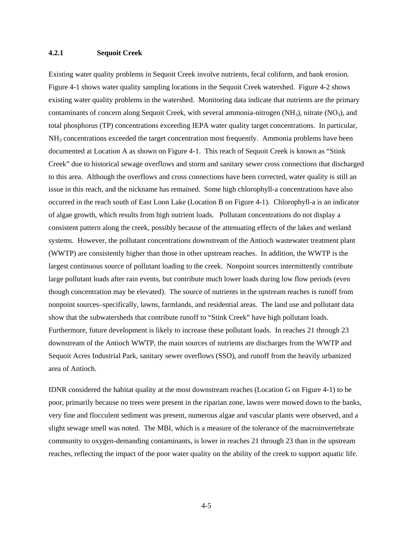#### **4.2.1 Sequoit Creek**

Existing water quality problems in Sequoit Creek involve nutrients, fecal coliform, and bank erosion. Figure 4-1 shows water quality sampling locations in the Sequoit Creek watershed. Figure 4-2 shows existing water quality problems in the watershed. Monitoring data indicate that nutrients are the primary contaminants of concern along Sequoit Creek, with several ammonia-nitrogen (NH<sub>3</sub>), nitrate (NO<sub>3</sub>), and total phosphorus (TP) concentrations exceeding IEPA water quality target concentrations. In particular, NH<sub>3</sub> concentrations exceeded the target concentration most frequently. Ammonia problems have been documented at Location A as shown on Figure 4-1. This reach of Sequoit Creek is known as "Stink Creek" due to historical sewage overflows and storm and sanitary sewer cross connections that discharged to this area. Although the overflows and cross connections have been corrected, water quality is still an issue in this reach, and the nickname has remained. Some high chlorophyll-a concentrations have also occurred in the reach south of East Loon Lake (Location B on Figure 4-1). Chlorophyll-a is an indicator of algae growth, which results from high nutrient loads. Pollutant concentrations do not display a consistent pattern along the creek, possibly because of the attenuating effects of the lakes and wetland systems. However, the pollutant concentrations downstream of the Antioch wastewater treatment plant (WWTP) are consistently higher than those in other upstream reaches. In addition, the WWTP is the largest continuous source of pollutant loading to the creek. Nonpoint sources intermittently contribute large pollutant loads after rain events, but contribute much lower loads during low flow periods (even though concentration may be elevated). The source of nutrients in the upstream reaches is runoff from nonpoint sources–specifically, lawns, farmlands, and residential areas. The land use and pollutant data show that the subwatersheds that contribute runoff to "Stink Creek" have high pollutant loads. Furthermore, future development is likely to increase these pollutant loads. In reaches 21 through 23 downstream of the Antioch WWTP, the main sources of nutrients are discharges from the WWTP and Sequoit Acres Industrial Park, sanitary sewer overflows (SSO), and runoff from the heavily urbanized area of Antioch.

IDNR considered the habitat quality at the most downstream reaches (Location G on Figure 4-1) to be poor, primarily because no trees were present in the riparian zone, lawns were mowed down to the banks, very fine and flocculent sediment was present, numerous algae and vascular plants were observed, and a slight sewage smell was noted. The MBI, which is a measure of the tolerance of the macroinvertebrate community to oxygen-demanding contaminants, is lower in reaches 21 through 23 than in the upstream reaches, reflecting the impact of the poor water quality on the ability of the creek to support aquatic life.

4-5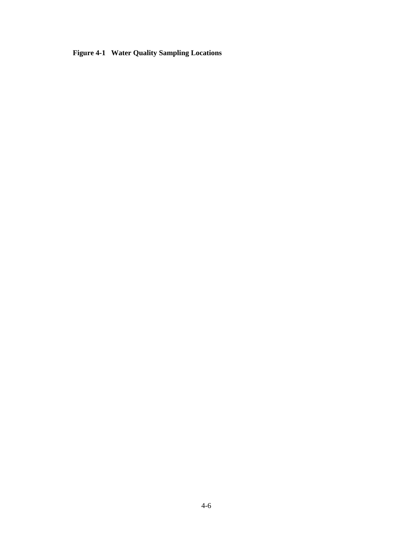**Figure 4-1 Water Quality Sampling Locations**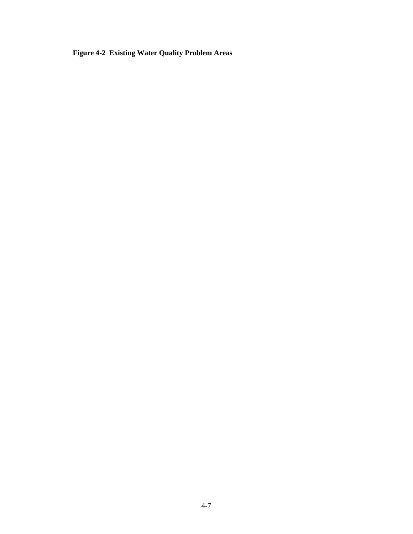**Figure 4-2 Existing Water Quality Problem Areas**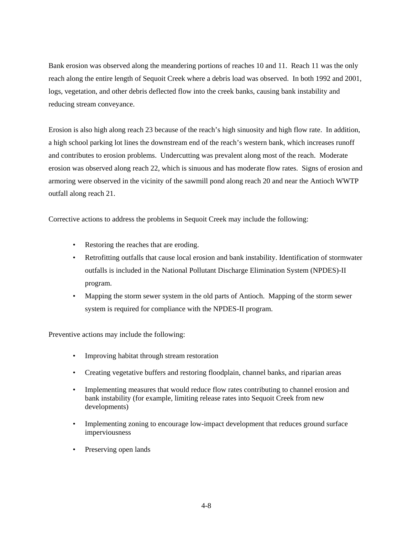Bank erosion was observed along the meandering portions of reaches 10 and 11. Reach 11 was the only reach along the entire length of Sequoit Creek where a debris load was observed. In both 1992 and 2001, logs, vegetation, and other debris deflected flow into the creek banks, causing bank instability and reducing stream conveyance.

Erosion is also high along reach 23 because of the reach's high sinuosity and high flow rate. In addition, a high school parking lot lines the downstream end of the reach's western bank, which increases runoff and contributes to erosion problems. Undercutting was prevalent along most of the reach. Moderate erosion was observed along reach 22, which is sinuous and has moderate flow rates. Signs of erosion and armoring were observed in the vicinity of the sawmill pond along reach 20 and near the Antioch WWTP outfall along reach 21.

Corrective actions to address the problems in Sequoit Creek may include the following:

- Restoring the reaches that are eroding.
- Retrofitting outfalls that cause local erosion and bank instability. Identification of stormwater outfalls is included in the National Pollutant Discharge Elimination System (NPDES)-II program.
- Mapping the storm sewer system in the old parts of Antioch. Mapping of the storm sewer system is required for compliance with the NPDES-II program.

Preventive actions may include the following:

- Improving habitat through stream restoration
- Creating vegetative buffers and restoring floodplain, channel banks, and riparian areas
- Implementing measures that would reduce flow rates contributing to channel erosion and bank instability (for example, limiting release rates into Sequoit Creek from new developments)
- Implementing zoning to encourage low-impact development that reduces ground surface imperviousness
- Preserving open lands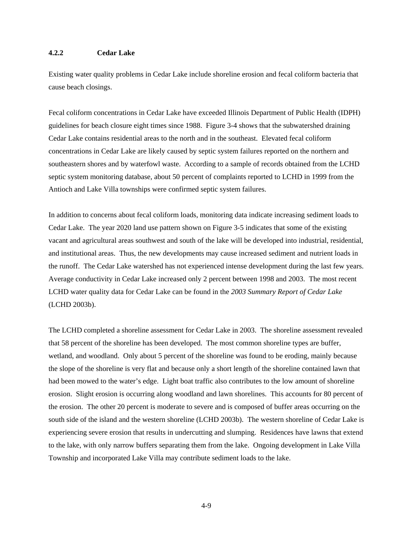#### **4.2.2 Cedar Lake**

Existing water quality problems in Cedar Lake include shoreline erosion and fecal coliform bacteria that cause beach closings.

Fecal coliform concentrations in Cedar Lake have exceeded Illinois Department of Public Health (IDPH) guidelines for beach closure eight times since 1988. Figure 3-4 shows that the subwatershed draining Cedar Lake contains residential areas to the north and in the southeast. Elevated fecal coliform concentrations in Cedar Lake are likely caused by septic system failures reported on the northern and southeastern shores and by waterfowl waste. According to a sample of records obtained from the LCHD septic system monitoring database, about 50 percent of complaints reported to LCHD in 1999 from the Antioch and Lake Villa townships were confirmed septic system failures.

In addition to concerns about fecal coliform loads, monitoring data indicate increasing sediment loads to Cedar Lake. The year 2020 land use pattern shown on Figure 3-5 indicates that some of the existing vacant and agricultural areas southwest and south of the lake will be developed into industrial, residential, and institutional areas. Thus, the new developments may cause increased sediment and nutrient loads in the runoff. The Cedar Lake watershed has not experienced intense development during the last few years. Average conductivity in Cedar Lake increased only 2 percent between 1998 and 2003. The most recent LCHD water quality data for Cedar Lake can be found in the *2003 Summary Report of Cedar Lake* (LCHD 2003b).

The LCHD completed a shoreline assessment for Cedar Lake in 2003. The shoreline assessment revealed that 58 percent of the shoreline has been developed. The most common shoreline types are buffer, wetland, and woodland. Only about 5 percent of the shoreline was found to be eroding, mainly because the slope of the shoreline is very flat and because only a short length of the shoreline contained lawn that had been mowed to the water's edge. Light boat traffic also contributes to the low amount of shoreline erosion. Slight erosion is occurring along woodland and lawn shorelines. This accounts for 80 percent of the erosion. The other 20 percent is moderate to severe and is composed of buffer areas occurring on the south side of the island and the western shoreline (LCHD 2003b). The western shoreline of Cedar Lake is experiencing severe erosion that results in undercutting and slumping. Residences have lawns that extend to the lake, with only narrow buffers separating them from the lake. Ongoing development in Lake Villa Township and incorporated Lake Villa may contribute sediment loads to the lake.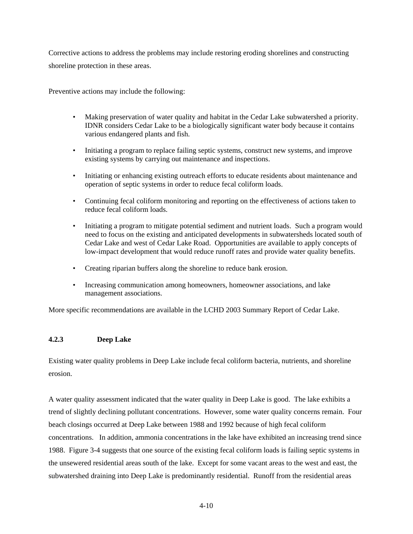Corrective actions to address the problems may include restoring eroding shorelines and constructing shoreline protection in these areas.

Preventive actions may include the following:

- Making preservation of water quality and habitat in the Cedar Lake subwatershed a priority. IDNR considers Cedar Lake to be a biologically significant water body because it contains various endangered plants and fish.
- Initiating a program to replace failing septic systems, construct new systems, and improve existing systems by carrying out maintenance and inspections.
- Initiating or enhancing existing outreach efforts to educate residents about maintenance and operation of septic systems in order to reduce fecal coliform loads.
- Continuing fecal coliform monitoring and reporting on the effectiveness of actions taken to reduce fecal coliform loads.
- Initiating a program to mitigate potential sediment and nutrient loads. Such a program would need to focus on the existing and anticipated developments in subwatersheds located south of Cedar Lake and west of Cedar Lake Road. Opportunities are available to apply concepts of low-impact development that would reduce runoff rates and provide water quality benefits.
- Creating riparian buffers along the shoreline to reduce bank erosion.
- Increasing communication among homeowners, homeowner associations, and lake management associations.

More specific recommendations are available in the LCHD 2003 Summary Report of Cedar Lake.

# **4.2.3 Deep Lake**

Existing water quality problems in Deep Lake include fecal coliform bacteria, nutrients, and shoreline erosion.

A water quality assessment indicated that the water quality in Deep Lake is good. The lake exhibits a trend of slightly declining pollutant concentrations. However, some water quality concerns remain. Four beach closings occurred at Deep Lake between 1988 and 1992 because of high fecal coliform concentrations. In addition, ammonia concentrations in the lake have exhibited an increasing trend since 1988. Figure 3-4 suggests that one source of the existing fecal coliform loads is failing septic systems in the unsewered residential areas south of the lake. Except for some vacant areas to the west and east, the subwatershed draining into Deep Lake is predominantly residential. Runoff from the residential areas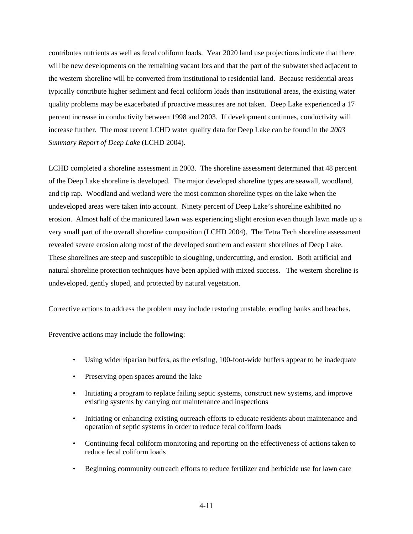contributes nutrients as well as fecal coliform loads. Year 2020 land use projections indicate that there will be new developments on the remaining vacant lots and that the part of the subwatershed adjacent to the western shoreline will be converted from institutional to residential land. Because residential areas typically contribute higher sediment and fecal coliform loads than institutional areas, the existing water quality problems may be exacerbated if proactive measures are not taken. Deep Lake experienced a 17 percent increase in conductivity between 1998 and 2003. If development continues, conductivity will increase further. The most recent LCHD water quality data for Deep Lake can be found in the *2003 Summary Report of Deep Lake* (LCHD 2004).

LCHD completed a shoreline assessment in 2003. The shoreline assessment determined that 48 percent of the Deep Lake shoreline is developed. The major developed shoreline types are seawall, woodland, and rip rap. Woodland and wetland were the most common shoreline types on the lake when the undeveloped areas were taken into account. Ninety percent of Deep Lake's shoreline exhibited no erosion. Almost half of the manicured lawn was experiencing slight erosion even though lawn made up a very small part of the overall shoreline composition (LCHD 2004). The Tetra Tech shoreline assessment revealed severe erosion along most of the developed southern and eastern shorelines of Deep Lake. These shorelines are steep and susceptible to sloughing, undercutting, and erosion. Both artificial and natural shoreline protection techniques have been applied with mixed success. The western shoreline is undeveloped, gently sloped, and protected by natural vegetation.

Corrective actions to address the problem may include restoring unstable, eroding banks and beaches.

Preventive actions may include the following:

- Using wider riparian buffers, as the existing, 100-foot-wide buffers appear to be inadequate
- Preserving open spaces around the lake
- Initiating a program to replace failing septic systems, construct new systems, and improve existing systems by carrying out maintenance and inspections
- Initiating or enhancing existing outreach efforts to educate residents about maintenance and operation of septic systems in order to reduce fecal coliform loads
- Continuing fecal coliform monitoring and reporting on the effectiveness of actions taken to reduce fecal coliform loads
- Beginning community outreach efforts to reduce fertilizer and herbicide use for lawn care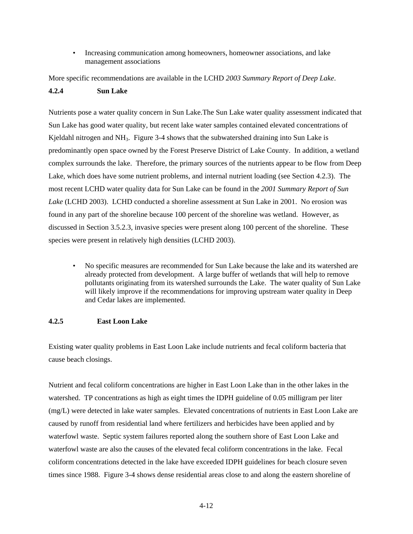• Increasing communication among homeowners, homeowner associations, and lake management associations

More specific recommendations are available in the LCHD *2003 Summary Report of Deep Lake*.

## **4.2.4 Sun Lake**

Nutrients pose a water quality concern in Sun Lake.The Sun Lake water quality assessment indicated that Sun Lake has good water quality, but recent lake water samples contained elevated concentrations of Kjeldahl nitrogen and NH<sub>3</sub>. Figure 3-4 shows that the subwatershed draining into Sun Lake is predominantly open space owned by the Forest Preserve District of Lake County. In addition, a wetland complex surrounds the lake. Therefore, the primary sources of the nutrients appear to be flow from Deep Lake, which does have some nutrient problems, and internal nutrient loading (see Section 4.2.3). The most recent LCHD water quality data for Sun Lake can be found in the *2001 Summary Report of Sun Lake* (LCHD 2003). LCHD conducted a shoreline assessment at Sun Lake in 2001. No erosion was found in any part of the shoreline because 100 percent of the shoreline was wetland. However, as discussed in Section 3.5.2.3, invasive species were present along 100 percent of the shoreline. These species were present in relatively high densities (LCHD 2003).

• No specific measures are recommended for Sun Lake because the lake and its watershed are already protected from development. A large buffer of wetlands that will help to remove pollutants originating from its watershed surrounds the Lake. The water quality of Sun Lake will likely improve if the recommendations for improving upstream water quality in Deep and Cedar lakes are implemented.

## **4.2.5 East Loon Lake**

Existing water quality problems in East Loon Lake include nutrients and fecal coliform bacteria that cause beach closings.

Nutrient and fecal coliform concentrations are higher in East Loon Lake than in the other lakes in the watershed. TP concentrations as high as eight times the IDPH guideline of 0.05 milligram per liter (mg/L) were detected in lake water samples. Elevated concentrations of nutrients in East Loon Lake are caused by runoff from residential land where fertilizers and herbicides have been applied and by waterfowl waste. Septic system failures reported along the southern shore of East Loon Lake and waterfowl waste are also the causes of the elevated fecal coliform concentrations in the lake. Fecal coliform concentrations detected in the lake have exceeded IDPH guidelines for beach closure seven times since 1988. Figure 3-4 shows dense residential areas close to and along the eastern shoreline of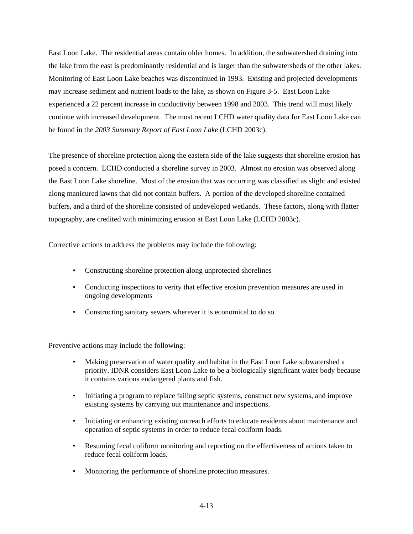East Loon Lake. The residential areas contain older homes. In addition, the subwatershed draining into the lake from the east is predominantly residential and is larger than the subwatersheds of the other lakes. Monitoring of East Loon Lake beaches was discontinued in 1993. Existing and projected developments may increase sediment and nutrient loads to the lake, as shown on Figure 3-5. East Loon Lake experienced a 22 percent increase in conductivity between 1998 and 2003. This trend will most likely continue with increased development. The most recent LCHD water quality data for East Loon Lake can be found in the *2003 Summary Report of East Loon Lake* (LCHD 2003c).

The presence of shoreline protection along the eastern side of the lake suggests that shoreline erosion has posed a concern. LCHD conducted a shoreline survey in 2003. Almost no erosion was observed along the East Loon Lake shoreline. Most of the erosion that was occurring was classified as slight and existed along manicured lawns that did not contain buffers. A portion of the developed shoreline contained buffers, and a third of the shoreline consisted of undeveloped wetlands. These factors, along with flatter topography, are credited with minimizing erosion at East Loon Lake (LCHD 2003c).

Corrective actions to address the problems may include the following:

- Constructing shoreline protection along unprotected shorelines
- Conducting inspections to verity that effective erosion prevention measures are used in ongoing developments
- Constructing sanitary sewers wherever it is economical to do so

Preventive actions may include the following:

- Making preservation of water quality and habitat in the East Loon Lake subwatershed a priority. IDNR considers East Loon Lake to be a biologically significant water body because it contains various endangered plants and fish.
- Initiating a program to replace failing septic systems, construct new systems, and improve existing systems by carrying out maintenance and inspections.
- Initiating or enhancing existing outreach efforts to educate residents about maintenance and operation of septic systems in order to reduce fecal coliform loads.
- Resuming fecal coliform monitoring and reporting on the effectiveness of actions taken to reduce fecal coliform loads.
- Monitoring the performance of shoreline protection measures.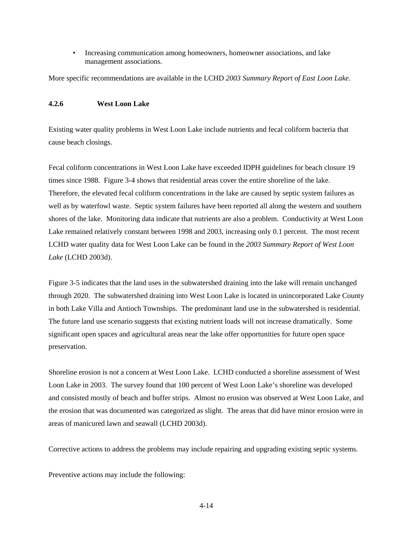• Increasing communication among homeowners, homeowner associations, and lake management associations.

More specific recommendations are available in the LCHD *2003 Summary Report of East Loon Lake*.

### **4.2.6 West Loon Lake**

Existing water quality problems in West Loon Lake include nutrients and fecal coliform bacteria that cause beach closings.

Fecal coliform concentrations in West Loon Lake have exceeded IDPH guidelines for beach closure 19 times since 1988. Figure 3-4 shows that residential areas cover the entire shoreline of the lake. Therefore, the elevated fecal coliform concentrations in the lake are caused by septic system failures as well as by waterfowl waste. Septic system failures have been reported all along the western and southern shores of the lake. Monitoring data indicate that nutrients are also a problem. Conductivity at West Loon Lake remained relatively constant between 1998 and 2003, increasing only 0.1 percent. The most recent LCHD water quality data for West Loon Lake can be found in the *2003 Summary Report of West Loon Lake* (LCHD 2003d).

Figure 3-5 indicates that the land uses in the subwatershed draining into the lake will remain unchanged through 2020. The subwatershed draining into West Loon Lake is located in unincorporated Lake County in both Lake Villa and Antioch Townships. The predominant land use in the subwatershed is residential. The future land use scenario suggests that existing nutrient loads will not increase dramatically. Some significant open spaces and agricultural areas near the lake offer opportunities for future open space preservation.

Shoreline erosion is not a concern at West Loon Lake. LCHD conducted a shoreline assessment of West Loon Lake in 2003. The survey found that 100 percent of West Loon Lake's shoreline was developed and consisted mostly of beach and buffer strips. Almost no erosion was observed at West Loon Lake, and the erosion that was documented was categorized as slight. The areas that did have minor erosion were in areas of manicured lawn and seawall (LCHD 2003d).

Corrective actions to address the problems may include repairing and upgrading existing septic systems.

Preventive actions may include the following: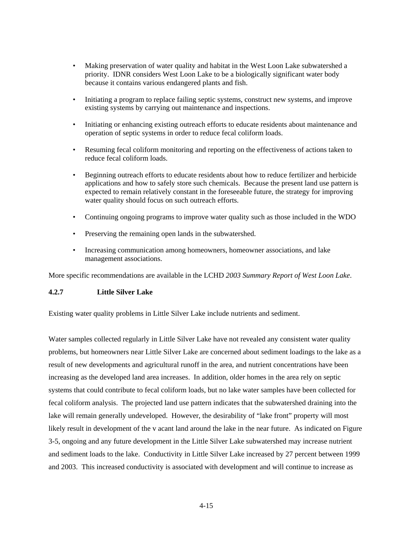- Making preservation of water quality and habitat in the West Loon Lake subwatershed a priority. IDNR considers West Loon Lake to be a biologically significant water body because it contains various endangered plants and fish.
- Initiating a program to replace failing septic systems, construct new systems, and improve existing systems by carrying out maintenance and inspections.
- Initiating or enhancing existing outreach efforts to educate residents about maintenance and operation of septic systems in order to reduce fecal coliform loads.
- Resuming fecal coliform monitoring and reporting on the effectiveness of actions taken to reduce fecal coliform loads.
- Beginning outreach efforts to educate residents about how to reduce fertilizer and herbicide applications and how to safely store such chemicals. Because the present land use pattern is expected to remain relatively constant in the foreseeable future, the strategy for improving water quality should focus on such outreach efforts.
- Continuing ongoing programs to improve water quality such as those included in the WDO
- Preserving the remaining open lands in the subwatershed.
- Increasing communication among homeowners, homeowner associations, and lake management associations.

More specific recommendations are available in the LCHD *2003 Summary Report of West Loon Lake*.

# **4.2.7 Little Silver Lake**

Existing water quality problems in Little Silver Lake include nutrients and sediment.

Water samples collected regularly in Little Silver Lake have not revealed any consistent water quality problems, but homeowners near Little Silver Lake are concerned about sediment loadings to the lake as a result of new developments and agricultural runoff in the area, and nutrient concentrations have been increasing as the developed land area increases. In addition, older homes in the area rely on septic systems that could contribute to fecal coliform loads, but no lake water samples have been collected for fecal coliform analysis. The projected land use pattern indicates that the subwatershed draining into the lake will remain generally undeveloped. However, the desirability of "lake front" property will most likely result in development of the v acant land around the lake in the near future. As indicated on Figure 3-5, ongoing and any future development in the Little Silver Lake subwatershed may increase nutrient and sediment loads to the lake. Conductivity in Little Silver Lake increased by 27 percent between 1999 and 2003. This increased conductivity is associated with development and will continue to increase as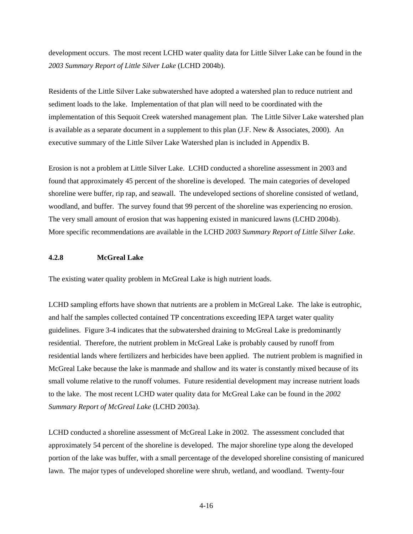development occurs. The most recent LCHD water quality data for Little Silver Lake can be found in the *2003 Summary Report of Little Silver Lake* (LCHD 2004b).

Residents of the Little Silver Lake subwatershed have adopted a watershed plan to reduce nutrient and sediment loads to the lake. Implementation of that plan will need to be coordinated with the implementation of this Sequoit Creek watershed management plan. The Little Silver Lake watershed plan is available as a separate document in a supplement to this plan (J.F. New & Associates, 2000). An executive summary of the Little Silver Lake Watershed plan is included in Appendix B.

Erosion is not a problem at Little Silver Lake. LCHD conducted a shoreline assessment in 2003 and found that approximately 45 percent of the shoreline is developed. The main categories of developed shoreline were buffer, rip rap, and seawall. The undeveloped sections of shoreline consisted of wetland, woodland, and buffer. The survey found that 99 percent of the shoreline was experiencing no erosion. The very small amount of erosion that was happening existed in manicured lawns (LCHD 2004b). More specific recommendations are available in the LCHD *2003 Summary Report of Little Silver Lake*.

# **4.2.8 McGreal Lake**

The existing water quality problem in McGreal Lake is high nutrient loads.

LCHD sampling efforts have shown that nutrients are a problem in McGreal Lake. The lake is eutrophic, and half the samples collected contained TP concentrations exceeding IEPA target water quality guidelines. Figure 3-4 indicates that the subwatershed draining to McGreal Lake is predominantly residential. Therefore, the nutrient problem in McGreal Lake is probably caused by runoff from residential lands where fertilizers and herbicides have been applied. The nutrient problem is magnified in McGreal Lake because the lake is manmade and shallow and its water is constantly mixed because of its small volume relative to the runoff volumes. Future residential development may increase nutrient loads to the lake. The most recent LCHD water quality data for McGreal Lake can be found in the *2002 Summary Report of McGreal Lake* (LCHD 2003a).

LCHD conducted a shoreline assessment of McGreal Lake in 2002. The assessment concluded that approximately 54 percent of the shoreline is developed. The major shoreline type along the developed portion of the lake was buffer, with a small percentage of the developed shoreline consisting of manicured lawn. The major types of undeveloped shoreline were shrub, wetland, and woodland. Twenty-four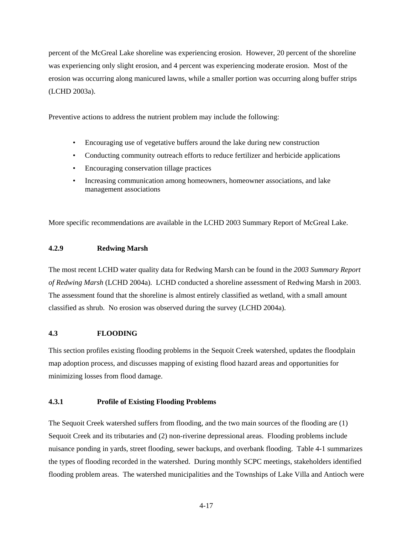percent of the McGreal Lake shoreline was experiencing erosion. However, 20 percent of the shoreline was experiencing only slight erosion, and 4 percent was experiencing moderate erosion. Most of the erosion was occurring along manicured lawns, while a smaller portion was occurring along buffer strips (LCHD 2003a).

Preventive actions to address the nutrient problem may include the following:

- Encouraging use of vegetative buffers around the lake during new construction
- Conducting community outreach efforts to reduce fertilizer and herbicide applications
- Encouraging conservation tillage practices
- Increasing communication among homeowners, homeowner associations, and lake management associations

More specific recommendations are available in the LCHD 2003 Summary Report of McGreal Lake.

## **4.2.9 Redwing Marsh**

The most recent LCHD water quality data for Redwing Marsh can be found in the *2003 Summary Report of Redwing Marsh* (LCHD 2004a). LCHD conducted a shoreline assessment of Redwing Marsh in 2003. The assessment found that the shoreline is almost entirely classified as wetland, with a small amount classified as shrub. No erosion was observed during the survey (LCHD 2004a).

#### **4.3 FLOODING**

This section profiles existing flooding problems in the Sequoit Creek watershed, updates the floodplain map adoption process, and discusses mapping of existing flood hazard areas and opportunities for minimizing losses from flood damage.

#### **4.3.1 Profile of Existing Flooding Problems**

The Sequoit Creek watershed suffers from flooding, and the two main sources of the flooding are (1) Sequoit Creek and its tributaries and (2) non-riverine depressional areas. Flooding problems include nuisance ponding in yards, street flooding, sewer backups, and overbank flooding. Table 4-1 summarizes the types of flooding recorded in the watershed. During monthly SCPC meetings, stakeholders identified flooding problem areas. The watershed municipalities and the Townships of Lake Villa and Antioch were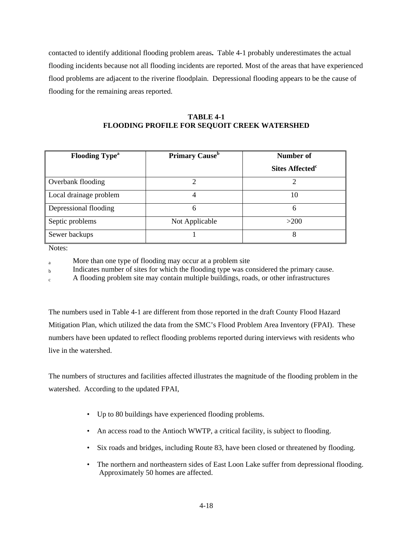contacted to identify additional flooding problem areas**.** Table 4-1 probably underestimates the actual flooding incidents because not all flooding incidents are reported. Most of the areas that have experienced flood problems are adjacent to the riverine floodplain. Depressional flooding appears to be the cause of flooding for the remaining areas reported.

# **TABLE 4-1 FLOODING PROFILE FOR SEQUOIT CREEK WATERSHED**

| <b>Flooding Type<sup>a</sup></b> | <b>Primary Cause</b> <sup>b</sup> | Number of                   |
|----------------------------------|-----------------------------------|-----------------------------|
|                                  |                                   | Sites Affected <sup>c</sup> |
| Overbank flooding                |                                   |                             |
| Local drainage problem           |                                   | 10                          |
| Depressional flooding            | h                                 | 6                           |
| Septic problems                  | Not Applicable                    | >200                        |
| Sewer backups                    |                                   | 8                           |

Notes:

B More than one type of flooding may occur at a problem site

B Indicates number of sites for which the flooding type was considered the primary cause.

e<sup>-</sup> A flooding problem site may contain multiple buildings, roads, or other infrastructures

The numbers used in Table 4-1 are different from those reported in the draft County Flood Hazard Mitigation Plan, which utilized the data from the SMC's Flood Problem Area Inventory (FPAI). These numbers have been updated to reflect flooding problems reported during interviews with residents who live in the watershed.

The numbers of structures and facilities affected illustrates the magnitude of the flooding problem in the watershed. According to the updated FPAI,

- Up to 80 buildings have experienced flooding problems.
- An access road to the Antioch WWTP, a critical facility, is subject to flooding.
- Six roads and bridges, including Route 83, have been closed or threatened by flooding.
- The northern and northeastern sides of East Loon Lake suffer from depressional flooding. Approximately 50 homes are affected.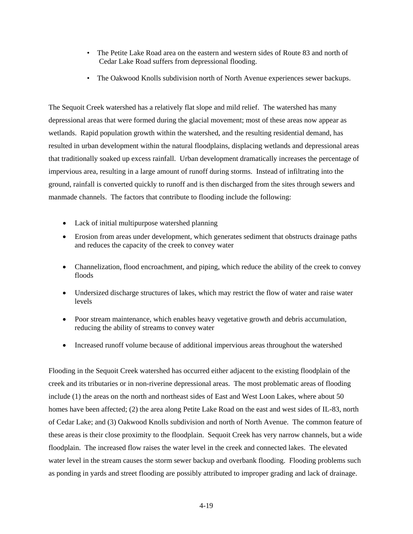- The Petite Lake Road area on the eastern and western sides of Route 83 and north of Cedar Lake Road suffers from depressional flooding.
- The Oakwood Knolls subdivision north of North Avenue experiences sewer backups.

The Sequoit Creek watershed has a relatively flat slope and mild relief. The watershed has many depressional areas that were formed during the glacial movement; most of these areas now appear as wetlands. Rapid population growth within the watershed, and the resulting residential demand, has resulted in urban development within the natural floodplains, displacing wetlands and depressional areas that traditionally soaked up excess rainfall. Urban development dramatically increases the percentage of impervious area, resulting in a large amount of runoff during storms. Instead of infiltrating into the ground, rainfall is converted quickly to runoff and is then discharged from the sites through sewers and manmade channels. The factors that contribute to flooding include the following:

- Lack of initial multipurpose watershed planning
- Erosion from areas under development, which generates sediment that obstructs drainage paths and reduces the capacity of the creek to convey water
- Channelization, flood encroachment, and piping, which reduce the ability of the creek to convey floods
- Undersized discharge structures of lakes, which may restrict the flow of water and raise water levels
- Poor stream maintenance, which enables heavy vegetative growth and debris accumulation, reducing the ability of streams to convey water
- Increased runoff volume because of additional impervious areas throughout the watershed

Flooding in the Sequoit Creek watershed has occurred either adjacent to the existing floodplain of the creek and its tributaries or in non-riverine depressional areas. The most problematic areas of flooding include (1) the areas on the north and northeast sides of East and West Loon Lakes, where about 50 homes have been affected; (2) the area along Petite Lake Road on the east and west sides of IL-83, north of Cedar Lake; and (3) Oakwood Knolls subdivision and north of North Avenue. The common feature of these areas is their close proximity to the floodplain. Sequoit Creek has very narrow channels, but a wide floodplain. The increased flow raises the water level in the creek and connected lakes. The elevated water level in the stream causes the storm sewer backup and overbank flooding. Flooding problems such as ponding in yards and street flooding are possibly attributed to improper grading and lack of drainage.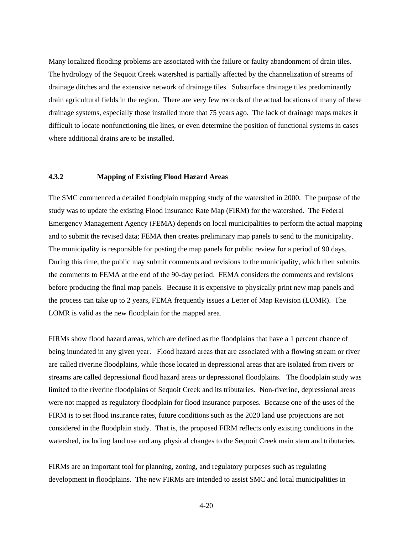Many localized flooding problems are associated with the failure or faulty abandonment of drain tiles. The hydrology of the Sequoit Creek watershed is partially affected by the channelization of streams of drainage ditches and the extensive network of drainage tiles. Subsurface drainage tiles predominantly drain agricultural fields in the region. There are very few records of the actual locations of many of these drainage systems, especially those installed more that 75 years ago. The lack of drainage maps makes it difficult to locate nonfunctioning tile lines, or even determine the position of functional systems in cases where additional drains are to be installed.

#### **4.3.2 Mapping of Existing Flood Hazard Areas**

The SMC commenced a detailed floodplain mapping study of the watershed in 2000. The purpose of the study was to update the existing Flood Insurance Rate Map (FIRM) for the watershed. The Federal Emergency Management Agency (FEMA) depends on local municipalities to perform the actual mapping and to submit the revised data; FEMA then creates preliminary map panels to send to the municipality. The municipality is responsible for posting the map panels for public review for a period of 90 days. During this time, the public may submit comments and revisions to the municipality, which then submits the comments to FEMA at the end of the 90-day period. FEMA considers the comments and revisions before producing the final map panels. Because it is expensive to physically print new map panels and the process can take up to 2 years, FEMA frequently issues a Letter of Map Revision (LOMR). The LOMR is valid as the new floodplain for the mapped area.

FIRMs show flood hazard areas, which are defined as the floodplains that have a 1 percent chance of being inundated in any given year. Flood hazard areas that are associated with a flowing stream or river are called riverine floodplains, while those located in depressional areas that are isolated from rivers or streams are called depressional flood hazard areas or depressional floodplains. The floodplain study was limited to the riverine floodplains of Sequoit Creek and its tributaries. Non-riverine, depressional areas were not mapped as regulatory floodplain for flood insurance purposes. Because one of the uses of the FIRM is to set flood insurance rates, future conditions such as the 2020 land use projections are not considered in the floodplain study. That is, the proposed FIRM reflects only existing conditions in the watershed, including land use and any physical changes to the Sequoit Creek main stem and tributaries.

FIRMs are an important tool for planning, zoning, and regulatory purposes such as regulating development in floodplains. The new FIRMs are intended to assist SMC and local municipalities in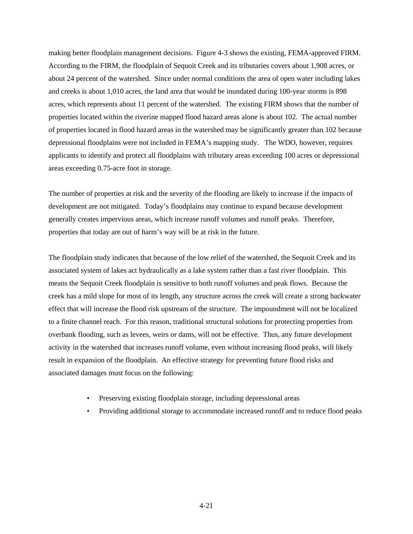making better floodplain management decisions. Figure 4-3 shows the existing, FEMA-approved FIRM. According to the FIRM, the floodplain of Sequoit Creek and its tributaries covers about 1,908 acres, or about 24 percent of the watershed. Since under normal conditions the area of open water including lakes and creeks is about 1,010 acres, the land area that would be inundated during 100-year storms is 898 acres, which represents about 11 percent of the watershed. The existing FIRM shows that the number of properties located within the riverine mapped flood hazard areas alone is about 102. The actual number of properties located in flood hazard areas in the watershed may be significantly greater than 102 because depressional floodplains were not included in FEMA's mapping study. The WDO, however, requires applicants to identify and protect all floodplains with tributary areas exceeding 100 acres or depressional areas exceeding 0.75-acre foot in storage.

The number of properties at risk and the severity of the flooding are likely to increase if the impacts of development are not mitigated. Today's floodplains may continue to expand because development generally creates impervious areas, which increase runoff volumes and runoff peaks. Therefore, properties that today are out of harm's way will be at risk in the future.

The floodplain study indicates that because of the low relief of the watershed, the Sequoit Creek and its associated system of lakes act hydraulically as a lake system rather than a fast river floodplain. This means the Sequoit Creek floodplain is sensitive to both runoff volumes and peak flows. Because the creek has a mild slope for most of its length, any structure across the creek will create a strong backwater effect that will increase the flood risk upstream of the structure. The impoundment will not be localized to a finite channel reach. For this reason, traditional structural solutions for protecting properties from overbank flooding, such as levees, weirs or dams, will not be effective. Thus, any future development activity in the watershed that increases runoff volume, even without increasing flood peaks, will likely result in expansion of the floodplain. An effective strategy for preventing future flood risks and associated damages must focus on the following:

- Preserving existing floodplain storage, including depressional areas
- Providing additional storage to accommodate increased runoff and to reduce flood peaks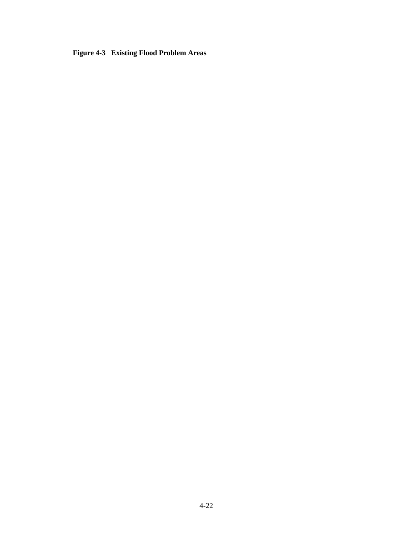**Figure 4-3 Existing Flood Problem Areas**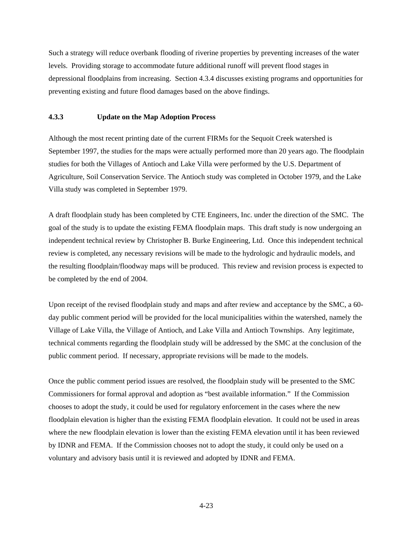Such a strategy will reduce overbank flooding of riverine properties by preventing increases of the water levels. Providing storage to accommodate future additional runoff will prevent flood stages in depressional floodplains from increasing. Section 4.3.4 discusses existing programs and opportunities for preventing existing and future flood damages based on the above findings.

## **4.3.3 Update on the Map Adoption Process**

Although the most recent printing date of the current FIRMs for the Sequoit Creek watershed is September 1997, the studies for the maps were actually performed more than 20 years ago. The floodplain studies for both the Villages of Antioch and Lake Villa were performed by the U.S. Department of Agriculture, Soil Conservation Service. The Antioch study was completed in October 1979, and the Lake Villa study was completed in September 1979.

A draft floodplain study has been completed by CTE Engineers, Inc. under the direction of the SMC. The goal of the study is to update the existing FEMA floodplain maps. This draft study is now undergoing an independent technical review by Christopher B. Burke Engineering, Ltd. Once this independent technical review is completed, any necessary revisions will be made to the hydrologic and hydraulic models, and the resulting floodplain/floodway maps will be produced. This review and revision process is expected to be completed by the end of 2004.

Upon receipt of the revised floodplain study and maps and after review and acceptance by the SMC, a 60 day public comment period will be provided for the local municipalities within the watershed, namely the Village of Lake Villa, the Village of Antioch, and Lake Villa and Antioch Townships. Any legitimate, technical comments regarding the floodplain study will be addressed by the SMC at the conclusion of the public comment period. If necessary, appropriate revisions will be made to the models.

Once the public comment period issues are resolved, the floodplain study will be presented to the SMC Commissioners for formal approval and adoption as "best available information." If the Commission chooses to adopt the study, it could be used for regulatory enforcement in the cases where the new floodplain elevation is higher than the existing FEMA floodplain elevation. It could not be used in areas where the new floodplain elevation is lower than the existing FEMA elevation until it has been reviewed by IDNR and FEMA. If the Commission chooses not to adopt the study, it could only be used on a voluntary and advisory basis until it is reviewed and adopted by IDNR and FEMA.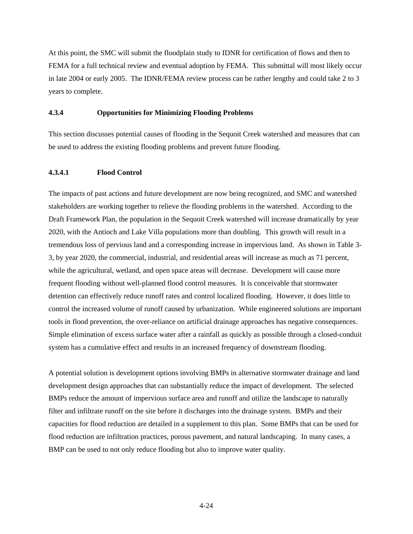At this point, the SMC will submit the floodplain study to IDNR for certification of flows and then to FEMA for a full technical review and eventual adoption by FEMA. This submittal will most likely occur in late 2004 or early 2005. The IDNR/FEMA review process can be rather lengthy and could take 2 to 3 years to complete.

#### **4.3.4 Opportunities for Minimizing Flooding Problems**

This section discusses potential causes of flooding in the Sequoit Creek watershed and measures that can be used to address the existing flooding problems and prevent future flooding.

#### **4.3.4.1 Flood Control**

The impacts of past actions and future development are now being recognized, and SMC and watershed stakeholders are working together to relieve the flooding problems in the watershed. According to the Draft Framework Plan, the population in the Sequoit Creek watershed will increase dramatically by year 2020, with the Antioch and Lake Villa populations more than doubling. This growth will result in a tremendous loss of pervious land and a corresponding increase in impervious land. As shown in Table 3- 3, by year 2020, the commercial, industrial, and residential areas will increase as much as 71 percent, while the agricultural, wetland, and open space areas will decrease. Development will cause more frequent flooding without well-planned flood control measures. It is conceivable that stormwater detention can effectively reduce runoff rates and control localized flooding. However, it does little to control the increased volume of runoff caused by urbanization. While engineered solutions are important tools in flood prevention, the over-reliance on artificial drainage approaches has negative consequences. Simple elimination of excess surface water after a rainfall as quickly as possible through a closed-conduit system has a cumulative effect and results in an increased frequency of downstream flooding.

A potential solution is development options involving BMPs in alternative stormwater drainage and land development design approaches that can substantially reduce the impact of development. The selected BMPs reduce the amount of impervious surface area and runoff and utilize the landscape to naturally filter and infiltrate runoff on the site before it discharges into the drainage system. BMPs and their capacities for flood reduction are detailed in a supplement to this plan. Some BMPs that can be used for flood reduction are infiltration practices, porous pavement, and natural landscaping. In many cases, a BMP can be used to not only reduce flooding but also to improve water quality.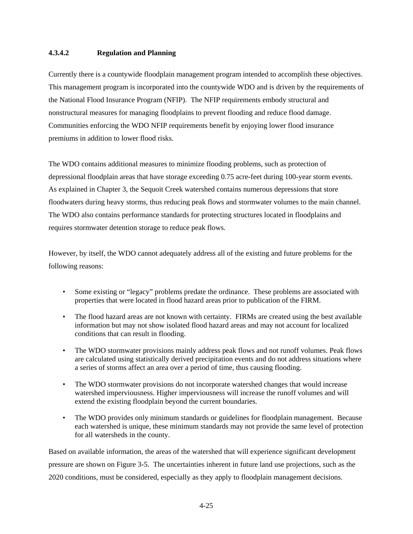#### **4.3.4.2 Regulation and Planning**

Currently there is a countywide floodplain management program intended to accomplish these objectives. This management program is incorporated into the countywide WDO and is driven by the requirements of the National Flood Insurance Program (NFIP). The NFIP requirements embody structural and nonstructural measures for managing floodplains to prevent flooding and reduce flood damage. Communities enforcing the WDO NFIP requirements benefit by enjoying lower flood insurance premiums in addition to lower flood risks.

The WDO contains additional measures to minimize flooding problems, such as protection of depressional floodplain areas that have storage exceeding 0.75 acre-feet during 100-year storm events. As explained in Chapter 3, the Sequoit Creek watershed contains numerous depressions that store floodwaters during heavy storms, thus reducing peak flows and stormwater volumes to the main channel. The WDO also contains performance standards for protecting structures located in floodplains and requires stormwater detention storage to reduce peak flows.

However, by itself, the WDO cannot adequately address all of the existing and future problems for the following reasons:

- Some existing or "legacy" problems predate the ordinance. These problems are associated with properties that were located in flood hazard areas prior to publication of the FIRM.
- The flood hazard areas are not known with certainty. FIRMs are created using the best available information but may not show isolated flood hazard areas and may not account for localized conditions that can result in flooding.
- The WDO stormwater provisions mainly address peak flows and not runoff volumes. Peak flows are calculated using statistically derived precipitation events and do not address situations where a series of storms affect an area over a period of time, thus causing flooding.
- The WDO stormwater provisions do not incorporate watershed changes that would increase watershed imperviousness. Higher imperviousness will increase the runoff volumes and will extend the existing floodplain beyond the current boundaries.
- The WDO provides only minimum standards or guidelines for floodplain management. Because each watershed is unique, these minimum standards may not provide the same level of protection for all watersheds in the county.

Based on available information, the areas of the watershed that will experience significant development pressure are shown on Figure 3-5. The uncertainties inherent in future land use projections, such as the 2020 conditions, must be considered, especially as they apply to floodplain management decisions.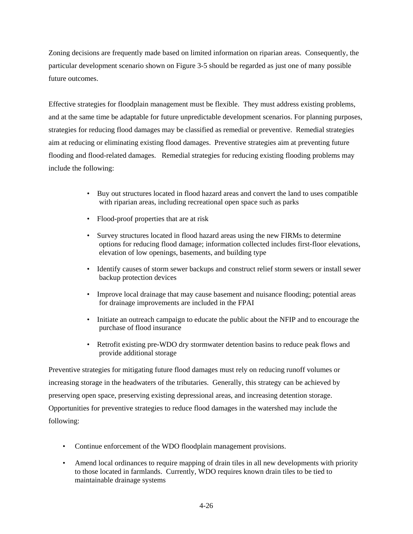Zoning decisions are frequently made based on limited information on riparian areas. Consequently, the particular development scenario shown on Figure 3-5 should be regarded as just one of many possible future outcomes.

Effective strategies for floodplain management must be flexible. They must address existing problems, and at the same time be adaptable for future unpredictable development scenarios. For planning purposes, strategies for reducing flood damages may be classified as remedial or preventive. Remedial strategies aim at reducing or eliminating existing flood damages. Preventive strategies aim at preventing future flooding and flood-related damages. Remedial strategies for reducing existing flooding problems may include the following:

- Buy out structures located in flood hazard areas and convert the land to uses compatible with riparian areas, including recreational open space such as parks
- Flood-proof properties that are at risk
- Survey structures located in flood hazard areas using the new FIRMs to determine options for reducing flood damage; information collected includes first-floor elevations, elevation of low openings, basements, and building type
- Identify causes of storm sewer backups and construct relief storm sewers or install sewer backup protection devices
- Improve local drainage that may cause basement and nuisance flooding; potential areas for drainage improvements are included in the FPAI
- Initiate an outreach campaign to educate the public about the NFIP and to encourage the purchase of flood insurance
- Retrofit existing pre-WDO dry stormwater detention basins to reduce peak flows and provide additional storage

Preventive strategies for mitigating future flood damages must rely on reducing runoff volumes or increasing storage in the headwaters of the tributaries. Generally, this strategy can be achieved by preserving open space, preserving existing depressional areas, and increasing detention storage. Opportunities for preventive strategies to reduce flood damages in the watershed may include the following:

- Continue enforcement of the WDO floodplain management provisions.
- Amend local ordinances to require mapping of drain tiles in all new developments with priority to those located in farmlands. Currently, WDO requires known drain tiles to be tied to maintainable drainage systems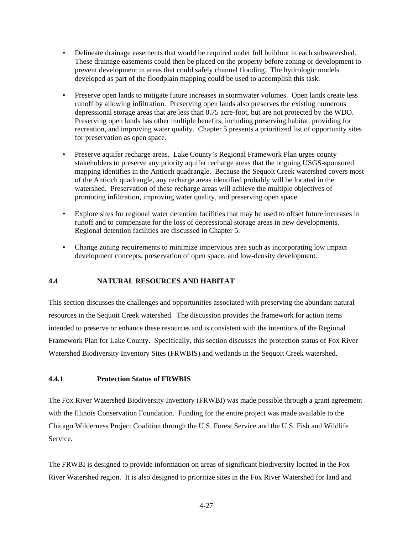- Delineate drainage easements that would be required under full buildout in each subwatershed. These drainage easements could then be placed on the property before zoning or development to prevent development in areas that could safely channel flooding. The hydrologic models developed as part of the floodplain mapping could be used to accomplish this task.
- Preserve open lands to mitigate future increases in stormwater volumes. Open lands create less runoff by allowing infiltration. Preserving open lands also preserves the existing numerous depressional storage areas that are less than 0.75 acre-foot, but are not protected by the WDO. Preserving open lands has other multiple benefits, including preserving habitat, providing for recreation, and improving water quality. Chapter 5 presents a prioritized list of opportunity sites for preservation as open space.
- Preserve aquifer recharge areas. Lake County's Regional Framework Plan urges county stakeholders to preserve any priority aquifer recharge areas that the ongoing USGS-sponsored mapping identifies in the Antioch quadrangle. Because the Sequoit Creek watershed covers most of the Antioch quadrangle, any recharge areas identified probably will be located in the watershed. Preservation of these recharge areas will achieve the multiple objectives of promoting infiltration, improving water quality, and preserving open space.
- Explore sites for regional water detention facilities that may be used to offset future increases in runoff and to compensate for the loss of depressional storage areas in new developments. Regional detention facilities are discussed in Chapter 5.
- Change zoning requirements to minimize impervious area such as incorporating low impact development concepts, preservation of open space, and low-density development.

## **4.4 NATURAL RESOURCES AND HABITAT**

This section discusses the challenges and opportunities associated with preserving the abundant natural resources in the Sequoit Creek watershed. The discussion provides the framework for action items intended to preserve or enhance these resources and is consistent with the intentions of the Regional Framework Plan for Lake County. Specifically, this section discusses the protection status of Fox River Watershed Biodiversity Inventory Sites (FRWBIS) and wetlands in the Sequoit Creek watershed.

#### **4.4.1 Protection Status of FRWBIS**

The Fox River Watershed Biodiversity Inventory (FRWBI) was made possible through a grant agreement with the Illinois Conservation Foundation. Funding for the entire project was made available to the Chicago Wilderness Project Coalition through the U.S. Forest Service and the U.S. Fish and Wildlife Service.

The FRWBI is designed to provide information on areas of significant biodiversity located in the Fox River Watershed region. It is also designed to prioritize sites in the Fox River Watershed for land and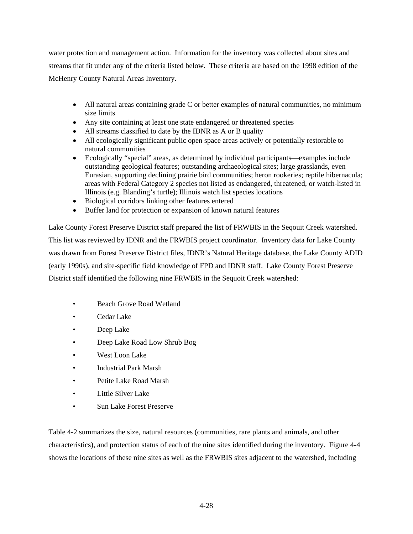water protection and management action. Information for the inventory was collected about sites and streams that fit under any of the criteria listed below. These criteria are based on the 1998 edition of the McHenry County Natural Areas Inventory.

- All natural areas containing grade C or better examples of natural communities, no minimum size limits
- Any site containing at least one state endangered or threatened species
- All streams classified to date by the IDNR as A or B quality
- All ecologically significant public open space areas actively or potentially restorable to natural communities
- Ecologically "special" areas, as determined by individual participants—examples include outstanding geological features; outstanding archaeological sites; large grasslands, even Eurasian, supporting declining prairie bird communities; heron rookeries; reptile hibernacula; areas with Federal Category 2 species not listed as endangered, threatened, or watch-listed in Illinois (e.g. Blanding's turtle); Illinois watch list species locations
- Biological corridors linking other features entered
- Buffer land for protection or expansion of known natural features

Lake County Forest Preserve District staff prepared the list of FRWBIS in the Seqouit Creek watershed. This list was reviewed by IDNR and the FRWBIS project coordinator. Inventory data for Lake County was drawn from Forest Preserve District files, IDNR's Natural Heritage database, the Lake County ADID (early 1990s), and site-specific field knowledge of FPD and IDNR staff. Lake County Forest Preserve District staff identified the following nine FRWBIS in the Sequoit Creek watershed:

- Beach Grove Road Wetland
- Cedar Lake
- Deep Lake
- Deep Lake Road Low Shrub Bog
- West Loon Lake
- Industrial Park Marsh
- Petite Lake Road Marsh
- Little Silver Lake
- Sun Lake Forest Preserve

Table 4-2 summarizes the size, natural resources (communities, rare plants and animals, and other characteristics), and protection status of each of the nine sites identified during the inventory. Figure 4-4 shows the locations of these nine sites as well as the FRWBIS sites adjacent to the watershed, including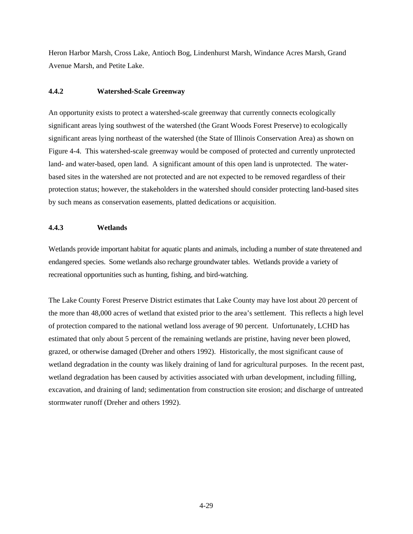Heron Harbor Marsh, Cross Lake, Antioch Bog, Lindenhurst Marsh, Windance Acres Marsh, Grand Avenue Marsh, and Petite Lake.

#### **4.4.2 Watershed-Scale Greenway**

An opportunity exists to protect a watershed-scale greenway that currently connects ecologically significant areas lying southwest of the watershed (the Grant Woods Forest Preserve) to ecologically significant areas lying northeast of the watershed (the State of Illinois Conservation Area) as shown on Figure 4-4. This watershed-scale greenway would be composed of protected and currently unprotected land- and water-based, open land. A significant amount of this open land is unprotected. The waterbased sites in the watershed are not protected and are not expected to be removed regardless of their protection status; however, the stakeholders in the watershed should consider protecting land-based sites by such means as conservation easements, platted dedications or acquisition.

#### **4.4.3 Wetlands**

Wetlands provide important habitat for aquatic plants and animals, including a number of state threatened and endangered species. Some wetlands also recharge groundwater tables. Wetlands provide a variety of recreational opportunities such as hunting, fishing, and bird-watching.

The Lake County Forest Preserve District estimates that Lake County may have lost about 20 percent of the more than 48,000 acres of wetland that existed prior to the area's settlement. This reflects a high level of protection compared to the national wetland loss average of 90 percent. Unfortunately, LCHD has estimated that only about 5 percent of the remaining wetlands are pristine, having never been plowed, grazed, or otherwise damaged (Dreher and others 1992). Historically, the most significant cause of wetland degradation in the county was likely draining of land for agricultural purposes. In the recent past, wetland degradation has been caused by activities associated with urban development, including filling, excavation, and draining of land; sedimentation from construction site erosion; and discharge of untreated stormwater runoff (Dreher and others 1992).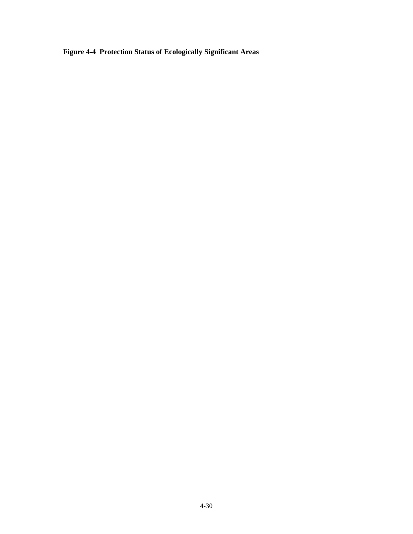**Figure 4-4 Protection Status of Ecologically Significant Areas**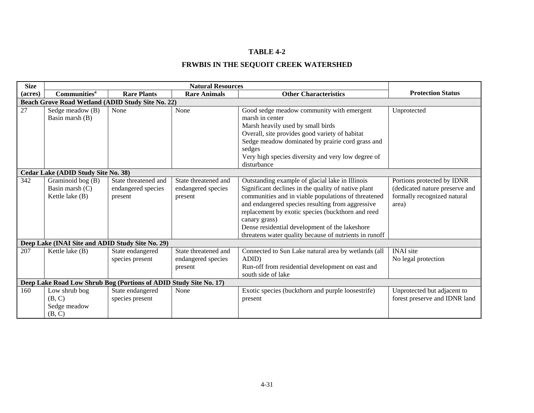#### **TABLE 4-2**

# **FRWBIS IN THE SEQUOIT CREEK WATERSHED**

| <b>Size</b> |                                                         |                                                                   | <b>Natural Resources</b>                              |                                                                                                                                                                                                                                                                                                                                                                                                     |                                                                                                      |  |
|-------------|---------------------------------------------------------|-------------------------------------------------------------------|-------------------------------------------------------|-----------------------------------------------------------------------------------------------------------------------------------------------------------------------------------------------------------------------------------------------------------------------------------------------------------------------------------------------------------------------------------------------------|------------------------------------------------------------------------------------------------------|--|
| (acres)     | <b>Communities</b> <sup>a</sup>                         | <b>Rare Plants</b>                                                | <b>Rare Animals</b>                                   | <b>Other Characteristics</b>                                                                                                                                                                                                                                                                                                                                                                        | <b>Protection Status</b>                                                                             |  |
|             |                                                         | Beach Grove Road Wetland (ADID Study Site No. 22)                 |                                                       |                                                                                                                                                                                                                                                                                                                                                                                                     |                                                                                                      |  |
| 27          | Sedge meadow (B)<br>Basin marsh (B)                     | None                                                              | None                                                  | Good sedge meadow community with emergent<br>marsh in center<br>Marsh heavily used by small birds<br>Overall, site provides good variety of habitat<br>Sedge meadow dominated by prairie cord grass and<br>sedges<br>Very high species diversity and very low degree of<br>disturbance                                                                                                              | Unprotected                                                                                          |  |
|             | Cedar Lake (ADID Study Site No. 38)                     |                                                                   |                                                       |                                                                                                                                                                                                                                                                                                                                                                                                     |                                                                                                      |  |
| 342         | Graminoid bog (B)<br>Basin marsh (C)<br>Kettle lake (B) | State threatened and<br>endangered species<br>present             | State threatened and<br>endangered species<br>present | Outstanding example of glacial lake in Illinois<br>Significant declines in the quality of native plant<br>communities and in viable populations of threatened<br>and endangered species resulting from aggressive<br>replacement by exotic species (buckthorn and reed<br>canary grass)<br>Dense residential development of the lakeshore<br>threatens water quality because of nutrients in runoff | Portions protected by IDNR<br>(dedicated nature preserve and<br>formally recognized natural<br>area) |  |
|             | Deep Lake (INAI Site and ADID Study Site No. 29)        |                                                                   |                                                       |                                                                                                                                                                                                                                                                                                                                                                                                     |                                                                                                      |  |
| 207         | Kettle lake (B)                                         | State endangered<br>species present                               | State threatened and<br>endangered species<br>present | Connected to Sun Lake natural area by wetlands (all<br>ADID)<br>Run-off from residential development on east and<br>south side of lake                                                                                                                                                                                                                                                              | <b>INAI</b> site<br>No legal protection                                                              |  |
|             |                                                         | Deep Lake Road Low Shrub Bog (Portions of ADID Study Site No. 17) |                                                       |                                                                                                                                                                                                                                                                                                                                                                                                     |                                                                                                      |  |
| 160         | Low shrub bog<br>(B, C)<br>Sedge meadow<br>(B, C)       | State endangered<br>species present                               | None                                                  | Exotic species (buckthorn and purple loosestrife)<br>present                                                                                                                                                                                                                                                                                                                                        | Unprotected but adjacent to<br>forest preserve and IDNR land                                         |  |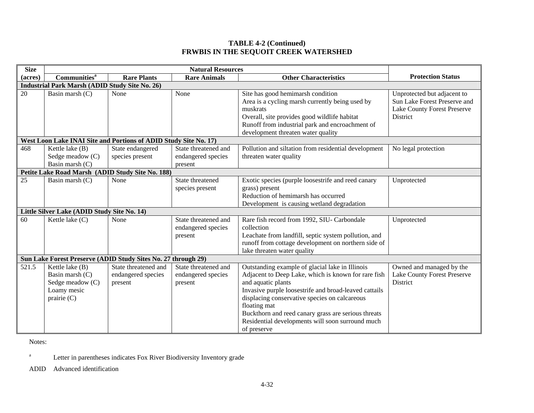# **TABLE 4-2 (Continued) FRWBIS IN THE SEQUOIT CREEK WATERSHED**

| <b>Size</b>                                           | <b>Natural Resources</b>                    |                                                                  |                      |                                                       |                              |  |
|-------------------------------------------------------|---------------------------------------------|------------------------------------------------------------------|----------------------|-------------------------------------------------------|------------------------------|--|
| (acres)                                               | <b>Communities</b> <sup>a</sup>             | <b>Rare Plants</b>                                               | <b>Rare Animals</b>  | <b>Other Characteristics</b>                          | <b>Protection Status</b>     |  |
| <b>Industrial Park Marsh (ADID Study Site No. 26)</b> |                                             |                                                                  |                      |                                                       |                              |  |
| 20                                                    | Basin marsh (C)                             | None                                                             | None                 | Site has good hemimarsh condition                     | Unprotected but adjacent to  |  |
|                                                       |                                             |                                                                  |                      | Area is a cycling marsh currently being used by       | Sun Lake Forest Preserve and |  |
|                                                       |                                             |                                                                  |                      | muskrats                                              | Lake County Forest Preserve  |  |
|                                                       |                                             |                                                                  |                      | Overall, site provides good wildlife habitat          | District                     |  |
|                                                       |                                             |                                                                  |                      | Runoff from industrial park and encroachment of       |                              |  |
|                                                       |                                             |                                                                  |                      | development threaten water quality                    |                              |  |
|                                                       |                                             | West Loon Lake INAI Site and Portions of ADID Study Site No. 17) |                      |                                                       |                              |  |
| 468                                                   | Kettle lake (B)                             | State endangered                                                 | State threatened and | Pollution and siltation from residential development  | No legal protection          |  |
|                                                       | Sedge meadow (C)                            | species present                                                  | endangered species   | threaten water quality                                |                              |  |
|                                                       | Basin marsh (C)                             |                                                                  | present              |                                                       |                              |  |
|                                                       |                                             | Petite Lake Road Marsh (ADID Study Site No. 188)                 |                      |                                                       |                              |  |
| 25                                                    | Basin marsh (C)                             | None                                                             | State threatened     | Exotic species (purple loosestrife and reed canary    | Unprotected                  |  |
|                                                       |                                             |                                                                  | species present      | grass) present                                        |                              |  |
|                                                       |                                             |                                                                  |                      | Reduction of hemimarsh has occurred                   |                              |  |
|                                                       |                                             |                                                                  |                      | Development is causing wetland degradation            |                              |  |
|                                                       | Little Silver Lake (ADID Study Site No. 14) |                                                                  |                      |                                                       |                              |  |
| 60                                                    | Kettle lake (C)                             | None                                                             | State threatened and | Rare fish record from 1992, SIU- Carbondale           | Unprotected                  |  |
|                                                       |                                             |                                                                  | endangered species   | collection                                            |                              |  |
|                                                       |                                             |                                                                  | present              | Leachate from landfill, septic system pollution, and  |                              |  |
|                                                       |                                             |                                                                  |                      | runoff from cottage development on northern side of   |                              |  |
|                                                       |                                             |                                                                  |                      | lake threaten water quality                           |                              |  |
|                                                       |                                             | Sun Lake Forest Preserve (ADID Study Sites No. 27 through 29)    |                      |                                                       |                              |  |
| 521.5                                                 | Kettle lake (B)                             | State threatened and                                             | State threatened and | Outstanding example of glacial lake in Illinois       | Owned and managed by the     |  |
|                                                       | Basin marsh (C)                             | endangered species                                               | endangered species   | Adjacent to Deep Lake, which is known for rare fish   | Lake County Forest Preserve  |  |
|                                                       | Sedge meadow (C)                            | present                                                          | present              | and aquatic plants                                    | District                     |  |
|                                                       | Loamy mesic                                 |                                                                  |                      | Invasive purple loosestrife and broad-leaved cattails |                              |  |
|                                                       | prairie (C)                                 |                                                                  |                      | displacing conservative species on calcareous         |                              |  |
|                                                       |                                             |                                                                  |                      | floating mat                                          |                              |  |
|                                                       |                                             |                                                                  |                      | Buckthorn and reed canary grass are serious threats   |                              |  |
|                                                       |                                             |                                                                  |                      | Residential developments will soon surround much      |                              |  |
|                                                       |                                             |                                                                  |                      | of preserve                                           |                              |  |

Notes:

<sup>a</sup> Letter in parentheses indicates Fox River Biodiversity Inventory grade

ADID Advanced identification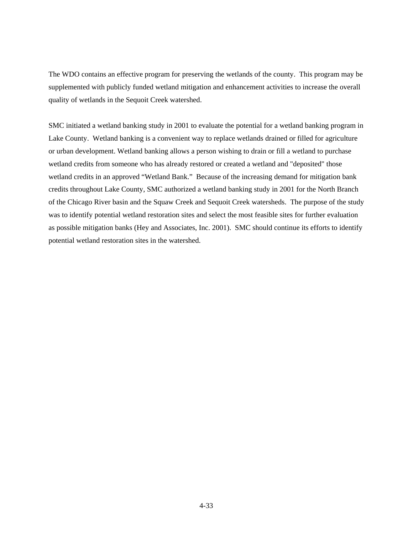The WDO contains an effective program for preserving the wetlands of the county. This program may be supplemented with publicly funded wetland mitigation and enhancement activities to increase the overall quality of wetlands in the Sequoit Creek watershed.

SMC initiated a wetland banking study in 2001 to evaluate the potential for a wetland banking program in Lake County. Wetland banking is a convenient way to replace wetlands drained or filled for agriculture or urban development. Wetland banking allows a person wishing to drain or fill a wetland to purchase wetland credits from someone who has already restored or created a wetland and "deposited" those wetland credits in an approved "Wetland Bank." Because of the increasing demand for mitigation bank credits throughout Lake County, SMC authorized a wetland banking study in 2001 for the North Branch of the Chicago River basin and the Squaw Creek and Sequoit Creek watersheds. The purpose of the study was to identify potential wetland restoration sites and select the most feasible sites for further evaluation as possible mitigation banks (Hey and Associates, Inc. 2001). SMC should continue its efforts to identify potential wetland restoration sites in the watershed.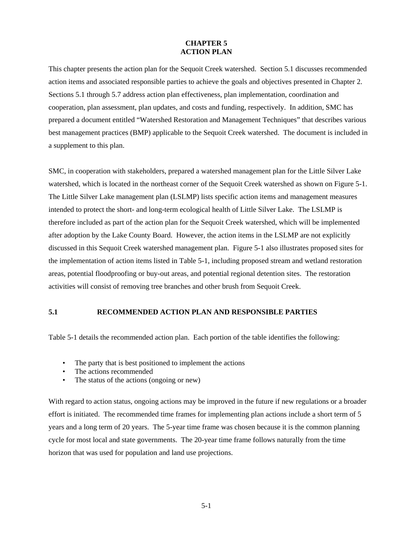#### **CHAPTER 5 ACTION PLAN**

This chapter presents the action plan for the Sequoit Creek watershed. Section 5.1 discusses recommended action items and associated responsible parties to achieve the goals and objectives presented in Chapter 2. Sections 5.1 through 5.7 address action plan effectiveness, plan implementation, coordination and cooperation, plan assessment, plan updates, and costs and funding, respectively. In addition, SMC has prepared a document entitled "Watershed Restoration and Management Techniques" that describes various best management practices (BMP) applicable to the Sequoit Creek watershed. The document is included in a supplement to this plan.

SMC, in cooperation with stakeholders, prepared a watershed management plan for the Little Silver Lake watershed, which is located in the northeast corner of the Sequoit Creek watershed as shown on Figure 5-1. The Little Silver Lake management plan (LSLMP) lists specific action items and management measures intended to protect the short- and long-term ecological health of Little Silver Lake. The LSLMP is therefore included as part of the action plan for the Sequoit Creek watershed, which will be implemented after adoption by the Lake County Board. However, the action items in the LSLMP are not explicitly discussed in this Sequoit Creek watershed management plan. Figure 5-1 also illustrates proposed sites for the implementation of action items listed in Table 5-1, including proposed stream and wetland restoration areas, potential floodproofing or buy-out areas, and potential regional detention sites. The restoration activities will consist of removing tree branches and other brush from Sequoit Creek.

#### **5.1 RECOMMENDED ACTION PLAN AND RESPONSIBLE PARTIES**

Table 5-1 details the recommended action plan. Each portion of the table identifies the following:

- The party that is best positioned to implement the actions
- The actions recommended
- The status of the actions (ongoing or new)

With regard to action status, ongoing actions may be improved in the future if new regulations or a broader effort is initiated. The recommended time frames for implementing plan actions include a short term of 5 years and a long term of 20 years. The 5-year time frame was chosen because it is the common planning cycle for most local and state governments. The 20-year time frame follows naturally from the time horizon that was used for population and land use projections.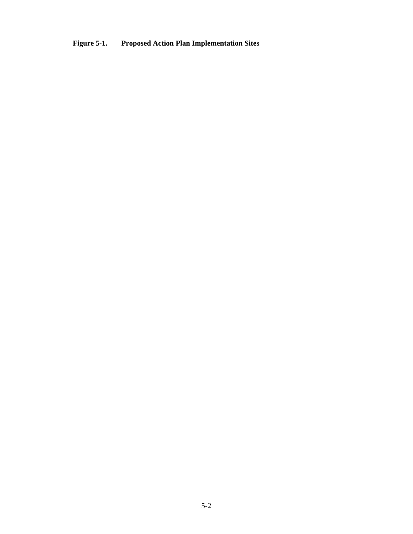# **Figure 5-1. Proposed Action Plan Implementation Sites**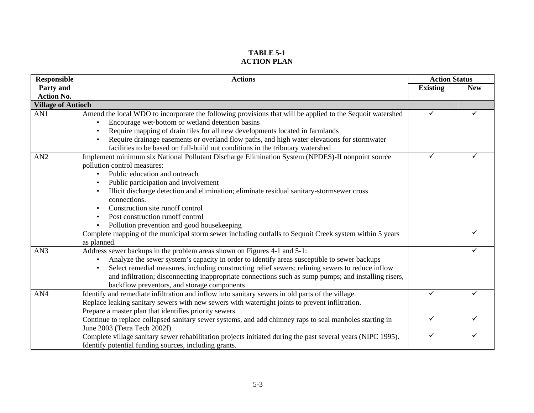#### **TABLE 5-1 ACTION PLAN**

| <b>Responsible</b>        | <b>Actions</b>                                                                                               | <b>Action Status</b> |            |
|---------------------------|--------------------------------------------------------------------------------------------------------------|----------------------|------------|
| Party and                 |                                                                                                              | <b>Existing</b>      | <b>New</b> |
| <b>Action No.</b>         |                                                                                                              |                      |            |
| <b>Village of Antioch</b> |                                                                                                              |                      |            |
| AN1                       | Amend the local WDO to incorporate the following provisions that will be applied to the Sequoit watershed    |                      |            |
|                           | Encourage wet-bottom or wetland detention basins                                                             |                      |            |
|                           | Require mapping of drain tiles for all new developments located in farmlands                                 |                      |            |
|                           | Require drainage easements or overland flow paths, and high water elevations for stormwater                  |                      |            |
|                           | facilities to be based on full-build out conditions in the tributary watershed                               |                      |            |
| AN2                       | Implement minimum six National Pollutant Discharge Elimination System (NPDES)-II nonpoint source             |                      |            |
|                           | pollution control measures:                                                                                  |                      |            |
|                           | Public education and outreach                                                                                |                      |            |
|                           | Public participation and involvement                                                                         |                      |            |
|                           | Illicit discharge detection and elimination; eliminate residual sanitary-storms ewer cross                   |                      |            |
|                           | connections.                                                                                                 |                      |            |
|                           | Construction site runoff control                                                                             |                      |            |
|                           | Post construction runoff control                                                                             |                      |            |
|                           | Pollution prevention and good housekeeping                                                                   |                      |            |
|                           | Complete mapping of the municipal storm sewer including outfalls to Sequoit Creek system within 5 years      |                      |            |
|                           | as planned.                                                                                                  |                      |            |
| AN3                       | Address sewer backups in the problem areas shown on Figures 4-1 and 5-1:                                     |                      |            |
|                           | Analyze the sewer system's capacity in order to identify areas susceptible to sewer backups                  |                      |            |
|                           | Select remedial measures, including constructing relief sewers; relining sewers to reduce inflow             |                      |            |
|                           | and infiltration; disconnecting inappropriate connections such as sump pumps; and installing risers,         |                      |            |
|                           | backflow preventors, and storage components                                                                  |                      |            |
| AN4                       | Identify and remediate infiltration and inflow into sanitary sewers in old parts of the village.             | ✓                    |            |
|                           | Replace leaking sanitary sewers with new sewers with watertight joints to prevent infiltration.              |                      |            |
|                           | Prepare a master plan that identifies priority sewers.                                                       |                      |            |
|                           | Continue to replace collapsed sanitary sewer systems, and add chimney raps to seal manholes starting in      |                      |            |
|                           | June 2003 (Tetra Tech 2002f).                                                                                |                      |            |
|                           | Complete village sanitary sewer rehabilitation projects initiated during the past several years (NIPC 1995). |                      |            |
|                           | Identify potential funding sources, including grants.                                                        |                      |            |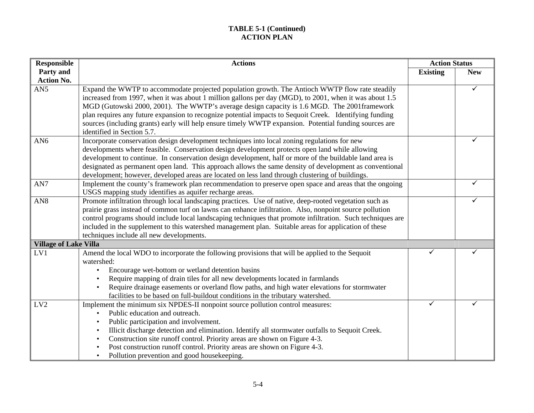| <b>Responsible</b>           | <b>Actions</b>                                                                                              | <b>Action Status</b> |            |
|------------------------------|-------------------------------------------------------------------------------------------------------------|----------------------|------------|
| Party and                    |                                                                                                             | <b>Existing</b>      | <b>New</b> |
| <b>Action No.</b>            |                                                                                                             |                      |            |
| AN <sub>5</sub>              | Expand the WWTP to accommodate projected population growth. The Antioch WWTP flow rate steadily             |                      |            |
|                              | increased from 1997, when it was about 1 million gallons per day (MGD), to 2001, when it was about 1.5      |                      |            |
|                              | MGD (Gutowski 2000, 2001). The WWTP's average design capacity is 1.6 MGD. The 2001framework                 |                      |            |
|                              | plan requires any future expansion to recognize potential impacts to Sequoit Creek. Identifying funding     |                      |            |
|                              | sources (including grants) early will help ensure timely WWTP expansion. Potential funding sources are      |                      |            |
|                              | identified in Section 5.7.                                                                                  |                      |            |
| AN <sub>6</sub>              | Incorporate conservation design development techniques into local zoning regulations for new                |                      |            |
|                              | developments where feasible. Conservation design development protects open land while allowing              |                      |            |
|                              | development to continue. In conservation design development, half or more of the buildable land area is     |                      |            |
|                              | designated as permanent open land. This approach allows the same density of development as conventional     |                      |            |
|                              | development; however, developed areas are located on less land through clustering of buildings.             |                      |            |
| AN7                          | Implement the county's framework plan recommendation to preserve open space and areas that the ongoing      |                      |            |
|                              | USGS mapping study identifies as aquifer recharge areas.                                                    |                      |            |
| AN <sub>8</sub>              | Promote infiltration through local landscaping practices. Use of native, deep-rooted vegetation such as     |                      | ✓          |
|                              | prairie grass instead of common turf on lawns can enhance infiltration. Also, nonpoint source pollution     |                      |            |
|                              | control programs should include local landscaping techniques that promote infiltration. Such techniques are |                      |            |
|                              | included in the supplement to this watershed management plan. Suitable areas for application of these       |                      |            |
|                              | techniques include all new developments.                                                                    |                      |            |
| <b>Village of Lake Villa</b> |                                                                                                             |                      |            |
| LV1                          | Amend the local WDO to incorporate the following provisions that will be applied to the Sequoit             |                      |            |
|                              | watershed:                                                                                                  |                      |            |
|                              | Encourage wet-bottom or wetland detention basins<br>$\bullet$                                               |                      |            |
|                              | Require mapping of drain tiles for all new developments located in farmlands                                |                      |            |
|                              | Require drainage easements or overland flow paths, and high water elevations for stormwater                 |                      |            |
|                              | facilities to be based on full-buildout conditions in the tributary watershed.                              |                      |            |
| LV <sub>2</sub>              | Implement the minimum six NPDES-II nonpoint source pollution control measures:                              | ✓                    |            |
|                              | Public education and outreach.                                                                              |                      |            |
|                              | Public participation and involvement.                                                                       |                      |            |
|                              | Illicit discharge detection and elimination. Identify all stormwater outfalls to Sequoit Creek.             |                      |            |
|                              | Construction site runoff control. Priority areas are shown on Figure 4-3.<br>$\bullet$                      |                      |            |
|                              | Post construction runoff control. Priority areas are shown on Figure 4-3.                                   |                      |            |
|                              | Pollution prevention and good housekeeping.                                                                 |                      |            |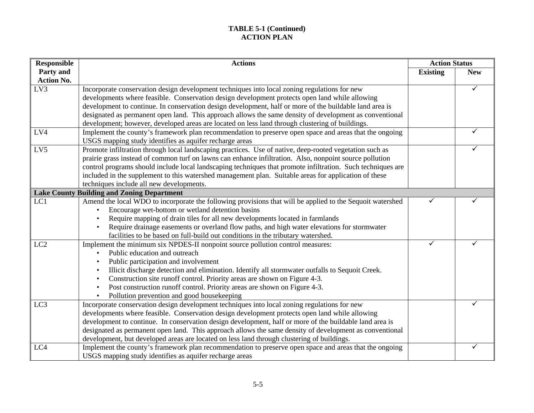| <b>Responsible</b> | <b>Actions</b>                                                                                              |                 | <b>Action Status</b> |
|--------------------|-------------------------------------------------------------------------------------------------------------|-----------------|----------------------|
| Party and          |                                                                                                             | <b>Existing</b> | <b>New</b>           |
| <b>Action No.</b>  |                                                                                                             |                 |                      |
| LV3                | Incorporate conservation design development techniques into local zoning regulations for new                |                 |                      |
|                    | developments where feasible. Conservation design development protects open land while allowing              |                 |                      |
|                    | development to continue. In conservation design development, half or more of the buildable land area is     |                 |                      |
|                    | designated as permanent open land. This approach allows the same density of development as conventional     |                 |                      |
|                    | development; however, developed areas are located on less land through clustering of buildings.             |                 |                      |
| LV4                | Implement the county's framework plan recommendation to preserve open space and areas that the ongoing      |                 |                      |
|                    | USGS mapping study identifies as aquifer recharge areas                                                     |                 |                      |
| LV5                | Promote infiltration through local landscaping practices. Use of native, deep-rooted vegetation such as     |                 |                      |
|                    | prairie grass instead of common turf on lawns can enhance infiltration. Also, nonpoint source pollution     |                 |                      |
|                    | control programs should include local landscaping techniques that promote infiltration. Such techniques are |                 |                      |
|                    | included in the supplement to this watershed management plan. Suitable areas for application of these       |                 |                      |
|                    | techniques include all new developments.                                                                    |                 |                      |
|                    | <b>Lake County Building and Zoning Department</b>                                                           |                 |                      |
| LC1                | Amend the local WDO to incorporate the following provisions that will be applied to the Sequoit watershed   |                 |                      |
|                    | Encourage wet-bottom or wetland detention basins                                                            |                 |                      |
|                    | Require mapping of drain tiles for all new developments located in farmlands                                |                 |                      |
|                    | Require drainage easements or overland flow paths, and high water elevations for stormwater                 |                 |                      |
|                    | facilities to be based on full-build out conditions in the tributary watershed.                             |                 |                      |
| LC <sub>2</sub>    | Implement the minimum six NPDES-II nonpoint source pollution control measures:                              | ✓               |                      |
|                    | Public education and outreach                                                                               |                 |                      |
|                    | Public participation and involvement                                                                        |                 |                      |
|                    | Illicit discharge detection and elimination. Identify all stormwater outfalls to Sequoit Creek.             |                 |                      |
|                    | Construction site runoff control. Priority areas are shown on Figure 4-3.                                   |                 |                      |
|                    | Post construction runoff control. Priority areas are shown on Figure 4-3.                                   |                 |                      |
|                    | Pollution prevention and good housekeeping                                                                  |                 |                      |
| LC <sub>3</sub>    | Incorporate conservation design development techniques into local zoning regulations for new                |                 |                      |
|                    | developments where feasible. Conservation design development protects open land while allowing              |                 |                      |
|                    | development to continue. In conservation design development, half or more of the buildable land area is     |                 |                      |
|                    | designated as permanent open land. This approach allows the same density of development as conventional     |                 |                      |
|                    | development, but developed areas are located on less land through clustering of buildings.                  |                 |                      |
| LC4                | Implement the county's framework plan recommendation to preserve open space and areas that the ongoing      |                 |                      |
|                    | USGS mapping study identifies as aquifer recharge areas                                                     |                 |                      |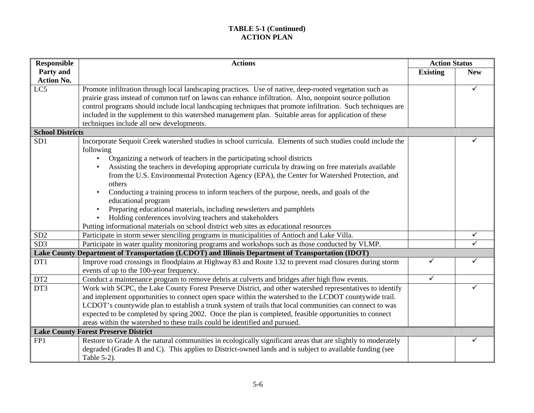| <b>Responsible</b>      | <b>Actions</b>                                                                                               | <b>Action Status</b> |            |
|-------------------------|--------------------------------------------------------------------------------------------------------------|----------------------|------------|
| Party and               |                                                                                                              | <b>Existing</b>      | <b>New</b> |
| <b>Action No.</b>       |                                                                                                              |                      |            |
| LC5                     | Promote infiltration through local landscaping practices. Use of native, deep-rooted vegetation such as      |                      | ✓          |
|                         | prairie grass instead of common turf on lawns can enhance infiltration. Also, nonpoint source pollution      |                      |            |
|                         | control programs should include local landscaping techniques that promote infiltration. Such techniques are  |                      |            |
|                         | included in the supplement to this watershed management plan. Suitable areas for application of these        |                      |            |
|                         | techniques include all new developments.                                                                     |                      |            |
| <b>School Districts</b> |                                                                                                              |                      |            |
| SD1                     | Incorporate Sequoit Creek watershed studies in school curricula. Elements of such studies could include the  |                      |            |
|                         | following                                                                                                    |                      |            |
|                         | Organizing a network of teachers in the participating school districts                                       |                      |            |
|                         | Assisting the teachers in developing appropriate curricula by drawing on free materials available            |                      |            |
|                         | from the U.S. Environmental Protection Agency (EPA), the Center for Watershed Protection, and                |                      |            |
|                         | others                                                                                                       |                      |            |
|                         | Conducting a training process to inform teachers of the purpose, needs, and goals of the                     |                      |            |
|                         | educational program                                                                                          |                      |            |
|                         | Preparing educational materials, including newsletters and pamphlets                                         |                      |            |
|                         | Holding conferences involving teachers and stakeholders                                                      |                      |            |
|                         | Putting informational materials on school district web sites as educational resources                        |                      |            |
| SD <sub>2</sub>         | Participate in storm sewer stenciling programs in municipalities of Antioch and Lake Villa.                  |                      | ✓          |
| SD <sub>3</sub>         | Participate in water quality monitoring programs and workshops such as those conducted by VLMP.              |                      | ✓          |
|                         | Lake County Department of Transportation (LCDOT) and Illinois Department of Transportation (IDOT)            |                      |            |
| DT1                     | Improve road crossings in floodplains at Highway 83 and Route 132 to prevent road closures during storm      | ✓                    | ✓          |
|                         | events of up to the 100-year frequency.                                                                      |                      |            |
| DT <sub>2</sub>         | Conduct a maintenance program to remove debris at culverts and bridges after high flow events.               | $\checkmark$         |            |
| DT3                     | Work with SCPC, the Lake County Forest Preserve District, and other watershed representatives to identify    |                      | ✓          |
|                         | and implement opportunities to connect open space within the watershed to the LCDOT countywide trail.        |                      |            |
|                         | LCDOT's countywide plan to establish a trunk system of trails that local communities can connect to was      |                      |            |
|                         | expected to be completed by spring 2002. Once the plan is completed, feasible opportunities to connect       |                      |            |
|                         | areas within the watershed to these trails could be identified and pursued.                                  |                      |            |
|                         | <b>Lake County Forest Preserve District</b>                                                                  |                      |            |
| FP1                     | Restore to Grade A the natural communities in ecologically significant areas that are slightly to moderately |                      |            |
|                         | degraded (Grades B and C). This applies to District-owned lands and is subject to available funding (see     |                      |            |
|                         | Table 5-2).                                                                                                  |                      |            |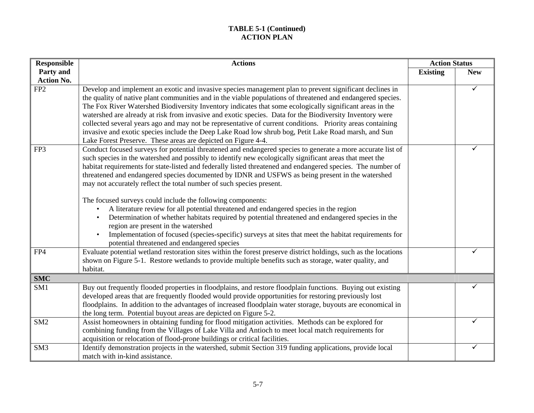| <b>Responsible</b> | <b>Actions</b>                                                                                                                                                                                                             | <b>Action Status</b> |            |
|--------------------|----------------------------------------------------------------------------------------------------------------------------------------------------------------------------------------------------------------------------|----------------------|------------|
| Party and          |                                                                                                                                                                                                                            | <b>Existing</b>      | <b>New</b> |
| <b>Action No.</b>  |                                                                                                                                                                                                                            |                      |            |
| FP <sub>2</sub>    | Develop and implement an exotic and invasive species management plan to prevent significant declines in                                                                                                                    |                      |            |
|                    | the quality of native plant communities and in the viable populations of threatened and endangered species.                                                                                                                |                      |            |
|                    | The Fox River Watershed Biodiversity Inventory indicates that some ecologically significant areas in the<br>watershed are already at risk from invasive and exotic species. Data for the Biodiversity Inventory were       |                      |            |
|                    | collected several years ago and may not be representative of current conditions. Priority areas containing                                                                                                                 |                      |            |
|                    | invasive and exotic species include the Deep Lake Road low shrub bog, Petit Lake Road marsh, and Sun                                                                                                                       |                      |            |
|                    | Lake Forest Preserve. These areas are depicted on Figure 4-4.                                                                                                                                                              |                      |            |
| FP3                | Conduct focused surveys for potential threatened and endangered species to generate a more accurate list of                                                                                                                |                      |            |
|                    | such species in the watershed and possibly to identify new ecologically significant areas that meet the                                                                                                                    |                      |            |
|                    | habitat requirements for state-listed and federally listed threatened and endangered species. The number of                                                                                                                |                      |            |
|                    | threatened and endangered species documented by IDNR and USFWS as being present in the watershed                                                                                                                           |                      |            |
|                    | may not accurately reflect the total number of such species present.                                                                                                                                                       |                      |            |
|                    |                                                                                                                                                                                                                            |                      |            |
|                    | The focused surveys could include the following components:                                                                                                                                                                |                      |            |
|                    | A literature review for all potential threatened and endangered species in the region                                                                                                                                      |                      |            |
|                    | Determination of whether habitats required by potential threatened and endangered species in the                                                                                                                           |                      |            |
|                    | region are present in the watershed                                                                                                                                                                                        |                      |            |
|                    | Implementation of focused (species-specific) surveys at sites that meet the habitat requirements for                                                                                                                       |                      |            |
|                    | potential threatened and endangered species                                                                                                                                                                                |                      |            |
| FP4                | Evaluate potential wetland restoration sites within the forest preserve district holdings, such as the locations<br>shown on Figure 5-1. Restore wetlands to provide multiple benefits such as storage, water quality, and |                      |            |
|                    | habitat.                                                                                                                                                                                                                   |                      |            |
| <b>SMC</b>         |                                                                                                                                                                                                                            |                      |            |
| SM <sub>1</sub>    | Buy out frequently flooded properties in floodplains, and restore floodplain functions. Buying out existing                                                                                                                |                      |            |
|                    | developed areas that are frequently flooded would provide opportunities for restoring previously lost                                                                                                                      |                      |            |
|                    | floodplains. In addition to the advantages of increased floodplain water storage, buyouts are economical in                                                                                                                |                      |            |
|                    | the long term. Potential buyout areas are depicted on Figure 5-2.                                                                                                                                                          |                      |            |
| SM <sub>2</sub>    | Assist homeowners in obtaining funding for flood mitigation activities. Methods can be explored for                                                                                                                        |                      |            |
|                    | combining funding from the Villages of Lake Villa and Antioch to meet local match requirements for                                                                                                                         |                      |            |
|                    | acquisition or relocation of flood-prone buildings or critical facilities.                                                                                                                                                 |                      |            |
| SM <sub>3</sub>    | Identify demonstration projects in the watershed, submit Section 319 funding applications, provide local                                                                                                                   |                      |            |
|                    | match with in-kind assistance.                                                                                                                                                                                             |                      |            |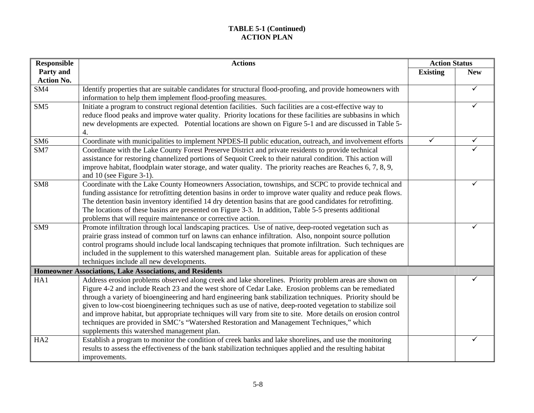| <b>Responsible</b> | <b>Actions</b>                                                                                                                                                                                                                                                                                                                                                                                                                                                                                                                                                                                                                                                                                          | <b>Action Status</b> |            |
|--------------------|---------------------------------------------------------------------------------------------------------------------------------------------------------------------------------------------------------------------------------------------------------------------------------------------------------------------------------------------------------------------------------------------------------------------------------------------------------------------------------------------------------------------------------------------------------------------------------------------------------------------------------------------------------------------------------------------------------|----------------------|------------|
| Party and          |                                                                                                                                                                                                                                                                                                                                                                                                                                                                                                                                                                                                                                                                                                         | <b>Existing</b>      | <b>New</b> |
| <b>Action No.</b>  |                                                                                                                                                                                                                                                                                                                                                                                                                                                                                                                                                                                                                                                                                                         |                      |            |
| SM <sub>4</sub>    | Identify properties that are suitable candidates for structural flood-proofing, and provide homeowners with<br>information to help them implement flood-proofing measures.                                                                                                                                                                                                                                                                                                                                                                                                                                                                                                                              |                      | ✓          |
| SM <sub>5</sub>    | Initiate a program to construct regional detention facilities. Such facilities are a cost-effective way to<br>reduce flood peaks and improve water quality. Priority locations for these facilities are subbasins in which<br>new developments are expected. Potential locations are shown on Figure 5-1 and are discussed in Table 5-<br>4.                                                                                                                                                                                                                                                                                                                                                            |                      |            |
| SM <sub>6</sub>    | Coordinate with municipalities to implement NPDES-II public education, outreach, and involvement efforts                                                                                                                                                                                                                                                                                                                                                                                                                                                                                                                                                                                                | $\checkmark$         | ✓          |
| SM7                | Coordinate with the Lake County Forest Preserve District and private residents to provide technical<br>assistance for restoring channelized portions of Sequoit Creek to their natural condition. This action will<br>improve habitat, floodplain water storage, and water quality. The priority reaches are Reaches 6, 7, 8, 9,<br>and 10 (see Figure $3-1$ ).                                                                                                                                                                                                                                                                                                                                         |                      |            |
| SM <sub>8</sub>    | Coordinate with the Lake County Homeowners Association, townships, and SCPC to provide technical and<br>funding assistance for retrofitting detention basins in order to improve water quality and reduce peak flows.<br>The detention basin inventory identified 14 dry detention basins that are good candidates for retrofitting.<br>The locations of these basins are presented on Figure 3-3. In addition, Table 5-5 presents additional<br>problems that will require maintenance or corrective action.                                                                                                                                                                                           |                      |            |
| SM <sub>9</sub>    | Promote infiltration through local landscaping practices. Use of native, deep-rooted vegetation such as<br>prairie grass instead of common turf on lawns can enhance infiltration. Also, nonpoint source pollution<br>control programs should include local landscaping techniques that promote infiltration. Such techniques are<br>included in the supplement to this watershed management plan. Suitable areas for application of these<br>techniques include all new developments.                                                                                                                                                                                                                  |                      |            |
|                    | Homeowner Associations, Lake Associations, and Residents                                                                                                                                                                                                                                                                                                                                                                                                                                                                                                                                                                                                                                                |                      |            |
| HA1                | Address erosion problems observed along creek and lake shorelines. Priority problem areas are shown on<br>Figure 4-2 and include Reach 23 and the west shore of Cedar Lake. Erosion problems can be remediated<br>through a variety of bioengineering and hard engineering bank stabilization techniques. Priority should be<br>given to low-cost bioengineering techniques such as use of native, deep-rooted vegetation to stabilize soil<br>and improve habitat, but appropriate techniques will vary from site to site. More details on erosion control<br>techniques are provided in SMC's "Watershed Restoration and Management Techniques," which<br>supplements this watershed management plan. |                      |            |
| HA <sub>2</sub>    | Establish a program to monitor the condition of creek banks and lake shorelines, and use the monitoring<br>results to assess the effectiveness of the bank stabilization techniques applied and the resulting habitat<br>improvements.                                                                                                                                                                                                                                                                                                                                                                                                                                                                  |                      |            |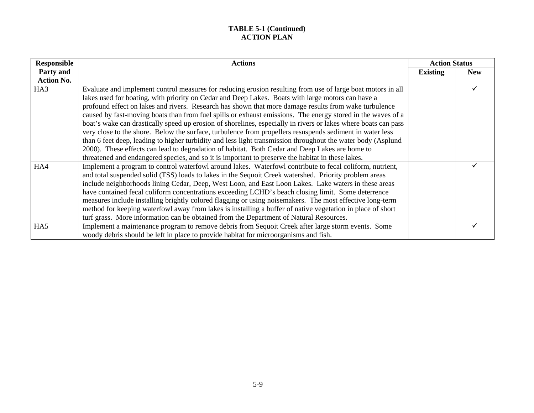| Responsible       | <b>Actions</b>                                                                                                 | <b>Action Status</b> |            |
|-------------------|----------------------------------------------------------------------------------------------------------------|----------------------|------------|
| Party and         |                                                                                                                | <b>Existing</b>      | <b>New</b> |
| <b>Action No.</b> |                                                                                                                |                      |            |
| HA <sub>3</sub>   | Evaluate and implement control measures for reducing erosion resulting from use of large boat motors in all    |                      |            |
|                   | lakes used for boating, with priority on Cedar and Deep Lakes. Boats with large motors can have a              |                      |            |
|                   | profound effect on lakes and rivers. Research has shown that more damage results from wake turbulence          |                      |            |
|                   | caused by fast-moving boats than from fuel spills or exhaust emissions. The energy stored in the waves of a    |                      |            |
|                   | boat's wake can drastically speed up erosion of shorelines, especially in rivers or lakes where boats can pass |                      |            |
|                   | very close to the shore. Below the surface, turbulence from propellers resuspends sediment in water less       |                      |            |
|                   | than 6 feet deep, leading to higher turbidity and less light transmission throughout the water body (Asplund   |                      |            |
|                   | 2000). These effects can lead to degradation of habitat. Both Cedar and Deep Lakes are home to                 |                      |            |
|                   | threatened and endangered species, and so it is important to preserve the habitat in these lakes.              |                      |            |
| HA4               | Implement a program to control waterfowl around lakes. Waterfowl contribute to fecal coliform, nutrient,       |                      |            |
|                   | and total suspended solid (TSS) loads to lakes in the Sequoit Creek watershed. Priority problem areas          |                      |            |
|                   | include neighborhoods lining Cedar, Deep, West Loon, and East Loon Lakes. Lake waters in these areas           |                      |            |
|                   | have contained fecal coliform concentrations exceeding LCHD's beach closing limit. Some deterrence             |                      |            |
|                   | measures include installing brightly colored flagging or using noisemakers. The most effective long-term       |                      |            |
|                   | method for keeping waterfowl away from lakes is installing a buffer of native vegetation in place of short     |                      |            |
|                   | turf grass. More information can be obtained from the Department of Natural Resources.                         |                      |            |
| HA5               | Implement a maintenance program to remove debris from Sequoit Creek after large storm events. Some             |                      |            |
|                   | woody debris should be left in place to provide habitat for microorganisms and fish.                           |                      |            |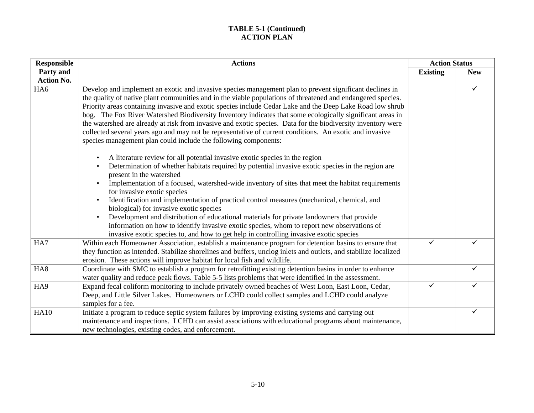| <b>Responsible</b> | <b>Actions</b>                                                                                                                                                                                                                                                                                                                                                                                                                                                                                                                                                                                                                                                                                                                                                                 |                 | <b>Action Status</b> |  |
|--------------------|--------------------------------------------------------------------------------------------------------------------------------------------------------------------------------------------------------------------------------------------------------------------------------------------------------------------------------------------------------------------------------------------------------------------------------------------------------------------------------------------------------------------------------------------------------------------------------------------------------------------------------------------------------------------------------------------------------------------------------------------------------------------------------|-----------------|----------------------|--|
| Party and          |                                                                                                                                                                                                                                                                                                                                                                                                                                                                                                                                                                                                                                                                                                                                                                                | <b>Existing</b> | <b>New</b>           |  |
| <b>Action No.</b>  |                                                                                                                                                                                                                                                                                                                                                                                                                                                                                                                                                                                                                                                                                                                                                                                |                 |                      |  |
| HA6                | Develop and implement an exotic and invasive species management plan to prevent significant declines in<br>the quality of native plant communities and in the viable populations of threatened and endangered species.<br>Priority areas containing invasive and exotic species include Cedar Lake and the Deep Lake Road low shrub<br>bog. The Fox River Watershed Biodiversity Inventory indicates that some ecologically significant areas in<br>the watershed are already at risk from invasive and exotic species. Data for the biodiversity inventory were<br>collected several years ago and may not be representative of current conditions. An exotic and invasive<br>species management plan could include the following components:                                 |                 | ✓                    |  |
|                    | A literature review for all potential invasive exotic species in the region<br>Determination of whether habitats required by potential invasive exotic species in the region are<br>present in the watershed<br>Implementation of a focused, watershed-wide inventory of sites that meet the habitat requirements<br>for invasive exotic species<br>Identification and implementation of practical control measures (mechanical, chemical, and<br>biological) for invasive exotic species<br>Development and distribution of educational materials for private landowners that provide<br>information on how to identify invasive exotic species, whom to report new observations of<br>invasive exotic species to, and how to get help in controlling invasive exotic species |                 |                      |  |
| HA7                | Within each Homeowner Association, establish a maintenance program for detention basins to ensure that<br>they function as intended. Stabilize shorelines and buffers, unclog inlets and outlets, and stabilize localized<br>erosion. These actions will improve habitat for local fish and wildlife.                                                                                                                                                                                                                                                                                                                                                                                                                                                                          | ✓               |                      |  |
| HA <sub>8</sub>    | Coordinate with SMC to establish a program for retrofitting existing detention basins in order to enhance<br>water quality and reduce peak flows. Table 5-5 lists problems that were identified in the assessment.                                                                                                                                                                                                                                                                                                                                                                                                                                                                                                                                                             |                 | ✓                    |  |
| HA9                | Expand fecal coliform monitoring to include privately owned beaches of West Loon, East Loon, Cedar,<br>Deep, and Little Silver Lakes. Homeowners or LCHD could collect samples and LCHD could analyze<br>samples for a fee.                                                                                                                                                                                                                                                                                                                                                                                                                                                                                                                                                    | ✓               | $\checkmark$         |  |
| <b>HA10</b>        | Initiate a program to reduce septic system failures by improving existing systems and carrying out<br>maintenance and inspections. LCHD can assist associations with educational programs about maintenance,<br>new technologies, existing codes, and enforcement.                                                                                                                                                                                                                                                                                                                                                                                                                                                                                                             |                 | ✓                    |  |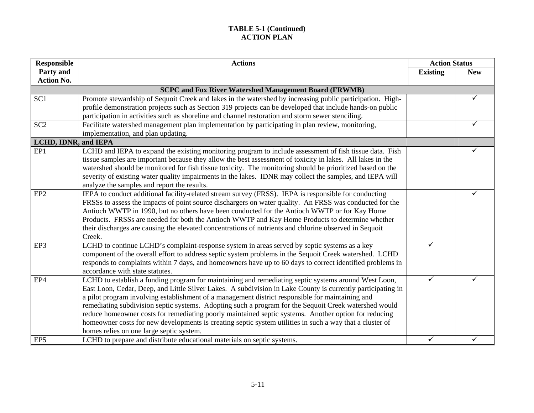| <b>Responsible</b>   | <b>Actions</b>                                                                                              | <b>Action Status</b> |            |  |  |  |  |
|----------------------|-------------------------------------------------------------------------------------------------------------|----------------------|------------|--|--|--|--|
| Party and            |                                                                                                             | <b>Existing</b>      | <b>New</b> |  |  |  |  |
| <b>Action No.</b>    |                                                                                                             |                      |            |  |  |  |  |
|                      | <b>SCPC and Fox River Watershed Management Board (FRWMB)</b>                                                |                      |            |  |  |  |  |
| SC1                  | Promote stewardship of Sequoit Creek and lakes in the watershed by increasing public participation. High-   |                      | ✓          |  |  |  |  |
|                      | profile demonstration projects such as Section 319 projects can be developed that include hands-on public   |                      |            |  |  |  |  |
|                      | participation in activities such as shoreline and channel restoration and storm sewer stenciling.           |                      |            |  |  |  |  |
| SC <sub>2</sub>      | Facilitate watershed management plan implementation by participating in plan review, monitoring,            |                      | ✓          |  |  |  |  |
|                      | implementation, and plan updating.                                                                          |                      |            |  |  |  |  |
| LCHD, IDNR, and IEPA |                                                                                                             |                      |            |  |  |  |  |
| EP1                  | LCHD and IEPA to expand the existing monitoring program to include assessment of fish tissue data. Fish     |                      |            |  |  |  |  |
|                      | tissue samples are important because they allow the best assessment of toxicity in lakes. All lakes in the  |                      |            |  |  |  |  |
|                      | watershed should be monitored for fish tissue toxicity. The monitoring should be prioritized based on the   |                      |            |  |  |  |  |
|                      | severity of existing water quality impairments in the lakes. IDNR may collect the samples, and IEPA will    |                      |            |  |  |  |  |
|                      | analyze the samples and report the results.                                                                 |                      |            |  |  |  |  |
| EP <sub>2</sub>      | IEPA to conduct additional facility-related stream survey (FRSS). IEPA is responsible for conducting        |                      |            |  |  |  |  |
|                      | FRSSs to assess the impacts of point source dischargers on water quality. An FRSS was conducted for the     |                      |            |  |  |  |  |
|                      | Antioch WWTP in 1990, but no others have been conducted for the Antioch WWTP or for Kay Home                |                      |            |  |  |  |  |
|                      | Products. FRSSs are needed for both the Antioch WWTP and Kay Home Products to determine whether             |                      |            |  |  |  |  |
|                      | their discharges are causing the elevated concentrations of nutrients and chlorine observed in Sequoit      |                      |            |  |  |  |  |
|                      | Creek.                                                                                                      |                      |            |  |  |  |  |
| EP3                  | LCHD to continue LCHD's complaint-response system in areas served by septic systems as a key                | ✓                    |            |  |  |  |  |
|                      | component of the overall effort to address septic system problems in the Sequoit Creek watershed. LCHD      |                      |            |  |  |  |  |
|                      | responds to complaints within 7 days, and homeowners have up to 60 days to correct identified problems in   |                      |            |  |  |  |  |
|                      | accordance with state statutes.                                                                             |                      |            |  |  |  |  |
| EP4                  | LCHD to establish a funding program for maintaining and remediating septic systems around West Loon,        | ✓                    |            |  |  |  |  |
|                      | East Loon, Cedar, Deep, and Little Silver Lakes. A subdivision in Lake County is currently participating in |                      |            |  |  |  |  |
|                      | a pilot program involving establishment of a management district responsible for maintaining and            |                      |            |  |  |  |  |
|                      | remediating subdivision septic systems. Adopting such a program for the Sequoit Creek watershed would       |                      |            |  |  |  |  |
|                      | reduce homeowner costs for remediating poorly maintained septic systems. Another option for reducing        |                      |            |  |  |  |  |
|                      | homeowner costs for new developments is creating septic system utilities in such a way that a cluster of    |                      |            |  |  |  |  |
|                      | homes relies on one large septic system.                                                                    |                      |            |  |  |  |  |
| EP <sub>5</sub>      | LCHD to prepare and distribute educational materials on septic systems.                                     | ✓                    |            |  |  |  |  |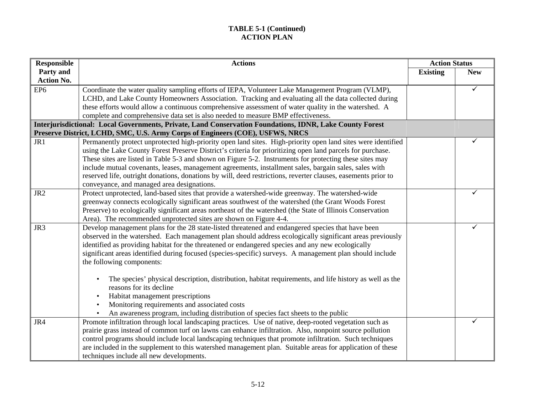| <b>Responsible</b>             | <b>Actions</b>                                                                                                                                                                                                                                                                                                                                                                                                                                                                                                                                                                                                                                    | <b>Action Status</b> |            |
|--------------------------------|---------------------------------------------------------------------------------------------------------------------------------------------------------------------------------------------------------------------------------------------------------------------------------------------------------------------------------------------------------------------------------------------------------------------------------------------------------------------------------------------------------------------------------------------------------------------------------------------------------------------------------------------------|----------------------|------------|
| Party and<br><b>Action No.</b> |                                                                                                                                                                                                                                                                                                                                                                                                                                                                                                                                                                                                                                                   | <b>Existing</b>      | <b>New</b> |
| EP <sub>6</sub>                | Coordinate the water quality sampling efforts of IEPA, Volunteer Lake Management Program (VLMP),<br>LCHD, and Lake County Homeowners Association. Tracking and evaluating all the data collected during<br>these efforts would allow a continuous comprehensive assessment of water quality in the watershed. A                                                                                                                                                                                                                                                                                                                                   |                      | ✓          |
|                                | complete and comprehensive data set is also needed to measure BMP effectiveness.                                                                                                                                                                                                                                                                                                                                                                                                                                                                                                                                                                  |                      |            |
|                                | Interjurisdictional: Local Governments, Private, Land Conservation Foundations, IDNR, Lake County Forest                                                                                                                                                                                                                                                                                                                                                                                                                                                                                                                                          |                      |            |
|                                | Preserve District, LCHD, SMC, U.S. Army Corps of Engineers (COE), USFWS, NRCS                                                                                                                                                                                                                                                                                                                                                                                                                                                                                                                                                                     |                      |            |
| JR1                            | Permanently protect unprotected high-priority open land sites. High-priority open land sites were identified<br>using the Lake County Forest Preserve District's criteria for prioritizing open land parcels for purchase.<br>These sites are listed in Table 5-3 and shown on Figure 5-2. Instruments for protecting these sites may<br>include mutual covenants, leases, management agreements, installment sales, bargain sales, sales with<br>reserved life, outright donations, donations by will, deed restrictions, reverter clauses, easements prior to<br>conveyance, and managed area designations.                                     |                      | ✓          |
| JR <sub>2</sub>                | Protect unprotected, land-based sites that provide a watershed-wide greenway. The watershed-wide<br>greenway connects ecologically significant areas southwest of the watershed (the Grant Woods Forest<br>Preserve) to ecologically significant areas northeast of the watershed (the State of Illinois Conservation<br>Area). The recommended unprotected sites are shown on Figure 4-4.                                                                                                                                                                                                                                                        |                      |            |
| JR3                            | Develop management plans for the 28 state-listed threatened and endangered species that have been<br>observed in the watershed. Each management plan should address ecologically significant areas previously<br>identified as providing habitat for the threatened or endangered species and any new ecologically<br>significant areas identified during focused (species-specific) surveys. A management plan should include<br>the following components:<br>The species' physical description, distribution, habitat requirements, and life history as well as the<br>reasons for its decline<br>Habitat management prescriptions<br>$\bullet$ |                      |            |
|                                | Monitoring requirements and associated costs<br>An awareness program, including distribution of species fact sheets to the public                                                                                                                                                                                                                                                                                                                                                                                                                                                                                                                 |                      |            |
| JR4                            | Promote infiltration through local landscaping practices. Use of native, deep-rooted vegetation such as<br>prairie grass instead of common turf on lawns can enhance infiltration. Also, nonpoint source pollution<br>control programs should include local landscaping techniques that promote infiltration. Such techniques<br>are included in the supplement to this watershed management plan. Suitable areas for application of these<br>techniques include all new developments.                                                                                                                                                            |                      |            |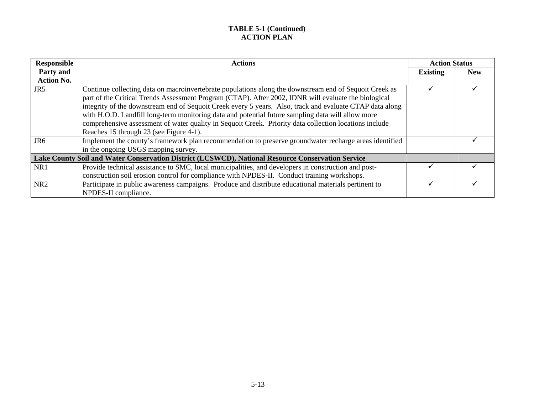| Responsible       | <b>Actions</b>                                                                                           | <b>Action Status</b> |            |
|-------------------|----------------------------------------------------------------------------------------------------------|----------------------|------------|
| Party and         |                                                                                                          | <b>Existing</b>      | <b>New</b> |
| <b>Action No.</b> |                                                                                                          |                      |            |
| JR5               | Continue collecting data on macroinvertebrate populations along the downstream end of Sequoit Creek as   |                      |            |
|                   | part of the Critical Trends Assessment Program (CTAP). After 2002, IDNR will evaluate the biological     |                      |            |
|                   | integrity of the downstream end of Sequoit Creek every 5 years. Also, track and evaluate CTAP data along |                      |            |
|                   | with H.O.D. Landfill long-term monitoring data and potential future sampling data will allow more        |                      |            |
|                   | comprehensive assessment of water quality in Sequoit Creek. Priority data collection locations include   |                      |            |
|                   | Reaches 15 through 23 (see Figure 4-1).                                                                  |                      |            |
| JR <sub>6</sub>   | Implement the county's framework plan recommendation to preserve groundwater recharge areas identified   |                      |            |
|                   | in the ongoing USGS mapping survey.                                                                      |                      |            |
|                   | Lake County Soil and Water Conservation District (LCSWCD), National Resource Conservation Service        |                      |            |
| NR1               | Provide technical assistance to SMC, local municipalities, and developers in construction and post-      |                      |            |
|                   | construction soil erosion control for compliance with NPDES-II. Conduct training workshops.              |                      |            |
| NR <sub>2</sub>   | Participate in public awareness campaigns. Produce and distribute educational materials pertinent to     |                      |            |
|                   | NPDES-II compliance.                                                                                     |                      |            |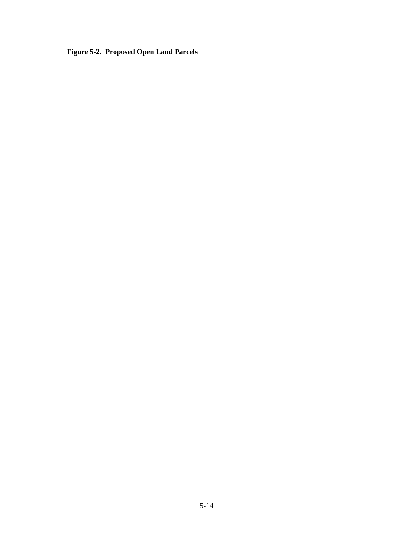# **Figure 5-2. Proposed Open Land Parcels**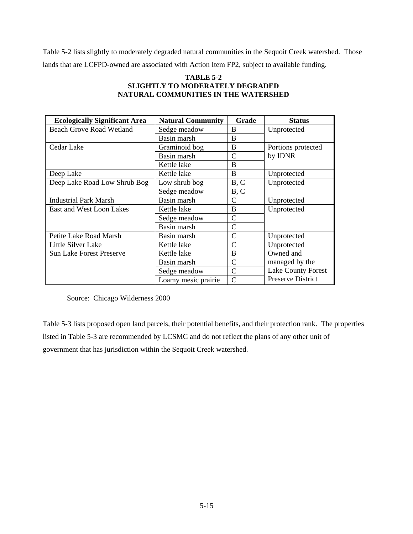Table 5-2 lists slightly to moderately degraded natural communities in the Sequoit Creek watershed. Those lands that are LCFPD-owned are associated with Action Item FP2, subject to available funding.

| <b>Ecologically Significant Area</b> | <b>Natural Community</b> | Grade         | <b>Status</b>      |
|--------------------------------------|--------------------------|---------------|--------------------|
| <b>Beach Grove Road Wetland</b>      | Sedge meadow             | B             | Unprotected        |
|                                      | Basin marsh              | <sub>B</sub>  |                    |
| Cedar Lake                           | Graminoid bog            | B             | Portions protected |
|                                      | Basin marsh              | C             | by <b>IDNR</b>     |
|                                      | Kettle lake              | B             |                    |
| Deep Lake                            | Kettle lake              | B             | Unprotected        |
| Deep Lake Road Low Shrub Bog         | Low shrub bog            | B, C          | Unprotected        |
|                                      | Sedge meadow             | B, C          |                    |
| <b>Industrial Park Marsh</b>         | Basin marsh              | $\mathsf{C}$  | Unprotected        |
| East and West Loon Lakes             | Kettle lake              | <sub>B</sub>  | Unprotected        |
|                                      | Sedge meadow             | $\mathcal{C}$ |                    |
|                                      | Basin marsh              | $\mathsf{C}$  |                    |
| Petite Lake Road Marsh               | Basin marsh              | C             | Unprotected        |
| Little Silver Lake                   | Kettle lake              | $\mathsf{C}$  | Unprotected        |
| <b>Sun Lake Forest Preserve</b>      | Kettle lake              | <sub>B</sub>  | Owned and          |
|                                      | Basin marsh              | $\mathsf{C}$  | managed by the     |
|                                      | Sedge meadow             | $\mathcal{C}$ | Lake County Forest |
|                                      | Loamy mesic prairie      | $\mathcal{C}$ | Preserve District  |

# **TABLE 5-2 SLIGHTLY TO MODERATELY DEGRADED NATURAL COMMUNITIES IN THE WATERSHED**

Source: Chicago Wilderness 2000

Table 5-3 lists proposed open land parcels, their potential benefits, and their protection rank. The properties listed in Table 5-3 are recommended by LCSMC and do not reflect the plans of any other unit of government that has jurisdiction within the Sequoit Creek watershed.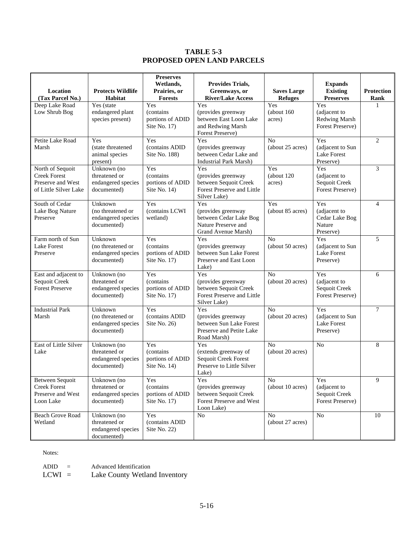### **TABLE 5-3 PROPOSED OPEN LAND PARCELS**

| Location<br>(Tax Parcel No.)                                                          | <b>Protects Wildlife</b><br>Habitat                               | <b>Preserves</b><br>Wetlands,<br>Prairies, or<br><b>Forests</b> | <b>Provides Trials,</b><br>Greenways, or<br><b>River/Lake Access</b>                              | <b>Saves Large</b><br><b>Refuges</b> | <b>Expands</b><br><b>Existing</b><br><b>Preserves</b>           | Protection<br>Rank |
|---------------------------------------------------------------------------------------|-------------------------------------------------------------------|-----------------------------------------------------------------|---------------------------------------------------------------------------------------------------|--------------------------------------|-----------------------------------------------------------------|--------------------|
| Deep Lake Road<br>Low Shrub Bog                                                       | Yes (state<br>endangered plant<br>species present)                | Yes<br>(contains)<br>portions of ADID<br>Site No. 17)           | Yes<br>(provides greenway<br>between East Loon Lake<br>and Redwing Marsh<br>Forest Preserve)      | Yes<br>(about 160<br>acres)          | Yes<br>(adjacent to<br><b>Redwing Marsh</b><br>Forest Preserve) |                    |
| Petite Lake Road<br>Marsh                                                             | Yes<br>(state threatened<br>animal species<br>present)            | Yes<br>(contains ADID<br>Site No. 188)                          | Yes<br>(provides greenway<br>between Cedar Lake and<br><b>Industrial Park Marsh)</b>              | N <sub>o</sub><br>(about 25 acres)   | Yes<br>(adjacent to Sun<br><b>Lake Forest</b><br>Preserve)      | $\overline{c}$     |
| North of Sequoit<br><b>Creek Forest</b><br>Preserve and West<br>of Little Silver Lake | Unknown (no<br>threatened or<br>endangered species<br>documented) | Yes<br>(contains<br>portions of ADID<br>Site No. 14)            | Yes<br>(provides greenway<br>between Sequoit Creek<br>Forest Preserve and Little<br>Silver Lake)  | Yes<br>(about 120)<br>acres)         | Yes<br>(adjacent to<br>Sequoit Creek<br>Forest Preserve)        | 3                  |
| South of Cedar<br>Lake Bog Nature<br>Preserve                                         | Unknown<br>(no threatened or<br>endangered species<br>documented) | Yes<br>(contains LCWI<br>wetland)                               | Yes<br>(provides greenway<br>between Cedar Lake Bog<br>Nature Preserve and<br>Grand Avenue Marsh) | Yes<br>(about 85 acres)              | Yes<br>(adjacent to<br>Cedar Lake Bog<br>Nature<br>Preserve)    | $\overline{4}$     |
| Farm north of Sun<br><b>Lake Forest</b><br>Preserve                                   | Unknown<br>(no threatened or<br>endangered species<br>documented) | Yes<br>(contains)<br>portions of ADID<br>Site No. 17)           | Yes<br>(provides greenway<br>between Sun Lake Forest<br>Preserve and East Loon<br>Lake)           | N <sub>o</sub><br>(about 50 acres)   | Yes<br>(adjacent to Sun<br><b>Lake Forest</b><br>Preserve)      | 5                  |
| East and adjacent to<br>Sequoit Creek<br><b>Forest Preserve</b>                       | Unknown (no<br>threatened or<br>endangered species<br>documented) | Yes<br>(contains)<br>portions of ADID<br>Site No. 17)           | Yes<br>(provides greenway<br>between Sequoit Creek<br>Forest Preserve and Little<br>Silver Lake)  | N <sub>o</sub><br>(about 20 acres)   | Yes<br>(adjacent to<br>Sequoit Creek<br>Forest Preserve)        | 6                  |
| <b>Industrial Park</b><br>Marsh                                                       | Unknown<br>(no threatened or<br>endangered species<br>documented) | Yes<br>(contains ADID<br>Site No. 26)                           | Yes<br>(provides greenway<br>between Sun Lake Forest<br>Preserve and Petite Lake<br>Road Marsh)   | N <sub>o</sub><br>(about 20 acres)   | Yes<br>(adjacent to Sun<br><b>Lake Forest</b><br>Preserve)      | $\overline{7}$     |
| East of Little Silver<br>Lake                                                         | Unknown (no<br>threatened or<br>endangered species<br>documented) | Yes<br>(contains)<br>portions of ADID<br>Site No. 14)           | Yes<br>(extends greenway of<br>Sequoit Creek Forest<br>Preserve to Little Silver<br>Lake)         | N <sub>o</sub><br>(about 20 acres)   | N <sub>o</sub>                                                  | 8                  |
| Between Sequoit<br><b>Creek Forest</b><br>Preserve and West<br>Loon Lake              | Unknown (no<br>threatened or<br>endangered species<br>documented) | Yes<br>(contains)<br>portions of ADID<br>Site No. 17)           | Yes<br>(provides greenway<br>between Sequoit Creek<br>Forest Preserve and West<br>Loon Lake)      | N <sub>o</sub><br>(about 10 acres)   | Yes<br>(adjacent to<br>Sequoit Creek<br>Forest Preserve)        | $\overline{9}$     |
| Beach Grove Road<br>Wetland                                                           | Unknown (no<br>threatened or<br>endangered species<br>documented) | Yes<br>(contains ADID<br>Site No. 22)                           | <b>No</b>                                                                                         | No<br>(about 27 acres)               | No                                                              | 10                 |

Notes:

ADID = Advanced Identification

LCWI = Lake County Wetland Inventory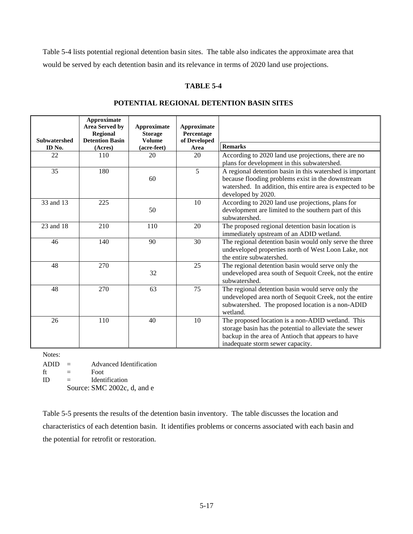Table 5-4 lists potential regional detention basin sites. The table also indicates the approximate area that would be served by each detention basin and its relevance in terms of 2020 land use projections.

### **TABLE 5-4**

| <b>Subwatershed</b> | <b>Approximate</b><br><b>Area Served by</b><br><b>Regional</b><br><b>Detention Basin</b> | Approximate<br><b>Storage</b><br><b>Volume</b> | Approximate<br>Percentage<br>of Developed |                                                                                                                                                                                                       |
|---------------------|------------------------------------------------------------------------------------------|------------------------------------------------|-------------------------------------------|-------------------------------------------------------------------------------------------------------------------------------------------------------------------------------------------------------|
| ID No.              | (Acres)                                                                                  | (acre-feet)                                    | Area                                      | <b>Remarks</b>                                                                                                                                                                                        |
| 22                  | 110                                                                                      | 20                                             | 20                                        | According to 2020 land use projections, there are no<br>plans for development in this subwatershed.                                                                                                   |
| 35                  | 180                                                                                      | 60                                             | 5                                         | A regional detention basin in this watershed is important<br>because flooding problems exist in the downstream<br>watershed. In addition, this entire area is expected to be<br>developed by 2020.    |
| 33 and 13           | 225                                                                                      | 50                                             | 10                                        | According to 2020 land use projections, plans for<br>development are limited to the southern part of this<br>subwatershed.                                                                            |
| 23 and 18           | 210                                                                                      | 110                                            | 20                                        | The proposed regional detention basin location is<br>immediately upstream of an ADID wetland.                                                                                                         |
| 46                  | 140                                                                                      | 90                                             | 30                                        | The regional detention basin would only serve the three<br>undeveloped properties north of West Loon Lake, not<br>the entire subwatershed.                                                            |
| 48                  | 270                                                                                      | 32                                             | 25                                        | The regional detention basin would serve only the<br>undeveloped area south of Sequoit Creek, not the entire<br>subwatershed.                                                                         |
| 48                  | 270                                                                                      | 63                                             | 75                                        | The regional detention basin would serve only the<br>undeveloped area north of Sequoit Creek, not the entire<br>subwatershed. The proposed location is a non-ADID<br>wetland.                         |
| 26                  | 110                                                                                      | 40                                             | 10                                        | The proposed location is a non-ADID wetland. This<br>storage basin has the potential to alleviate the sewer<br>backup in the area of Antioch that appears to have<br>inadequate storm sewer capacity. |

### **POTENTIAL REGIONAL DETENTION BASIN SITES**

Notes:

ADID = Advanced Identification  $ft =$  Foot

ID = Identification

Source: SMC 2002c, d, and e

Table 5-5 presents the results of the detention basin inventory. The table discusses the location and characteristics of each detention basin. It identifies problems or concerns associated with each basin and the potential for retrofit or restoration.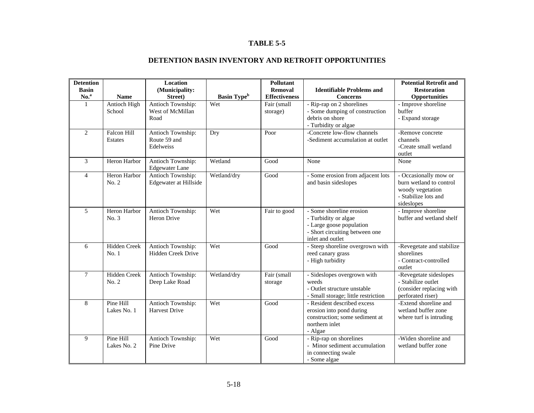#### **TABLE 5-5**

| <b>Detention</b> |                               | Location                                          |                                | Pollutant               |                                                                                                                                    | <b>Potential Retrofit and</b>                                                                              |
|------------------|-------------------------------|---------------------------------------------------|--------------------------------|-------------------------|------------------------------------------------------------------------------------------------------------------------------------|------------------------------------------------------------------------------------------------------------|
| <b>Basin</b>     |                               | (Municipality:                                    |                                | Removal                 | <b>Identifiable Problems and</b>                                                                                                   | <b>Restoration</b>                                                                                         |
| No. <sup>a</sup> | <b>Name</b>                   | Street)                                           | <b>Basin Type</b> <sup>b</sup> | <b>Effectiveness</b>    | <b>Concerns</b>                                                                                                                    | <b>Opportunities</b>                                                                                       |
| $\mathbf{1}$     | Antioch High<br>School        | Antioch Township:<br>West of McMillan<br>Road     | Wet                            | Fair (small<br>storage) | - Rip-rap on 2 shorelines<br>- Some dumping of construction<br>debris on shore<br>- Turbidity or algae                             | - Improve shoreline<br>buffer<br>- Expand storage                                                          |
| $\overline{2}$   | Falcon Hill<br><b>Estates</b> | Antioch Township:<br>Route 59 and<br>Edelweiss    | Dry                            | Poor                    | -Concrete low-flow channels<br>-Sediment accumulation at outlet                                                                    | -Remove concrete<br>channels<br>-Create small wetland<br>outlet                                            |
| 3                | Heron Harbor                  | Antioch Township:<br><b>Edgewater Lane</b>        | Wetland                        | Good                    | None                                                                                                                               | None                                                                                                       |
| $\overline{4}$   | Heron Harbor<br>No. 2         | Antioch Township:<br><b>Edgewater at Hillside</b> | Wetland/dry                    | Good                    | - Some erosion from adjacent lots<br>and basin sideslopes                                                                          | - Occasionally mow or<br>burn wetland to control<br>woody vegetation<br>- Stabilize lots and<br>sideslopes |
| 5                | Heron Harbor<br>No. 3         | Antioch Township:<br>Heron Drive                  | Wet                            | Fair to good            | - Some shoreline erosion<br>- Turbidity or algae<br>- Large goose population<br>- Short circuiting between one<br>inlet and outlet | - Improve shoreline<br>buffer and wetland shelf                                                            |
| 6                | Hidden Creek<br>No.1          | Antioch Township:<br><b>Hidden Creek Drive</b>    | Wet                            | Good                    | - Steep shoreline overgrown with<br>reed canary grass<br>- High turbidity                                                          | -Revegetate and stabilize<br>shorelines<br>- Contract-controlled<br>outlet                                 |
| $\tau$           | Hidden Creek<br>No. 2         | Antioch Township:<br>Deep Lake Road               | Wetland/dry                    | Fair (small<br>storage  | - Sideslopes overgrown with<br>weeds<br>- Outlet structure unstable<br>- Small storage; little restriction                         | -Revegetate sideslopes<br>- Stabilize outlet<br>(consider replacing with<br>perforated riser)              |
| 8                | Pine Hill<br>Lakes No. 1      | Antioch Township:<br>Harvest Drive                | Wet                            | Good                    | - Resident described excess<br>erosion into pond during<br>construction; some sediment at<br>northern inlet<br>- Algae             | -Extend shoreline and<br>wetland buffer zone<br>where turf is intruding                                    |
| 9                | Pine Hill<br>Lakes No. 2      | Antioch Township:<br>Pine Drive                   | Wet                            | Good                    | - Rip-rap on shorelines<br>- Minor sediment accumulation<br>in connecting swale<br>- Some algae                                    | -Widen shoreline and<br>wetland buffer zone                                                                |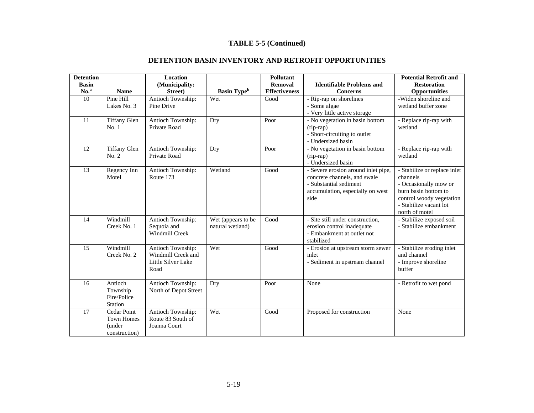| <b>Detention</b> |                     | <b>Location</b>       |                                | Pollutant            |                                                    | <b>Potential Retrofit and</b> |
|------------------|---------------------|-----------------------|--------------------------------|----------------------|----------------------------------------------------|-------------------------------|
| <b>Basin</b>     |                     | (Municipality:        |                                | Removal              | <b>Identifiable Problems and</b>                   | <b>Restoration</b>            |
| No. <sup>a</sup> | <b>Name</b>         | Street)               | <b>Basin Type</b> <sup>b</sup> | <b>Effectiveness</b> | <b>Concerns</b>                                    | <b>Opportunities</b>          |
| 10               | Pine Hill           | Antioch Township:     | Wet                            | Good                 | - Rip-rap on shorelines                            | -Widen shoreline and          |
|                  | Lakes No. 3         | Pine Drive            |                                |                      | - Some algae                                       | wetland buffer zone           |
|                  |                     |                       |                                |                      | - Very little active storage                       |                               |
| 11               | <b>Tiffany Glen</b> | Antioch Township:     | Dry                            | Poor                 | - No vegetation in basin bottom                    | - Replace rip-rap with        |
|                  | No. 1               | Private Road          |                                |                      | $rip-rap)$                                         | wetland                       |
|                  |                     |                       |                                |                      | - Short-circuiting to outlet<br>- Undersized basin |                               |
| 12               | <b>Tiffany Glen</b> | Antioch Township:     | Dry                            | Poor                 | - No vegetation in basin bottom                    | - Replace rip-rap with        |
|                  | No. 2               | Private Road          |                                |                      | $rip-rap)$                                         | wetland                       |
|                  |                     |                       |                                |                      | - Undersized basin                                 |                               |
| 13               | Regency Inn         | Antioch Township:     | Wetland                        | Good                 | - Severe erosion around inlet pipe,                | - Stabilize or replace inlet  |
|                  | Motel               | Route 173             |                                |                      | concrete channels, and swale                       | channels                      |
|                  |                     |                       |                                |                      | - Substantial sediment                             | - Occasionally mow or         |
|                  |                     |                       |                                |                      | accumulation, especially on west                   | burn basin bottom to          |
|                  |                     |                       |                                |                      | side                                               | control woody vegetation      |
|                  |                     |                       |                                |                      |                                                    | - Stabilize vacant lot        |
|                  |                     |                       |                                |                      |                                                    | north of motel                |
| 14               | Windmill            | Antioch Township:     | Wet (appears to be             | Good                 | - Site still under construction,                   | - Stabilize exposed soil      |
|                  | Creek No. 1         | Sequoia and           | natural wetland)               |                      | erosion control inadequate                         | - Stabilize embankment        |
|                  |                     | Windmill Creek        |                                |                      | - Embankment at outlet not                         |                               |
|                  |                     |                       |                                |                      | stabilized                                         |                               |
| 15               | Windmill            | Antioch Township:     | Wet                            | Good                 | - Erosion at upstream storm sewer                  | - Stabilize eroding inlet     |
|                  | Creek No. 2         | Windmill Creek and    |                                |                      | inlet                                              | and channel                   |
|                  |                     | Little Silver Lake    |                                |                      | - Sediment in upstream channel                     | - Improve shoreline           |
|                  |                     | Road                  |                                |                      |                                                    | buffer                        |
|                  |                     |                       |                                |                      |                                                    |                               |
| 16               | Antioch             | Antioch Township:     | Dry                            | Poor                 | None                                               | - Retrofit to wet pond        |
|                  | Township            | North of Depot Street |                                |                      |                                                    |                               |
|                  | Fire/Police         |                       |                                |                      |                                                    |                               |
|                  | Station             |                       |                                |                      |                                                    |                               |
| 17               | Cedar Point         | Antioch Township:     | Wet                            | Good                 | Proposed for construction                          | None                          |
|                  | <b>Town Homes</b>   | Route 83 South of     |                                |                      |                                                    |                               |
|                  | (under              | Joanna Court          |                                |                      |                                                    |                               |
|                  | construction)       |                       |                                |                      |                                                    |                               |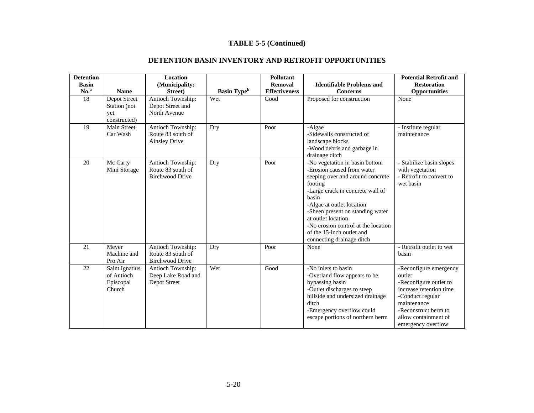| <b>Detention</b><br><b>Basin</b> |                                                                    | <b>Location</b><br>(Municipality:                                |                                       | <b>Pollutant</b><br>Removal  | <b>Identifiable Problems and</b>                                                                                                                                                                                                                                                                                                                 | <b>Potential Retrofit and</b><br><b>Restoration</b>                                                                                                                                            |
|----------------------------------|--------------------------------------------------------------------|------------------------------------------------------------------|---------------------------------------|------------------------------|--------------------------------------------------------------------------------------------------------------------------------------------------------------------------------------------------------------------------------------------------------------------------------------------------------------------------------------------------|------------------------------------------------------------------------------------------------------------------------------------------------------------------------------------------------|
| No. <sup>a</sup><br>18           | <b>Name</b><br>Depot Street<br>Station (not<br>yet<br>constructed) | Street)<br>Antioch Township:<br>Depot Street and<br>North Avenue | <b>Basin Type</b> <sup>b</sup><br>Wet | <b>Effectiveness</b><br>Good | Concerns<br>Proposed for construction                                                                                                                                                                                                                                                                                                            | Opportunities<br>None                                                                                                                                                                          |
| 19                               | <b>Main Street</b><br>Car Wash                                     | Antioch Township:<br>Route 83 south of<br><b>Ainsley Drive</b>   | Dry                                   | Poor                         | -Algae<br>-Sidewalls constructed of<br>landscape blocks<br>-Wood debris and garbage in<br>drainage ditch                                                                                                                                                                                                                                         | - Institute regular<br>maintenance                                                                                                                                                             |
| 20                               | Mc Carty<br>Mini Storage                                           | Antioch Township:<br>Route 83 south of<br><b>Birchwood Drive</b> | Dry                                   | Poor                         | -No vegetation in basin bottom<br>-Erosion caused from water<br>seeping over and around concrete<br>footing<br>-Large crack in concrete wall of<br>basin<br>-Algae at outlet location<br>-Sheen present on standing water<br>at outlet location<br>-No erosion control at the location<br>of the 15-inch outlet and<br>connecting drainage ditch | - Stabilize basin slopes<br>with vegetation<br>- Retrofit to convert to<br>wet basin                                                                                                           |
| 21                               | Meyer<br>Machine and<br>Pro Air                                    | Antioch Township:<br>Route 83 south of<br><b>Birchwood Drive</b> | Dry                                   | Poor                         | None                                                                                                                                                                                                                                                                                                                                             | - Retrofit outlet to wet<br>basin                                                                                                                                                              |
| 22                               | Saint Ignatius<br>of Antioch<br>Episcopal<br>Church                | Antioch Township:<br>Deep Lake Road and<br>Depot Street          | Wet                                   | Good                         | -No inlets to basin<br>-Overland flow appears to be<br>bypassing basin<br>-Outlet discharges to steep<br>hillside and undersized drainage<br>ditch<br>-Emergency overflow could<br>escape portions of northern berm                                                                                                                              | -Reconfigure emergency<br>outlet<br>-Reconfigure outlet to<br>increase retention time<br>-Conduct regular<br>maintenance<br>-Reconstruct berm to<br>allow containment of<br>emergency overflow |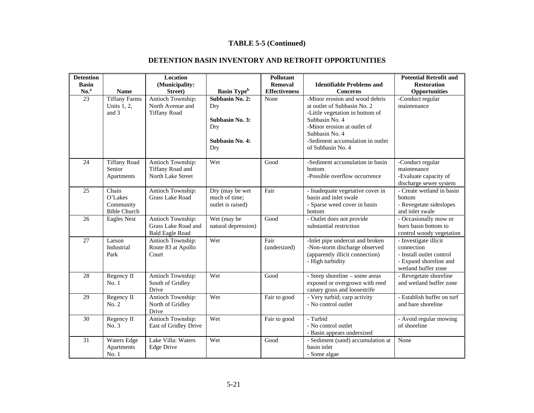| <b>Detention</b> |                                                      | Location                                                           |                                                                                          | Pollutant            |                                                                                                                                                                                                                              | <b>Potential Retrofit and</b>                                                                                    |
|------------------|------------------------------------------------------|--------------------------------------------------------------------|------------------------------------------------------------------------------------------|----------------------|------------------------------------------------------------------------------------------------------------------------------------------------------------------------------------------------------------------------------|------------------------------------------------------------------------------------------------------------------|
| <b>Basin</b>     |                                                      | (Municipality:                                                     |                                                                                          | <b>Removal</b>       | <b>Identifiable Problems and</b>                                                                                                                                                                                             | <b>Restoration</b>                                                                                               |
| $\mathbf{No}$ .  | <b>Name</b>                                          | Street)                                                            | <b>Basin Type</b> <sup>b</sup>                                                           | <b>Effectiveness</b> | <b>Concerns</b>                                                                                                                                                                                                              | <b>Opportunities</b>                                                                                             |
| 23               | <b>Tiffany Farms</b><br>Units 1, 2,<br>and 3         | Antioch Township:<br>North Avenue and<br><b>Tiffany Road</b>       | <b>Subbasin No. 2:</b><br>Dry<br>Subbasin No. 3:<br>Dry<br><b>Subbasin No. 4:</b><br>Dry | None                 | -Minor erosion and wood debris<br>at outlet of Subbasin No. 2<br>-Little vegetation in bottom of<br>Subbasin No. 4<br>-Minor erosion at outlet of<br>Subbasin No. 4<br>-Sediment accumulation in outlet<br>of Subbasin No. 4 | -Conduct regular<br>maintenance                                                                                  |
| 24               | <b>Tiffany Road</b><br>Senior<br>Apartments          | Antioch Township:<br>Tiffany Road and<br>North Lake Street         | Wet                                                                                      | Good                 | -Sediment accumulation in basin<br>bottom<br>-Possible overflow occurrence                                                                                                                                                   | -Conduct regular<br>maintenance<br>-Evaluate capacity of<br>discharge sewer system                               |
| 25               | Chain<br>O'Lakes<br>Community<br><b>Bible Church</b> | Antioch Township:<br>Grass Lake Road                               | Dry (may be wet<br>much of time;<br>outlet is raised)                                    | Fair                 | - Inadequate vegetative cover in<br>basin and inlet swale<br>- Sparse weed cover in basin<br>bottom                                                                                                                          | - Create wetland in basin<br>bottom<br>- Revegetate sideslopes<br>and inlet swale                                |
| 26               | <b>Eagles Nest</b>                                   | Antioch Township:<br>Grass Lake Road and<br><b>Bald Eagle Road</b> | Wet (may be<br>natural depression)                                                       | Good                 | - Outlet does not provide<br>substantial restriction                                                                                                                                                                         | - Occasionally mow or<br>burn basin bottom to<br>control woody vegetation                                        |
| 27               | Larson<br>Industrial<br>Park                         | Antioch Township:<br>Route 83 at Apollo<br>Court                   | Wet                                                                                      | Fair<br>(undersized) | -Inlet pipe undercut and broken<br>-Non-storm discharge observed<br>(apparently illicit connection)<br>- High turbidity                                                                                                      | - Investigate illicit<br>connection<br>- Install outlet control<br>- Expand shoreline and<br>wetland buffer zone |
| 28               | Regency II<br>No.1                                   | Antioch Township:<br>South of Gridley<br>Drive                     | Wet                                                                                      | Good                 | - Steep shoreline - some areas<br>exposed or overgrown with reed<br>canary grass and loosestrife                                                                                                                             | - Revegetate shoreline<br>and wetland buffer zone                                                                |
| 29               | Regency II<br>No. 2                                  | Antioch Township:<br>North of Gridley<br>Drive                     | Wet                                                                                      | Fair to good         | - Very turbid; carp activity<br>- No control outlet                                                                                                                                                                          | - Establish buffer on turf<br>and bare shoreline                                                                 |
| 30               | Regency II<br>No. 3                                  | Antioch Township:<br>East of Gridley Drive                         | Wet                                                                                      | Fair to good         | - Turbid<br>- No control outlet<br>- Basin appears undersized                                                                                                                                                                | - Avoid regular mowing<br>of shoreline                                                                           |
| 31               | Waters Edge<br>Apartments<br>No. 1                   | Lake Villa: Waters<br>Edge Drive                                   | Wet                                                                                      | Good                 | - Sediment (sand) accumulation at<br>basin inlet<br>- Some algae                                                                                                                                                             | None                                                                                                             |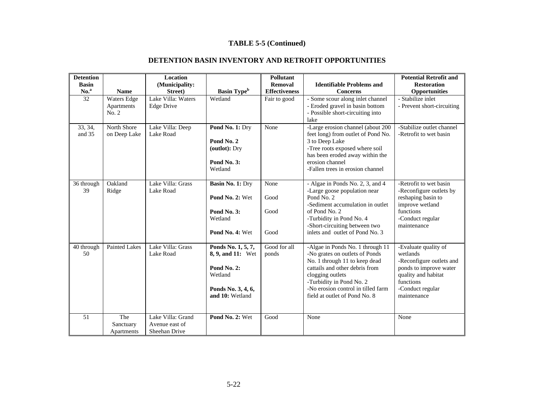|  | DETENTION BASIN INVENTORY AND RETROFIT OPPORTUNITIES |
|--|------------------------------------------------------|
|--|------------------------------------------------------|

| <b>Detention</b><br><b>Basin</b><br>$\mathbf{No}$ . | <b>Name</b>                        | Location<br>(Municipality:<br>Street)                | <b>Basin Type</b> <sup>b</sup>                                                                                    | Pollutant<br><b>Removal</b><br><b>Effectiveness</b> | <b>Identifiable Problems and</b><br><b>Concerns</b>                                                                                                                                                                                                          | <b>Potential Retrofit and</b><br><b>Restoration</b><br><b>Opportunities</b>                                                                                   |
|-----------------------------------------------------|------------------------------------|------------------------------------------------------|-------------------------------------------------------------------------------------------------------------------|-----------------------------------------------------|--------------------------------------------------------------------------------------------------------------------------------------------------------------------------------------------------------------------------------------------------------------|---------------------------------------------------------------------------------------------------------------------------------------------------------------|
| 32                                                  | Waters Edge<br>Apartments<br>No. 2 | Lake Villa: Waters<br><b>Edge Drive</b>              | Wetland                                                                                                           | Fair to good                                        | - Some scour along inlet channel<br>- Eroded gravel in basin bottom<br>- Possible short-circuiting into<br>lake                                                                                                                                              | - Stabilize inlet<br>- Prevent short-circuiting                                                                                                               |
| 33, 34,<br>and 35                                   | North Shore<br>on Deep Lake        | Lake Villa: Deep<br>Lake Road                        | Pond No. 1: Dry<br>Pond No. 2<br>(outlot): Dry<br>Pond No. 3:<br>Wetland                                          | None                                                | -Large erosion channel (about 200<br>feet long) from outlet of Pond No.<br>3 to Deep Lake<br>-Tree roots exposed where soil<br>has been eroded away within the<br>erosion channel<br>-Fallen trees in erosion channel                                        | -Stabilize outlet channel<br>-Retrofit to wet basin                                                                                                           |
| 36 through<br>39                                    | Oakland<br>Ridge                   | Lake Villa: Grass<br>Lake Road                       | Basin No. 1: Dry<br>Pond No. 2: Wet<br>Pond No. 3:<br>Wetland<br>Pond No. 4: Wet                                  | None<br>Good<br>Good<br>Good                        | - Algae in Ponds No. 2, 3, and 4<br>-Large goose population near<br>Pond No. 2<br>-Sediment accumulation in outlet<br>of Pond No. 2<br>-Turbidity in Pond No. 4<br>-Short-circuiting between two<br>inlets and outlet of Pond No. 3                          | -Retrofit to wet basin<br>-Reconfigure outlets by<br>reshaping basin to<br>improve wetland<br>functions<br>-Conduct regular<br>maintenance                    |
| 40 through<br>50                                    | <b>Painted Lakes</b>               | Lake Villa: Grass<br>Lake Road                       | Ponds No. 1, 5, 7,<br><b>8, 9, and 11:</b> Wet<br>Pond No. 2:<br>Wetland<br>Ponds No. 3, 4, 6,<br>and 10: Wetland | Good for all<br>ponds                               | -Algae in Ponds No. 1 through 11<br>-No grates on outlets of Ponds<br>No. 1 through 11 to keep dead<br>cattails and other debris from<br>clogging outlets<br>-Turbidity in Pond No. 2<br>-No erosion control in tilled farm<br>field at outlet of Pond No. 8 | -Evaluate quality of<br>wetlands<br>-Reconfigure outlets and<br>ponds to improve water<br>quality and habitat<br>functions<br>-Conduct regular<br>maintenance |
| 51                                                  | The<br>Sanctuary<br>Apartments     | Lake Villa: Grand<br>Avenue east of<br>Sheehan Drive | Pond No. 2: Wet                                                                                                   | Good                                                | None                                                                                                                                                                                                                                                         | None                                                                                                                                                          |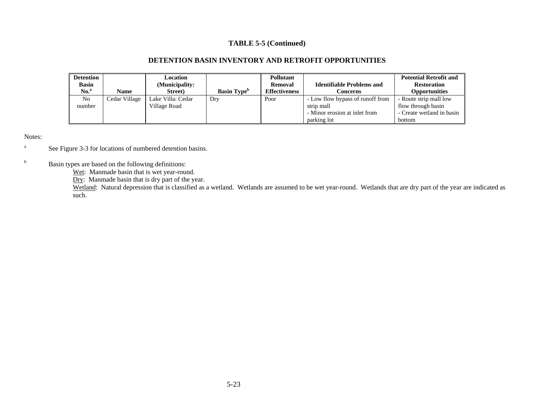#### **DETENTION BASIN INVENTORY AND RETROFIT OPPORTUNITIES**

| <b>Detention</b><br><b>Basin</b><br>No. <sup>a</sup> | <b>Name</b>   | <b>Location</b><br>(Municipality:<br>Street) | <b>Basin Type</b> <sup>b</sup> | <b>Pollutant</b><br>Removal<br>Effectiveness | <b>Identifiable Problems and</b><br>Concerns                                    | <b>Potential Retrofit and</b><br><b>Restoration</b><br><b>Opportunities</b> |
|------------------------------------------------------|---------------|----------------------------------------------|--------------------------------|----------------------------------------------|---------------------------------------------------------------------------------|-----------------------------------------------------------------------------|
| N <sub>o</sub><br>number                             | Cedar Village | Lake Villa: Cedar<br>Village Road            | Dry                            | Poor                                         | - Low flow bypass of runoff from<br>strip mall<br>- Minor erosion at inlet from | - Route strip mall low<br>flow through basin<br>- Create wetland in basin   |
|                                                      |               |                                              |                                |                                              | parking lot                                                                     | bottom                                                                      |

Notes:

<sup>a</sup> See Figure 3-3 for locations of numbered detention basins.

<sup>b</sup> Basin types are based on the following definitions:

Wet: Manmade basin that is wet year-round.

Dry: Manmade basin that is dry part of the year.

Wetland: Natural depression that is classified as a wetland. Wetlands are assumed to be wet year-round. Wetlands that are dry part of the year are indicated as such.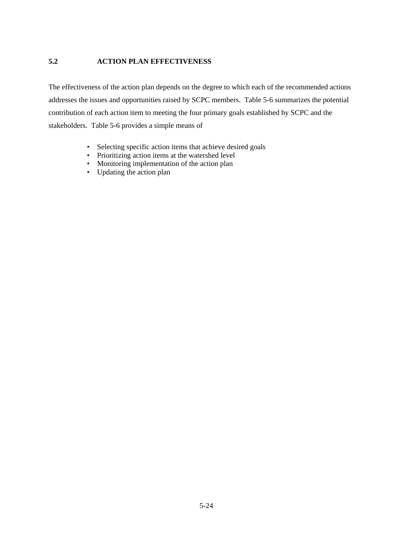# **5.2 ACTION PLAN EFFECTIVENESS**

The effectiveness of the action plan depends on the degree to which each of the recommended actions addresses the issues and opportunities raised by SCPC members. Table 5-6 summarizes the potential contribution of each action item to meeting the four primary goals established by SCPC and the stakeholders. Table 5-6 provides a simple means of

- Selecting specific action items that achieve desired goals
- Prioritizing action items at the watershed level
- Monitoring implementation of the action plan
- Updating the action plan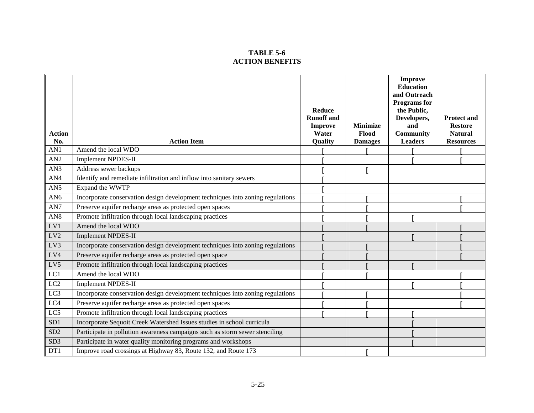#### **TABLE 5-6 ACTION BENEFITS**

| <b>Action</b><br>No. | <b>Action Item</b>                                                             | <b>Reduce</b><br><b>Runoff</b> and<br><b>Improve</b><br>Water<br>Quality |  | <b>Minimize</b><br>Flood<br><b>Damages</b> | <b>Improve</b><br><b>Education</b><br>and Outreach<br><b>Programs</b> for<br>the Public,<br>Developers,<br>and<br><b>Community</b><br><b>Leaders</b> | <b>Protect and</b><br><b>Restore</b><br><b>Natural</b><br><b>Resources</b> |
|----------------------|--------------------------------------------------------------------------------|--------------------------------------------------------------------------|--|--------------------------------------------|------------------------------------------------------------------------------------------------------------------------------------------------------|----------------------------------------------------------------------------|
| AN1                  | Amend the local WDO                                                            |                                                                          |  |                                            |                                                                                                                                                      |                                                                            |
| AN2                  | <b>Implement NPDES-II</b>                                                      |                                                                          |  |                                            |                                                                                                                                                      |                                                                            |
| AN3                  | Address sewer backups                                                          |                                                                          |  |                                            |                                                                                                                                                      |                                                                            |
| AN4                  | Identify and remediate infiltration and inflow into sanitary sewers            |                                                                          |  |                                            |                                                                                                                                                      |                                                                            |
| AN5                  | Expand the WWTP                                                                |                                                                          |  |                                            |                                                                                                                                                      |                                                                            |
| AN6                  | Incorporate conservation design development techniques into zoning regulations |                                                                          |  |                                            |                                                                                                                                                      |                                                                            |
| AN7                  | Preserve aquifer recharge areas as protected open spaces                       |                                                                          |  |                                            |                                                                                                                                                      |                                                                            |
| AN <sub>8</sub>      | Promote infiltration through local landscaping practices                       |                                                                          |  |                                            |                                                                                                                                                      |                                                                            |
| LV1                  | Amend the local WDO                                                            |                                                                          |  |                                            |                                                                                                                                                      |                                                                            |
| LV2                  | <b>Implement NPDES-II</b>                                                      |                                                                          |  |                                            |                                                                                                                                                      |                                                                            |
| LV3                  | Incorporate conservation design development techniques into zoning regulations |                                                                          |  |                                            |                                                                                                                                                      |                                                                            |
| LV4                  | Preserve aquifer recharge areas as protected open space                        |                                                                          |  |                                            |                                                                                                                                                      |                                                                            |
| LV5                  | Promote infiltration through local landscaping practices                       |                                                                          |  |                                            |                                                                                                                                                      |                                                                            |
| $\overline{LC1}$     | Amend the local WDO                                                            |                                                                          |  |                                            |                                                                                                                                                      |                                                                            |
| LC2                  | <b>Implement NPDES-II</b>                                                      |                                                                          |  |                                            |                                                                                                                                                      |                                                                            |
| LC3                  | Incorporate conservation design development techniques into zoning regulations |                                                                          |  |                                            |                                                                                                                                                      |                                                                            |
| LC4                  | Preserve aquifer recharge areas as protected open spaces                       |                                                                          |  |                                            |                                                                                                                                                      |                                                                            |
| LC5                  | Promote infiltration through local landscaping practices                       |                                                                          |  |                                            |                                                                                                                                                      |                                                                            |
| SD1                  | Incorporate Sequoit Creek Watershed Issues studies in school curricula         |                                                                          |  |                                            |                                                                                                                                                      |                                                                            |
| SD <sub>2</sub>      | Participate in pollution awareness campaigns such as storm sewer stenciling    |                                                                          |  |                                            |                                                                                                                                                      |                                                                            |
| SD <sub>3</sub>      | Participate in water quality monitoring programs and workshops                 |                                                                          |  |                                            |                                                                                                                                                      |                                                                            |
| DT1                  | Improve road crossings at Highway 83, Route 132, and Route 173                 |                                                                          |  |                                            |                                                                                                                                                      |                                                                            |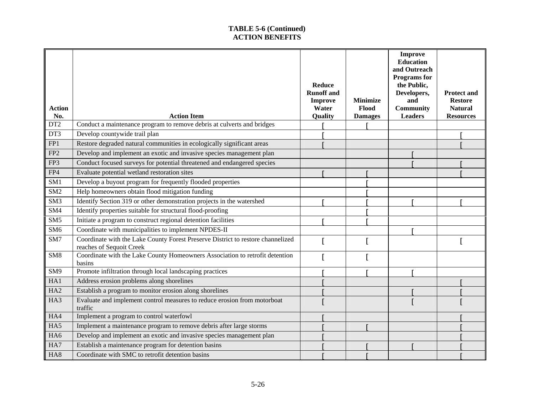#### **TABLE 5-6 (Continued) ACTION BENEFITS**

|                 |                                                                                                             |                                    |                 | <b>Improve</b><br><b>Education</b>                                |                                  |
|-----------------|-------------------------------------------------------------------------------------------------------------|------------------------------------|-----------------|-------------------------------------------------------------------|----------------------------------|
|                 |                                                                                                             | <b>Reduce</b><br><b>Runoff</b> and | <b>Minimize</b> | and Outreach<br><b>Programs</b> for<br>the Public,<br>Developers, | <b>Protect and</b>               |
| <b>Action</b>   |                                                                                                             | <b>Improve</b><br>Water            | Flood           | and<br><b>Community</b>                                           | <b>Restore</b><br><b>Natural</b> |
| No.             | <b>Action Item</b>                                                                                          | Quality                            | <b>Damages</b>  | <b>Leaders</b>                                                    | <b>Resources</b>                 |
| DT2             | Conduct a maintenance program to remove debris at culverts and bridges                                      |                                    |                 |                                                                   |                                  |
| DT3             | Develop countywide trail plan                                                                               |                                    |                 |                                                                   |                                  |
| FP1             | Restore degraded natural communities in ecologically significant areas                                      |                                    |                 |                                                                   |                                  |
| FP <sub>2</sub> | Develop and implement an exotic and invasive species management plan                                        |                                    |                 |                                                                   |                                  |
| FP3             | Conduct focused surveys for potential threatened and endangered species                                     |                                    |                 |                                                                   |                                  |
| FP4             | Evaluate potential wetland restoration sites                                                                |                                    |                 |                                                                   |                                  |
| SM1             | Develop a buyout program for frequently flooded properties                                                  |                                    |                 |                                                                   |                                  |
| SM <sub>2</sub> | Help homeowners obtain flood mitigation funding                                                             |                                    |                 |                                                                   |                                  |
| SM <sub>3</sub> | Identify Section 319 or other demonstration projects in the watershed                                       |                                    |                 |                                                                   |                                  |
| SM4             | Identify properties suitable for structural flood-proofing                                                  |                                    |                 |                                                                   |                                  |
| SM <sub>5</sub> | Initiate a program to construct regional detention facilities                                               |                                    |                 |                                                                   |                                  |
| SM <sub>6</sub> | Coordinate with municipalities to implement NPDES-II                                                        |                                    |                 |                                                                   |                                  |
| SM7             | Coordinate with the Lake County Forest Preserve District to restore channelized<br>reaches of Sequoit Creek |                                    |                 |                                                                   |                                  |
| SM <sub>8</sub> | Coordinate with the Lake County Homeowners Association to retrofit detention<br>basins                      |                                    |                 |                                                                   |                                  |
| SM <sub>9</sub> | Promote infiltration through local landscaping practices                                                    |                                    |                 |                                                                   |                                  |
| HA1             | Address erosion problems along shorelines                                                                   |                                    |                 |                                                                   |                                  |
| HA <sub>2</sub> | Establish a program to monitor erosion along shorelines                                                     |                                    |                 |                                                                   |                                  |
| HA3             | Evaluate and implement control measures to reduce erosion from motorboat<br>traffic                         |                                    |                 |                                                                   |                                  |
| HA4             | Implement a program to control waterfowl                                                                    |                                    |                 |                                                                   |                                  |
| HA5             | Implement a maintenance program to remove debris after large storms                                         |                                    |                 |                                                                   |                                  |
| HA6             | Develop and implement an exotic and invasive species management plan                                        |                                    |                 |                                                                   |                                  |
| HA7             | Establish a maintenance program for detention basins                                                        |                                    |                 |                                                                   |                                  |
| HA <sub>8</sub> | Coordinate with SMC to retrofit detention basins                                                            |                                    |                 |                                                                   |                                  |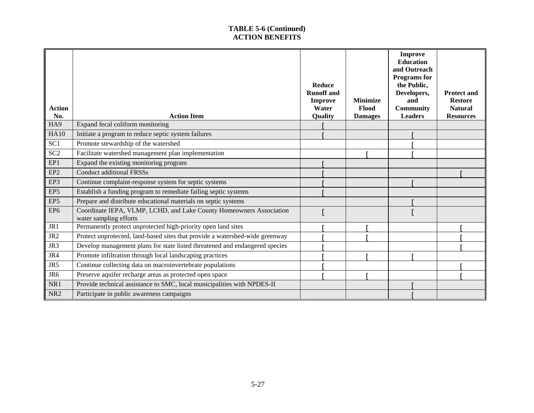#### **TABLE 5-6 (Continued) ACTION BENEFITS**

| <b>Action</b><br>No. | <b>Action Item</b>                                                                            | <b>Reduce</b><br><b>Runoff</b> and<br><b>Improve</b><br>Water<br><b>Quality</b> | <b>Minimize</b><br>Flood<br><b>Damages</b> | Improve<br><b>Education</b><br>and Outreach<br><b>Programs</b> for<br>the Public,<br>Developers,<br>and<br><b>Community</b><br><b>Leaders</b> | <b>Protect and</b><br><b>Restore</b><br><b>Natural</b><br><b>Resources</b> |
|----------------------|-----------------------------------------------------------------------------------------------|---------------------------------------------------------------------------------|--------------------------------------------|-----------------------------------------------------------------------------------------------------------------------------------------------|----------------------------------------------------------------------------|
| HA9                  | Expand fecal coliform monitoring                                                              |                                                                                 |                                            |                                                                                                                                               |                                                                            |
| <b>HA10</b>          | Initiate a program to reduce septic system failures                                           |                                                                                 |                                            |                                                                                                                                               |                                                                            |
| SC <sub>1</sub>      | Promote stewardship of the watershed                                                          |                                                                                 |                                            |                                                                                                                                               |                                                                            |
| SC <sub>2</sub>      | Facilitate watershed management plan implementation                                           |                                                                                 |                                            |                                                                                                                                               |                                                                            |
| EP1                  | Expand the existing monitoring program                                                        |                                                                                 |                                            |                                                                                                                                               |                                                                            |
| EP <sub>2</sub>      | <b>Conduct additional FRSSs</b>                                                               |                                                                                 |                                            |                                                                                                                                               |                                                                            |
| EP3                  | Continue complaint-response system for septic systems                                         |                                                                                 |                                            |                                                                                                                                               |                                                                            |
| EP <sub>5</sub>      | Establish a funding program to remediate failing septic systems                               |                                                                                 |                                            |                                                                                                                                               |                                                                            |
| EP <sub>5</sub>      | Prepare and distribute educational materials on septic systems                                |                                                                                 |                                            |                                                                                                                                               |                                                                            |
| EP <sub>6</sub>      | Coordinate IEPA, VLMP, LCHD, and Lake County Homeowners Association<br>water sampling efforts |                                                                                 |                                            |                                                                                                                                               |                                                                            |
| JR1                  | Permanently protect unprotected high-priority open land sites                                 |                                                                                 |                                            |                                                                                                                                               |                                                                            |
| JR <sub>2</sub>      | Protect unprotected, land-based sites that provide a watershed-wide greenway                  |                                                                                 |                                            |                                                                                                                                               |                                                                            |
| JR3                  | Develop management plans for state listed threatened and endangered species                   |                                                                                 |                                            |                                                                                                                                               |                                                                            |
| JR4                  | Promote infiltration through local landscaping practices                                      |                                                                                 |                                            |                                                                                                                                               |                                                                            |
| JR5                  | Continue collecting data on macroinvertebrate populations                                     |                                                                                 |                                            |                                                                                                                                               |                                                                            |
| JR <sub>6</sub>      | Preserve aquifer recharge areas as protected open space                                       |                                                                                 |                                            |                                                                                                                                               |                                                                            |
| NR1                  | Provide technical assistance to SMC, local municipalities with NPDES-II                       |                                                                                 |                                            |                                                                                                                                               |                                                                            |
| NR <sub>2</sub>      | Participate in public awareness campaigns                                                     |                                                                                 |                                            |                                                                                                                                               |                                                                            |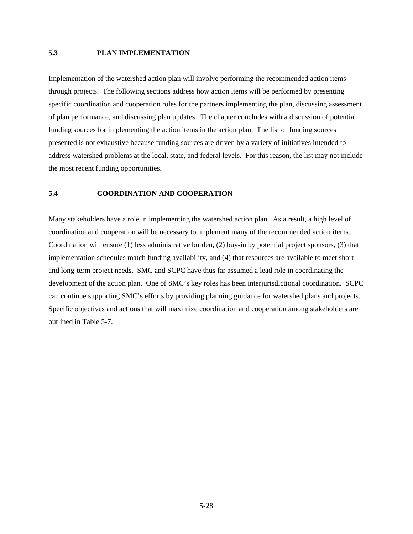#### **5.3 PLAN IMPLEMENTATION**

Implementation of the watershed action plan will involve performing the recommended action items through projects. The following sections address how action items will be performed by presenting specific coordination and cooperation roles for the partners implementing the plan, discussing assessment of plan performance, and discussing plan updates. The chapter concludes with a discussion of potential funding sources for implementing the action items in the action plan. The list of funding sources presented is not exhaustive because funding sources are driven by a variety of initiatives intended to address watershed problems at the local, state, and federal levels. For this reason, the list may not include the most recent funding opportunities.

#### **5.4 COORDINATION AND COOPERATION**

Many stakeholders have a role in implementing the watershed action plan. As a result, a high level of coordination and cooperation will be necessary to implement many of the recommended action items. Coordination will ensure (1) less administrative burden, (2) buy-in by potential project sponsors, (3) that implementation schedules match funding availability, and (4) that resources are available to meet shortand long-term project needs. SMC and SCPC have thus far assumed a lead role in coordinating the development of the action plan. One of SMC's key roles has been interjurisdictional coordination. SCPC can continue supporting SMC's efforts by providing planning guidance for watershed plans and projects. Specific objectives and actions that will maximize coordination and cooperation among stakeholders are outlined in Table 5-7.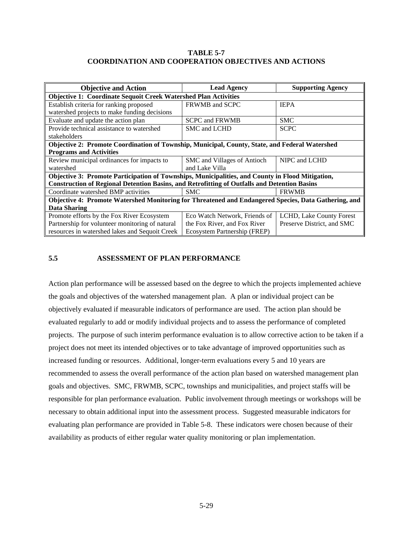#### **TABLE 5-7 COORDINATION AND COOPERATION OBJECTIVES AND ACTIONS**

| <b>Objective and Action</b>                                                                          | <b>Lead Agency</b>            | <b>Supporting Agency</b>   |
|------------------------------------------------------------------------------------------------------|-------------------------------|----------------------------|
| <b>Objective 1: Coordinate Sequoit Creek Watershed Plan Activities</b>                               |                               |                            |
| Establish criteria for ranking proposed                                                              | FRWMB and SCPC                | <b>IEPA</b>                |
| watershed projects to make funding decisions                                                         |                               |                            |
| Evaluate and update the action plan                                                                  | <b>SCPC and FRWMB</b>         | <b>SMC</b>                 |
| Provide technical assistance to watershed                                                            | SMC and LCHD                  | <b>SCPC</b>                |
| stakeholders                                                                                         |                               |                            |
| Objective 2: Promote Coordination of Township, Municipal, County, State, and Federal Watershed       |                               |                            |
| <b>Programs and Activities</b>                                                                       |                               |                            |
| Review municipal ordinances for impacts to                                                           | SMC and Villages of Antioch   | NIPC and LCHD              |
| watershed                                                                                            | and Lake Villa                |                            |
| Objective 3: Promote Participation of Townships, Municipalities, and County in Flood Mitigation,     |                               |                            |
| <b>Construction of Regional Detention Basins, and Retrofitting of Outfalls and Detention Basins</b>  |                               |                            |
| Coordinate watershed BMP activities                                                                  | <b>SMC</b>                    | <b>FRWMB</b>               |
| Objective 4: Promote Watershed Monitoring for Threatened and Endangered Species, Data Gathering, and |                               |                            |
| <b>Data Sharing</b>                                                                                  |                               |                            |
| Promote efforts by the Fox River Ecosystem                                                           | Eco Watch Network, Friends of | LCHD, Lake County Forest   |
| Partnership for volunteer monitoring of natural                                                      | the Fox River, and Fox River  | Preserve District, and SMC |
| resources in watershed lakes and Sequoit Creek                                                       | Ecosystem Partnership (FREP)  |                            |

#### **5.5 ASSESSMENT OF PLAN PERFORMANCE**

Action plan performance will be assessed based on the degree to which the projects implemented achieve the goals and objectives of the watershed management plan. A plan or individual project can be objectively evaluated if measurable indicators of performance are used. The action plan should be evaluated regularly to add or modify individual projects and to assess the performance of completed projects. The purpose of such interim performance evaluation is to allow corrective action to be taken if a project does not meet its intended objectives or to take advantage of improved opportunities such as increased funding or resources. Additional, longer-term evaluations every 5 and 10 years are recommended to assess the overall performance of the action plan based on watershed management plan goals and objectives. SMC, FRWMB, SCPC, townships and municipalities, and project staffs will be responsible for plan performance evaluation. Public involvement through meetings or workshops will be necessary to obtain additional input into the assessment process. Suggested measurable indicators for evaluating plan performance are provided in Table 5-8. These indicators were chosen because of their availability as products of either regular water quality monitoring or plan implementation.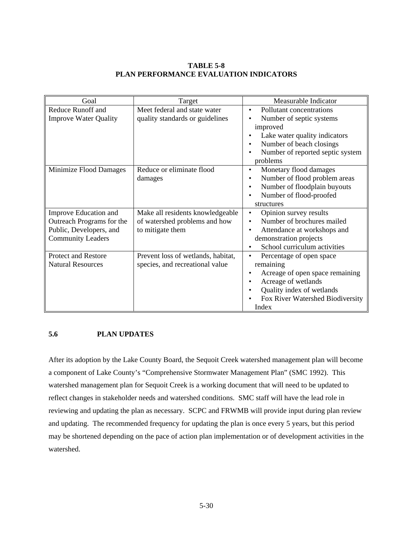#### **TABLE 5-8 PLAN PERFORMANCE EVALUATION INDICATORS**

| Goal                         | Target                             | Measurable Indicator                      |
|------------------------------|------------------------------------|-------------------------------------------|
| Reduce Runoff and            | Meet federal and state water       | Pollutant concentrations<br>$\bullet$     |
| <b>Improve Water Quality</b> | quality standards or guidelines    | Number of septic systems                  |
|                              |                                    | improved                                  |
|                              |                                    | Lake water quality indicators             |
|                              |                                    | Number of beach closings<br>٠             |
|                              |                                    | Number of reported septic system          |
|                              |                                    | problems                                  |
| Minimize Flood Damages       | Reduce or eliminate flood          | Monetary flood damages<br>$\bullet$       |
|                              | damages                            | Number of flood problem areas<br>٠        |
|                              |                                    | Number of floodplain buyouts<br>$\bullet$ |
|                              |                                    | Number of flood-proofed                   |
|                              |                                    | structures                                |
| Improve Education and        | Make all residents knowledgeable   | Opinion survey results<br>$\bullet$       |
| Outreach Programs for the    | of watershed problems and how      | Number of brochures mailed<br>$\bullet$   |
| Public, Developers, and      | to mitigate them                   | Attendance at workshops and               |
| <b>Community Leaders</b>     |                                    | demonstration projects                    |
|                              |                                    | School curriculum activities              |
| Protect and Restore          | Prevent loss of wetlands, habitat, | Percentage of open space<br>$\bullet$     |
| <b>Natural Resources</b>     | species, and recreational value    | remaining                                 |
|                              |                                    | Acreage of open space remaining<br>٠      |
|                              |                                    | Acreage of wetlands<br>$\bullet$          |
|                              |                                    | Quality index of wetlands                 |
|                              |                                    | Fox River Watershed Biodiversity          |
|                              |                                    | Index                                     |

# **5.6 PLAN UPDATES**

After its adoption by the Lake County Board, the Sequoit Creek watershed management plan will become a component of Lake County's "Comprehensive Stormwater Management Plan" (SMC 1992). This watershed management plan for Sequoit Creek is a working document that will need to be updated to reflect changes in stakeholder needs and watershed conditions. SMC staff will have the lead role in reviewing and updating the plan as necessary. SCPC and FRWMB will provide input during plan review and updating. The recommended frequency for updating the plan is once every 5 years, but this period may be shortened depending on the pace of action plan implementation or of development activities in the watershed.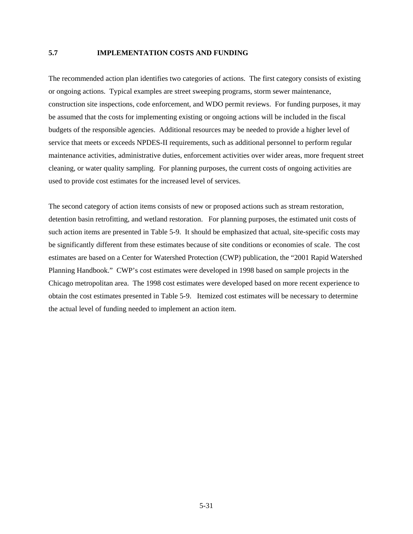#### **5.7 IMPLEMENTATION COSTS AND FUNDING**

The recommended action plan identifies two categories of actions. The first category consists of existing or ongoing actions. Typical examples are street sweeping programs, storm sewer maintenance, construction site inspections, code enforcement, and WDO permit reviews. For funding purposes, it may be assumed that the costs for implementing existing or ongoing actions will be included in the fiscal budgets of the responsible agencies. Additional resources may be needed to provide a higher level of service that meets or exceeds NPDES-II requirements, such as additional personnel to perform regular maintenance activities, administrative duties, enforcement activities over wider areas, more frequent street cleaning, or water quality sampling. For planning purposes, the current costs of ongoing activities are used to provide cost estimates for the increased level of services.

The second category of action items consists of new or proposed actions such as stream restoration, detention basin retrofitting, and wetland restoration. For planning purposes, the estimated unit costs of such action items are presented in Table 5-9. It should be emphasized that actual, site-specific costs may be significantly different from these estimates because of site conditions or economies of scale. The cost estimates are based on a Center for Watershed Protection (CWP) publication, the "2001 Rapid Watershed Planning Handbook." CWP's cost estimates were developed in 1998 based on sample projects in the Chicago metropolitan area. The 1998 cost estimates were developed based on more recent experience to obtain the cost estimates presented in Table 5-9. Itemized cost estimates will be necessary to determine the actual level of funding needed to implement an action item.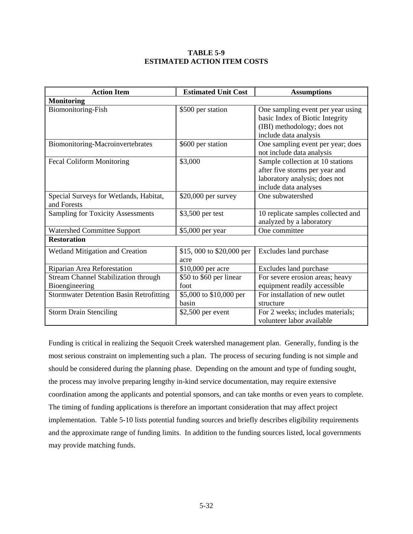#### **TABLE 5-9 ESTIMATED ACTION ITEM COSTS**

| <b>Action Item</b>                                            | <b>Estimated Unit Cost</b>       | <b>Assumptions</b>                                                                                                           |
|---------------------------------------------------------------|----------------------------------|------------------------------------------------------------------------------------------------------------------------------|
| <b>Monitoring</b>                                             |                                  |                                                                                                                              |
| Biomonitoring-Fish                                            | \$500 per station                | One sampling event per year using<br>basic Index of Biotic Integrity<br>(IBI) methodology; does not<br>include data analysis |
| Biomonitoring-Macroinvertebrates                              | \$600 per station                | One sampling event per year; does<br>not include data analysis                                                               |
| <b>Fecal Coliform Monitoring</b>                              | \$3,000                          | Sample collection at 10 stations<br>after five storms per year and<br>laboratory analysis; does not<br>include data analyses |
| Special Surveys for Wetlands, Habitat,<br>and Forests         | $$20,000$ per survey             | One subwatershed                                                                                                             |
| <b>Sampling for Toxicity Assessments</b>                      | \$3,500 per test                 | 10 replicate samples collected and<br>analyzed by a laboratory                                                               |
| <b>Watershed Committee Support</b>                            | \$5,000 per year                 | One committee                                                                                                                |
| <b>Restoration</b>                                            |                                  |                                                                                                                              |
| <b>Wetland Mitigation and Creation</b>                        | \$15,000 to \$20,000 per<br>acre | Excludes land purchase                                                                                                       |
| Riparian Area Reforestation                                   | \$10,000 per acre                | Excludes land purchase                                                                                                       |
| <b>Stream Channel Stabilization through</b><br>Bioengineering | \$50 to \$60 per linear<br>foot  | For severe erosion areas; heavy<br>equipment readily accessible                                                              |
| <b>Stormwater Detention Basin Retrofitting</b>                | \$5,000 to \$10,000 per<br>basin | For installation of new outlet<br>structure                                                                                  |
| <b>Storm Drain Stenciling</b>                                 | $$2,500$ per event               | For 2 weeks; includes materials;<br>volunteer labor available                                                                |

Funding is critical in realizing the Sequoit Creek watershed management plan. Generally, funding is the most serious constraint on implementing such a plan. The process of securing funding is not simple and should be considered during the planning phase. Depending on the amount and type of funding sought, the process may involve preparing lengthy in-kind service documentation, may require extensive coordination among the applicants and potential sponsors, and can take months or even years to complete. The timing of funding applications is therefore an important consideration that may affect project implementation. Table 5-10 lists potential funding sources and briefly describes eligibility requirements and the approximate range of funding limits. In addition to the funding sources listed, local governments may provide matching funds.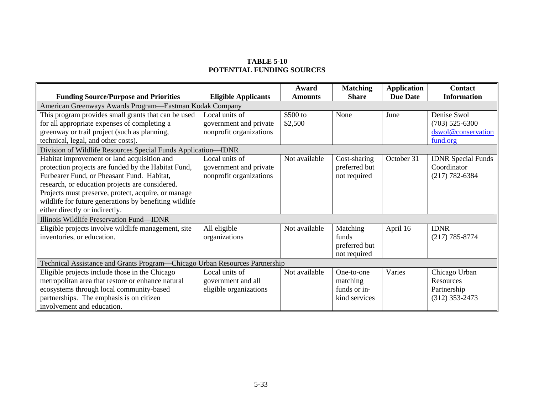#### **TABLE 5-10 POTENTIAL FUNDING SOURCES**

|                                                                             |                            | Award          | <b>Matching</b> | <b>Application</b> | <b>Contact</b>            |  |
|-----------------------------------------------------------------------------|----------------------------|----------------|-----------------|--------------------|---------------------------|--|
| <b>Funding Source/Purpose and Priorities</b>                                | <b>Eligible Applicants</b> | <b>Amounts</b> | <b>Share</b>    | <b>Due Date</b>    | <b>Information</b>        |  |
| American Greenways Awards Program—Eastman Kodak Company                     |                            |                |                 |                    |                           |  |
| This program provides small grants that can be used                         | Local units of             | \$500 to       | None            | June               | Denise Swol               |  |
| for all appropriate expenses of completing a                                | government and private     | \$2,500        |                 |                    | $(703)$ 525-6300          |  |
| greenway or trail project (such as planning,                                | nonprofit organizations    |                |                 |                    | dswol@conservation        |  |
| technical, legal, and other costs).                                         |                            |                |                 |                    | fund.org                  |  |
| Division of Wildlife Resources Special Funds Application-IDNR               |                            |                |                 |                    |                           |  |
| Habitat improvement or land acquisition and                                 | Local units of             | Not available  | Cost-sharing    | October 31         | <b>IDNR</b> Special Funds |  |
| protection projects are funded by the Habitat Fund,                         | government and private     |                | preferred but   |                    | Coordinator               |  |
| Furbearer Fund, or Pheasant Fund. Habitat,                                  | nonprofit organizations    |                | not required    |                    | $(217) 782 - 6384$        |  |
| research, or education projects are considered.                             |                            |                |                 |                    |                           |  |
| Projects must preserve, protect, acquire, or manage                         |                            |                |                 |                    |                           |  |
| wildlife for future generations by benefiting wildlife                      |                            |                |                 |                    |                           |  |
| either directly or indirectly.                                              |                            |                |                 |                    |                           |  |
| Illinois Wildlife Preservation Fund-IDNR                                    |                            |                |                 |                    |                           |  |
| Eligible projects involve wildlife management, site                         | All eligible               | Not available  | Matching        | April 16           | <b>IDNR</b>               |  |
| inventories, or education.                                                  | organizations              |                | funds           |                    | $(217) 785 - 8774$        |  |
|                                                                             |                            |                | preferred but   |                    |                           |  |
|                                                                             |                            |                | not required    |                    |                           |  |
| Technical Assistance and Grants Program-Chicago Urban Resources Partnership |                            |                |                 |                    |                           |  |
| Eligible projects include those in the Chicago                              | Local units of             | Not available  | One-to-one      | Varies             | Chicago Urban             |  |
| metropolitan area that restore or enhance natural                           | government and all         |                | matching        |                    | Resources                 |  |
| ecosystems through local community-based                                    | eligible organizations     |                | funds or in-    |                    | Partnership               |  |
| partnerships. The emphasis is on citizen                                    |                            |                | kind services   |                    | $(312)$ 353-2473          |  |
| involvement and education.                                                  |                            |                |                 |                    |                           |  |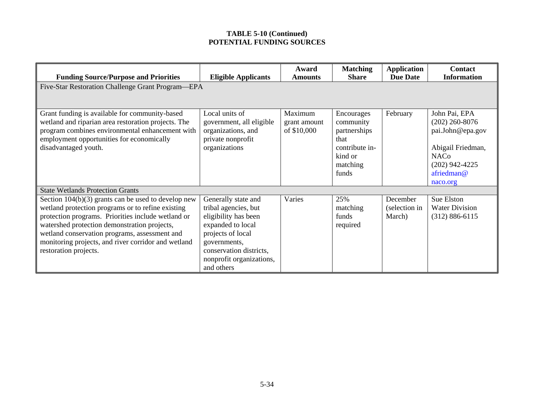| <b>Funding Source/Purpose and Priorities</b>                                                                                                                                                                                  | <b>Eligible Applicants</b>                                                                             | Award<br><b>Amounts</b>                | <b>Matching</b><br><b>Share</b>                                                                   | <b>Application</b><br><b>Due Date</b> | <b>Contact</b><br><b>Information</b>                                                                                        |  |
|-------------------------------------------------------------------------------------------------------------------------------------------------------------------------------------------------------------------------------|--------------------------------------------------------------------------------------------------------|----------------------------------------|---------------------------------------------------------------------------------------------------|---------------------------------------|-----------------------------------------------------------------------------------------------------------------------------|--|
| Five-Star Restoration Challenge Grant Program—EPA                                                                                                                                                                             |                                                                                                        |                                        |                                                                                                   |                                       |                                                                                                                             |  |
|                                                                                                                                                                                                                               |                                                                                                        |                                        |                                                                                                   |                                       |                                                                                                                             |  |
|                                                                                                                                                                                                                               |                                                                                                        |                                        |                                                                                                   |                                       |                                                                                                                             |  |
| Grant funding is available for community-based<br>wetland and riparian area restoration projects. The<br>program combines environmental enhancement with<br>employment opportunities for economically<br>disadvantaged youth. | Local units of<br>government, all eligible<br>organizations, and<br>private nonprofit<br>organizations | Maximum<br>grant amount<br>of \$10,000 | Encourages<br>community<br>partnerships<br>that<br>contribute in-<br>kind or<br>matching<br>funds | February                              | John Pai, EPA<br>$(202)$ 260-8076<br>pai.John@epa.gov<br>Abigail Friedman,<br><b>NACo</b><br>$(202)$ 942-4225<br>afriedman@ |  |
|                                                                                                                                                                                                                               |                                                                                                        |                                        |                                                                                                   |                                       | naco.org                                                                                                                    |  |
| <b>State Wetlands Protection Grants</b>                                                                                                                                                                                       |                                                                                                        |                                        |                                                                                                   |                                       |                                                                                                                             |  |
| Section $104(b)(3)$ grants can be used to develop new<br>wetland protection programs or to refine existing<br>protection programs. Priorities include wetland or<br>watershed protection demonstration projects,              | Generally state and<br>tribal agencies, but<br>eligibility has been<br>expanded to local               | Varies                                 | 25%<br>matching<br>funds<br>required                                                              | December<br>(selection in<br>March)   | Sue Elston<br><b>Water Division</b><br>$(312) 886 - 6115$                                                                   |  |
| wetland conservation programs, assessment and<br>monitoring projects, and river corridor and wetland<br>restoration projects.                                                                                                 | projects of local<br>governments,<br>conservation districts,<br>nonprofit organizations,<br>and others |                                        |                                                                                                   |                                       |                                                                                                                             |  |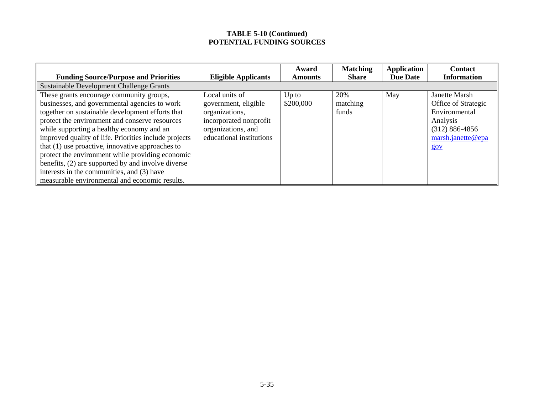|                                                       |                            | Award          | <b>Matching</b> | <b>Application</b> | <b>Contact</b>      |
|-------------------------------------------------------|----------------------------|----------------|-----------------|--------------------|---------------------|
| <b>Funding Source/Purpose and Priorities</b>          | <b>Eligible Applicants</b> | <b>Amounts</b> | <b>Share</b>    | <b>Due Date</b>    | <b>Information</b>  |
| Sustainable Development Challenge Grants              |                            |                |                 |                    |                     |
| These grants encourage community groups,              | Local units of             | $Up$ to        | 20%             | May                | Janette Marsh       |
| businesses, and governmental agencies to work         | government, eligible       | \$200,000      | matching        |                    | Office of Strategic |
| together on sustainable development efforts that      | organizations,             |                | funds           |                    | Environmental       |
| protect the environment and conserve resources        | incorporated nonprofit     |                |                 |                    | Analysis            |
| while supporting a healthy economy and an             | organizations, and         |                |                 |                    | $(312) 886 - 4856$  |
| improved quality of life. Priorities include projects | educational institutions   |                |                 |                    | marsh.janette@epa   |
| that $(1)$ use proactive, innovative approaches to    |                            |                |                 |                    | gov                 |
| protect the environment while providing economic      |                            |                |                 |                    |                     |
| benefits, (2) are supported by and involve diverse    |                            |                |                 |                    |                     |
| interests in the communities, and (3) have            |                            |                |                 |                    |                     |
| measurable environmental and economic results.        |                            |                |                 |                    |                     |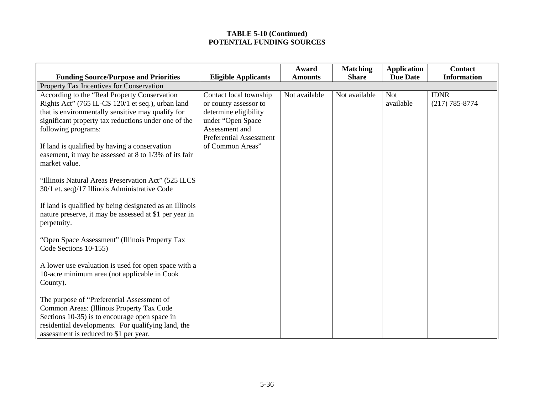| <b>Funding Source/Purpose and Priorities</b>                                                                                                                                                                                                                                                                                                                     | <b>Eligible Applicants</b>                                                                                                                                            | Award<br><b>Amounts</b> | <b>Matching</b><br><b>Share</b> | <b>Application</b><br><b>Due Date</b> | <b>Contact</b><br><b>Information</b> |
|------------------------------------------------------------------------------------------------------------------------------------------------------------------------------------------------------------------------------------------------------------------------------------------------------------------------------------------------------------------|-----------------------------------------------------------------------------------------------------------------------------------------------------------------------|-------------------------|---------------------------------|---------------------------------------|--------------------------------------|
| Property Tax Incentives for Conservation                                                                                                                                                                                                                                                                                                                         |                                                                                                                                                                       |                         |                                 |                                       |                                      |
| According to the "Real Property Conservation<br>Rights Act" (765 IL-CS 120/1 et seq.), urban land<br>that is environmentally sensitive may qualify for<br>significant property tax reductions under one of the<br>following programs:<br>If land is qualified by having a conservation<br>easement, it may be assessed at 8 to 1/3% of its fair<br>market value. | Contact local township<br>or county assessor to<br>determine eligibility<br>under "Open Space<br>Assessment and<br><b>Preferential Assessment</b><br>of Common Areas" | Not available           | Not available                   | <b>Not</b><br>available               | <b>IDNR</b><br>$(217) 785 - 8774$    |
| "Illinois Natural Areas Preservation Act" (525 ILCS)<br>30/1 et. seq)/17 Illinois Administrative Code                                                                                                                                                                                                                                                            |                                                                                                                                                                       |                         |                                 |                                       |                                      |
| If land is qualified by being designated as an Illinois<br>nature preserve, it may be assessed at \$1 per year in<br>perpetuity.                                                                                                                                                                                                                                 |                                                                                                                                                                       |                         |                                 |                                       |                                      |
| "Open Space Assessment" (Illinois Property Tax<br>Code Sections 10-155)                                                                                                                                                                                                                                                                                          |                                                                                                                                                                       |                         |                                 |                                       |                                      |
| A lower use evaluation is used for open space with a<br>10-acre minimum area (not applicable in Cook<br>County).                                                                                                                                                                                                                                                 |                                                                                                                                                                       |                         |                                 |                                       |                                      |
| The purpose of "Preferential Assessment of<br>Common Areas: (Illinois Property Tax Code<br>Sections 10-35) is to encourage open space in<br>residential developments. For qualifying land, the<br>assessment is reduced to \$1 per year.                                                                                                                         |                                                                                                                                                                       |                         |                                 |                                       |                                      |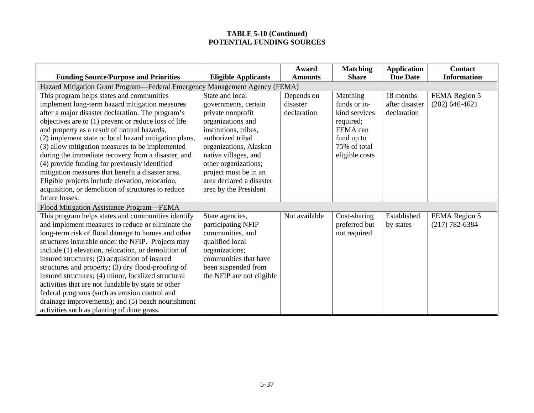|                                                                            |                            | Award          | <b>Matching</b> | <b>Application</b> | <b>Contact</b>     |
|----------------------------------------------------------------------------|----------------------------|----------------|-----------------|--------------------|--------------------|
| <b>Funding Source/Purpose and Priorities</b>                               | <b>Eligible Applicants</b> | <b>Amounts</b> | <b>Share</b>    | <b>Due Date</b>    | <b>Information</b> |
| Hazard Mitigation Grant Program—Federal Emergency Management Agency (FEMA) |                            |                |                 |                    |                    |
| This program helps states and communities                                  | State and local            | Depends on     | Matching        | 18 months          | FEMA Region 5      |
| implement long-term hazard mitigation measures                             | governments, certain       | disaster       | funds or in-    | after disaster     | $(202)$ 646-4621   |
| after a major disaster declaration. The program's                          | private nonprofit          | declaration    | kind services   | declaration        |                    |
| objectives are to $(1)$ prevent or reduce loss of life                     | organizations and          |                | required;       |                    |                    |
| and property as a result of natural hazards,                               | institutions, tribes,      |                | FEMA can        |                    |                    |
| (2) implement state or local hazard mitigation plans,                      | authorized tribal          |                | fund up to      |                    |                    |
| (3) allow mitigation measures to be implemented                            | organizations, Alaskan     |                | 75% of total    |                    |                    |
| during the immediate recovery from a disaster, and                         | native villages, and       |                | eligible costs  |                    |                    |
| (4) provide funding for previously identified                              | other organizations;       |                |                 |                    |                    |
| mitigation measures that benefit a disaster area.                          | project must be in an      |                |                 |                    |                    |
| Eligible projects include elevation, relocation,                           | area declared a disaster   |                |                 |                    |                    |
| acquisition, or demolition of structures to reduce                         | area by the President      |                |                 |                    |                    |
| future losses.                                                             |                            |                |                 |                    |                    |
| Flood Mitigation Assistance Program-FEMA                                   |                            |                |                 |                    |                    |
| This program helps states and communities identify                         | State agencies,            | Not available  | Cost-sharing    | Established        | FEMA Region 5      |
| and implement measures to reduce or eliminate the                          | participating NFIP         |                | preferred but   | by states          | $(217) 782 - 6384$ |
| long-term risk of flood damage to homes and other                          | communities, and           |                | not required    |                    |                    |
| structures insurable under the NFIP. Projects may                          | qualified local            |                |                 |                    |                    |
| include (1) elevation, relocation, or demolition of                        | organizations;             |                |                 |                    |                    |
| insured structures; (2) acquisition of insured                             | communities that have      |                |                 |                    |                    |
| structures and property; (3) dry flood-proofing of                         | been suspended from        |                |                 |                    |                    |
| insured structures; (4) minor, localized structural                        | the NFIP are not eligible  |                |                 |                    |                    |
| activities that are not fundable by state or other                         |                            |                |                 |                    |                    |
| federal programs (such as erosion control and                              |                            |                |                 |                    |                    |
| drainage improvements); and (5) beach nourishment                          |                            |                |                 |                    |                    |
| activities such as planting of dune grass.                                 |                            |                |                 |                    |                    |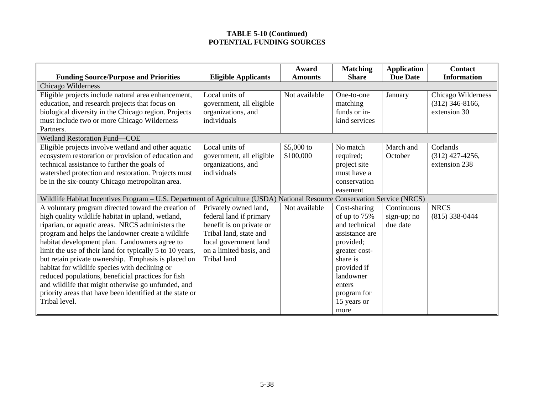|                                                                                                                           |                            | Award          | <b>Matching</b> | <b>Application</b> | <b>Contact</b>     |
|---------------------------------------------------------------------------------------------------------------------------|----------------------------|----------------|-----------------|--------------------|--------------------|
| <b>Funding Source/Purpose and Priorities</b>                                                                              | <b>Eligible Applicants</b> | <b>Amounts</b> | <b>Share</b>    | <b>Due Date</b>    | <b>Information</b> |
| Chicago Wilderness                                                                                                        |                            |                |                 |                    |                    |
| Eligible projects include natural area enhancement,                                                                       | Local units of             | Not available  | One-to-one      | January            | Chicago Wilderness |
| education, and research projects that focus on                                                                            | government, all eligible   |                | matching        |                    | $(312)$ 346-8166,  |
| biological diversity in the Chicago region. Projects                                                                      | organizations, and         |                | funds or in-    |                    | extension 30       |
| must include two or more Chicago Wilderness                                                                               | individuals                |                | kind services   |                    |                    |
| Partners.                                                                                                                 |                            |                |                 |                    |                    |
| Wetland Restoration Fund-COE                                                                                              |                            |                |                 |                    |                    |
| Eligible projects involve wetland and other aquatic                                                                       | Local units of             | \$5,000 to     | No match        | March and          | Corlands           |
| ecosystem restoration or provision of education and                                                                       | government, all eligible   | \$100,000      | required;       | October            | $(312)$ 427-4256,  |
| technical assistance to further the goals of                                                                              | organizations, and         |                | project site    |                    | extension 238      |
| watershed protection and restoration. Projects must                                                                       | individuals                |                | must have a     |                    |                    |
| be in the six-county Chicago metropolitan area.                                                                           |                            |                | conservation    |                    |                    |
|                                                                                                                           |                            |                | easement        |                    |                    |
| Wildlife Habitat Incentives Program - U.S. Department of Agriculture (USDA) National Resource Conservation Service (NRCS) |                            |                |                 |                    |                    |
| A voluntary program directed toward the creation of                                                                       | Privately owned land,      | Not available  | Cost-sharing    | Continuous         | <b>NRCS</b>        |
| high quality wildlife habitat in upland, wetland,                                                                         | federal land if primary    |                | of up to 75%    | sign-up; no        | $(815)$ 338-0444   |
| riparian, or aquatic areas. NRCS administers the                                                                          | benefit is on private or   |                | and technical   | due date           |                    |
| program and helps the landowner create a wildlife                                                                         | Tribal land, state and     |                | assistance are  |                    |                    |
| habitat development plan. Landowners agree to                                                                             | local government land      |                | provided;       |                    |                    |
| limit the use of their land for typically 5 to 10 years,                                                                  | on a limited basis, and    |                | greater cost-   |                    |                    |
| but retain private ownership. Emphasis is placed on                                                                       | Tribal land                |                | share is        |                    |                    |
| habitat for wildlife species with declining or                                                                            |                            |                | provided if     |                    |                    |
| reduced populations, beneficial practices for fish                                                                        |                            |                | landowner       |                    |                    |
| and wildlife that might otherwise go unfunded, and                                                                        |                            |                | enters          |                    |                    |
| priority areas that have been identified at the state or                                                                  |                            |                | program for     |                    |                    |
| Tribal level.                                                                                                             |                            |                | 15 years or     |                    |                    |
|                                                                                                                           |                            |                | more            |                    |                    |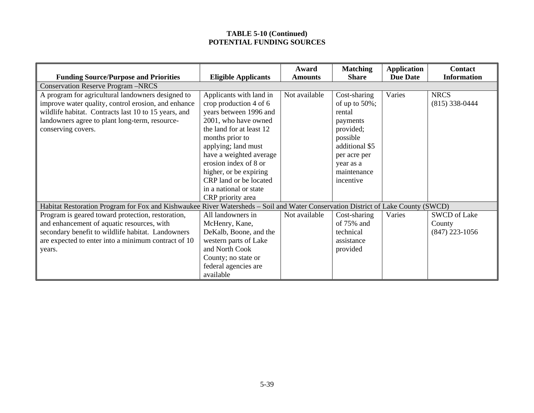|                                                                                                                                  |                            | Award          | <b>Matching</b>   | <b>Application</b> | <b>Contact</b>      |  |  |
|----------------------------------------------------------------------------------------------------------------------------------|----------------------------|----------------|-------------------|--------------------|---------------------|--|--|
| <b>Funding Source/Purpose and Priorities</b>                                                                                     | <b>Eligible Applicants</b> | <b>Amounts</b> | <b>Share</b>      | <b>Due Date</b>    | <b>Information</b>  |  |  |
| <b>Conservation Reserve Program-NRCS</b>                                                                                         |                            |                |                   |                    |                     |  |  |
| A program for agricultural landowners designed to                                                                                | Applicants with land in    | Not available  | Cost-sharing      | Varies             | <b>NRCS</b>         |  |  |
| improve water quality, control erosion, and enhance                                                                              | crop production 4 of 6     |                | of up to $50\%$ ; |                    | $(815)$ 338-0444    |  |  |
| wildlife habitat. Contracts last 10 to 15 years, and                                                                             | years between 1996 and     |                | rental            |                    |                     |  |  |
| landowners agree to plant long-term, resource-                                                                                   | 2001, who have owned       |                | payments          |                    |                     |  |  |
| conserving covers.                                                                                                               | the land for at least 12   |                | provided;         |                    |                     |  |  |
|                                                                                                                                  | months prior to            |                | possible          |                    |                     |  |  |
|                                                                                                                                  | applying; land must        |                | additional \$5    |                    |                     |  |  |
|                                                                                                                                  | have a weighted average    |                | per acre per      |                    |                     |  |  |
|                                                                                                                                  | erosion index of 8 or      |                | year as a         |                    |                     |  |  |
|                                                                                                                                  | higher, or be expiring     |                | maintenance       |                    |                     |  |  |
|                                                                                                                                  | CRP land or be located     |                | incentive         |                    |                     |  |  |
|                                                                                                                                  | in a national or state     |                |                   |                    |                     |  |  |
|                                                                                                                                  | CRP priority area          |                |                   |                    |                     |  |  |
| Habitat Restoration Program for Fox and Kishwaukee River Watersheds – Soil and Water Conservation District of Lake County (SWCD) |                            |                |                   |                    |                     |  |  |
| Program is geared toward protection, restoration,                                                                                | All landowners in          | Not available  | Cost-sharing      | Varies             | <b>SWCD</b> of Lake |  |  |
| and enhancement of aquatic resources, with                                                                                       | McHenry, Kane,             |                | of $75%$ and      |                    | County              |  |  |
| secondary benefit to wildlife habitat. Landowners                                                                                | DeKalb, Boone, and the     |                | technical         |                    | $(847)$ 223-1056    |  |  |
| are expected to enter into a minimum contract of 10                                                                              | western parts of Lake      |                | assistance        |                    |                     |  |  |
| years.                                                                                                                           | and North Cook             |                | provided          |                    |                     |  |  |
|                                                                                                                                  | County; no state or        |                |                   |                    |                     |  |  |
|                                                                                                                                  | federal agencies are       |                |                   |                    |                     |  |  |
|                                                                                                                                  | available                  |                |                   |                    |                     |  |  |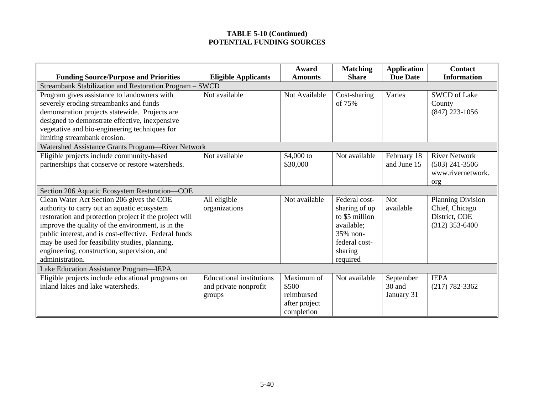|                                                        |                                                         | Award          | <b>Matching</b> | <b>Application</b> | <b>Contact</b>           |  |  |  |
|--------------------------------------------------------|---------------------------------------------------------|----------------|-----------------|--------------------|--------------------------|--|--|--|
| <b>Funding Source/Purpose and Priorities</b>           | <b>Eligible Applicants</b>                              | <b>Amounts</b> | <b>Share</b>    | <b>Due Date</b>    | <b>Information</b>       |  |  |  |
|                                                        | Streambank Stabilization and Restoration Program - SWCD |                |                 |                    |                          |  |  |  |
| Program gives assistance to landowners with            | Not available                                           | Not Available  | Cost-sharing    | Varies             | <b>SWCD</b> of Lake      |  |  |  |
| severely eroding streambanks and funds                 |                                                         |                | of 75%          |                    | County                   |  |  |  |
| demonstration projects statewide. Projects are         |                                                         |                |                 |                    | $(847)$ 223-1056         |  |  |  |
| designed to demonstrate effective, inexpensive         |                                                         |                |                 |                    |                          |  |  |  |
| vegetative and bio-engineering techniques for          |                                                         |                |                 |                    |                          |  |  |  |
| limiting streambank erosion.                           |                                                         |                |                 |                    |                          |  |  |  |
| Watershed Assistance Grants Program-River Network      |                                                         |                |                 |                    |                          |  |  |  |
| Eligible projects include community-based              | Not available                                           | \$4,000 to     | Not available   | February 18        | <b>River Network</b>     |  |  |  |
| partnerships that conserve or restore watersheds.      |                                                         | \$30,000       |                 | and June 15        | $(503)$ 241-3506         |  |  |  |
|                                                        |                                                         |                |                 |                    | www.rivernetwork.        |  |  |  |
|                                                        |                                                         |                |                 |                    | org                      |  |  |  |
| Section 206 Aquatic Ecosystem Restoration-COE          |                                                         |                |                 |                    |                          |  |  |  |
| Clean Water Act Section 206 gives the COE              | All eligible                                            | Not available  | Federal cost-   | <b>Not</b>         | <b>Planning Division</b> |  |  |  |
| authority to carry out an aquatic ecosystem            | organizations                                           |                | sharing of up   | available          | Chief, Chicago           |  |  |  |
| restoration and protection project if the project will |                                                         |                | to \$5 million  |                    | District, COE            |  |  |  |
| improve the quality of the environment, is in the      |                                                         |                | available;      |                    | $(312)$ 353-6400         |  |  |  |
| public interest, and is cost-effective. Federal funds  |                                                         |                | 35% non-        |                    |                          |  |  |  |
| may be used for feasibility studies, planning,         |                                                         |                | federal cost-   |                    |                          |  |  |  |
| engineering, construction, supervision, and            |                                                         |                | sharing         |                    |                          |  |  |  |
| administration.                                        |                                                         |                | required        |                    |                          |  |  |  |
| Lake Education Assistance Program-IEPA                 |                                                         |                |                 |                    |                          |  |  |  |
| Eligible projects include educational programs on      | <b>Educational institutions</b>                         | Maximum of     | Not available   | September          | <b>IEPA</b>              |  |  |  |
| inland lakes and lake watersheds.                      | and private nonprofit                                   | \$500          |                 | 30 and             | $(217) 782 - 3362$       |  |  |  |
|                                                        | groups                                                  | reimbursed     |                 | January 31         |                          |  |  |  |
|                                                        |                                                         | after project  |                 |                    |                          |  |  |  |
|                                                        |                                                         | completion     |                 |                    |                          |  |  |  |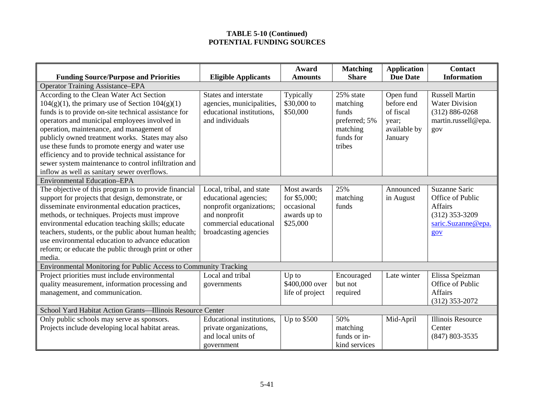|                                                                  |                            | Award           | <b>Matching</b> | <b>Application</b> | <b>Contact</b>           |  |  |  |
|------------------------------------------------------------------|----------------------------|-----------------|-----------------|--------------------|--------------------------|--|--|--|
| <b>Funding Source/Purpose and Priorities</b>                     | <b>Eligible Applicants</b> | <b>Amounts</b>  | <b>Share</b>    | <b>Due Date</b>    | <b>Information</b>       |  |  |  |
| <b>Operator Training Assistance-EPA</b>                          |                            |                 |                 |                    |                          |  |  |  |
| According to the Clean Water Act Section                         | States and interstate      | Typically       | 25% state       | Open fund          | <b>Russell Martin</b>    |  |  |  |
| $104(g)(1)$ , the primary use of Section $104(g)(1)$             | agencies, municipalities,  | \$30,000 to     | matching        | before end         | <b>Water Division</b>    |  |  |  |
| funds is to provide on-site technical assistance for             | educational institutions,  | \$50,000        | funds           | of fiscal          | $(312) 886 - 0268$       |  |  |  |
| operators and municipal employees involved in                    | and individuals            |                 | preferred; 5%   | year;              | martin.russell@epa.      |  |  |  |
| operation, maintenance, and management of                        |                            |                 | matching        | available by       | gov                      |  |  |  |
| publicly owned treatment works. States may also                  |                            |                 | funds for       | January            |                          |  |  |  |
| use these funds to promote energy and water use                  |                            |                 | tribes          |                    |                          |  |  |  |
| efficiency and to provide technical assistance for               |                            |                 |                 |                    |                          |  |  |  |
| sewer system maintenance to control infiltration and             |                            |                 |                 |                    |                          |  |  |  |
| inflow as well as sanitary sewer overflows.                      |                            |                 |                 |                    |                          |  |  |  |
| <b>Environmental Education-EPA</b>                               |                            |                 |                 |                    |                          |  |  |  |
| The objective of this program is to provide financial            | Local, tribal, and state   | Most awards     | 25%             | Announced          | Suzanne Saric            |  |  |  |
| support for projects that design, demonstrate, or                | educational agencies;      | for $$5,000$ ;  | matching        | in August          | Office of Public         |  |  |  |
| disseminate environmental education practices,                   | nonprofit organizations;   | occasional      | funds           |                    | Affairs                  |  |  |  |
| methods, or techniques. Projects must improve                    | and nonprofit              | awards up to    |                 |                    | $(312)$ 353-3209         |  |  |  |
| environmental education teaching skills; educate                 | commercial educational     | \$25,000        |                 |                    | saric.Suzanne@epa.       |  |  |  |
| teachers, students, or the public about human health;            | broadcasting agencies      |                 |                 |                    | $g$ ov                   |  |  |  |
| use environmental education to advance education                 |                            |                 |                 |                    |                          |  |  |  |
| reform; or educate the public through print or other             |                            |                 |                 |                    |                          |  |  |  |
| media.                                                           |                            |                 |                 |                    |                          |  |  |  |
| Environmental Monitoring for Public Access to Community Tracking |                            |                 |                 |                    |                          |  |  |  |
| Project priorities must include environmental                    | Local and tribal           | Up to           | Encouraged      | Late winter        | Elissa Speizman          |  |  |  |
| quality measurement, information processing and                  | governments                | \$400,000 over  | but not         |                    | Office of Public         |  |  |  |
| management, and communication.                                   |                            | life of project | required        |                    | Affairs                  |  |  |  |
|                                                                  |                            |                 |                 |                    | $(312)$ 353-2072         |  |  |  |
| School Yard Habitat Action Grants-Illinois Resource Center       |                            |                 |                 |                    |                          |  |  |  |
| Only public schools may serve as sponsors.                       | Educational institutions,  | Up to \$500     | 50%             | Mid-April          | <b>Illinois Resource</b> |  |  |  |
| Projects include developing local habitat areas.                 | private organizations,     |                 | matching        |                    | Center                   |  |  |  |
|                                                                  | and local units of         |                 | funds or in-    |                    | $(847) 803 - 3535$       |  |  |  |
|                                                                  | government                 |                 | kind services   |                    |                          |  |  |  |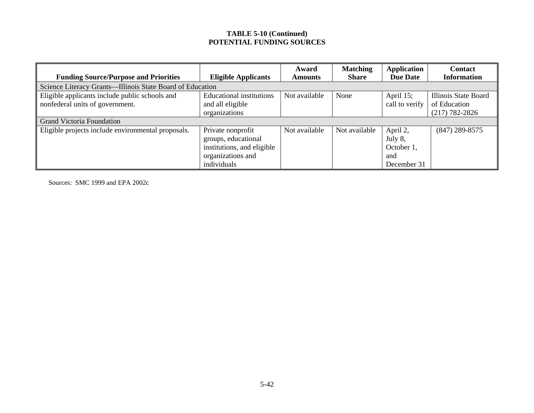|                                                           |                                 | Award          | <b>Matching</b> | Application     | Contact              |  |  |  |
|-----------------------------------------------------------|---------------------------------|----------------|-----------------|-----------------|----------------------|--|--|--|
| <b>Funding Source/Purpose and Priorities</b>              | <b>Eligible Applicants</b>      | <b>Amounts</b> | <b>Share</b>    | <b>Due Date</b> | <b>Information</b>   |  |  |  |
| Science Literacy Grants—Illinois State Board of Education |                                 |                |                 |                 |                      |  |  |  |
| Eligible applicants include public schools and            | <b>Educational institutions</b> | Not available  | None            | April 15;       | Illinois State Board |  |  |  |
| nonfederal units of government.                           | and all eligible                |                |                 | call to verify  | of Education         |  |  |  |
|                                                           | organizations                   |                |                 |                 | $(217) 782 - 2826$   |  |  |  |
| <b>Grand Victoria Foundation</b>                          |                                 |                |                 |                 |                      |  |  |  |
| Eligible projects include environmental proposals.        | Private nonprofit               | Not available  | Not available   | April 2,        | $(847)$ 289-8575     |  |  |  |
|                                                           | groups, educational             |                |                 | July 8,         |                      |  |  |  |
|                                                           | institutions, and eligible      |                |                 | October 1,      |                      |  |  |  |
|                                                           | organizations and               |                |                 | and             |                      |  |  |  |
|                                                           | individuals                     |                |                 | December 31     |                      |  |  |  |

Sources: SMC 1999 and EPA 2002c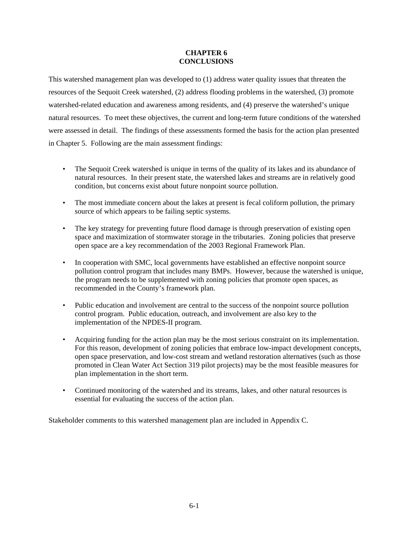#### **CHAPTER 6 CONCLUSIONS**

This watershed management plan was developed to (1) address water quality issues that threaten the resources of the Sequoit Creek watershed, (2) address flooding problems in the watershed, (3) promote watershed-related education and awareness among residents, and (4) preserve the watershed's unique natural resources. To meet these objectives, the current and long-term future conditions of the watershed were assessed in detail. The findings of these assessments formed the basis for the action plan presented in Chapter 5. Following are the main assessment findings:

- The Sequoit Creek watershed is unique in terms of the quality of its lakes and its abundance of natural resources. In their present state, the watershed lakes and streams are in relatively good condition, but concerns exist about future nonpoint source pollution.
- The most immediate concern about the lakes at present is fecal coliform pollution, the primary source of which appears to be failing septic systems.
- The key strategy for preventing future flood damage is through preservation of existing open space and maximization of stormwater storage in the tributaries. Zoning policies that preserve open space are a key recommendation of the 2003 Regional Framework Plan.
- In cooperation with SMC, local governments have established an effective nonpoint source pollution control program that includes many BMPs. However, because the watershed is unique, the program needs to be supplemented with zoning policies that promote open spaces, as recommended in the County's framework plan.
- Public education and involvement are central to the success of the nonpoint source pollution control program. Public education, outreach, and involvement are also key to the implementation of the NPDES-II program.
- Acquiring funding for the action plan may be the most serious constraint on its implementation. For this reason, development of zoning policies that embrace low-impact development concepts, open space preservation, and low-cost stream and wetland restoration alternatives (such as those promoted in Clean Water Act Section 319 pilot projects) may be the most feasible measures for plan implementation in the short term.
- Continued monitoring of the watershed and its streams, lakes, and other natural resources is essential for evaluating the success of the action plan.

Stakeholder comments to this watershed management plan are included in Appendix C.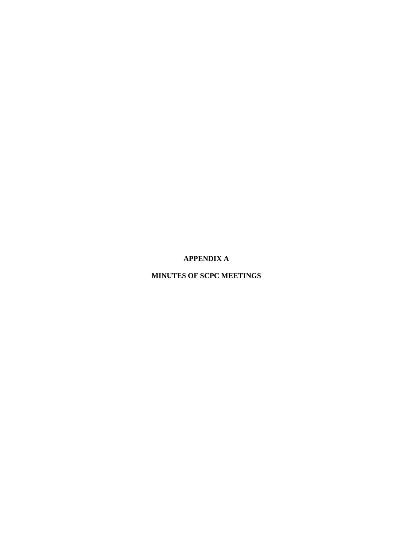**APPENDIX A** 

**MINUTES OF SCPC MEETINGS**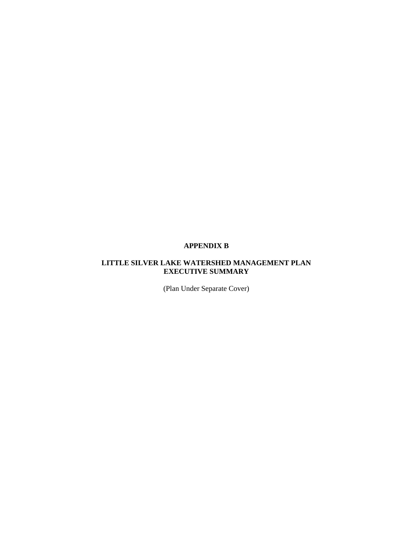# **APPENDIX B**

#### **LITTLE SILVER LAKE WATERSHED MANAGEMENT PLAN EXECUTIVE SUMMARY**

(Plan Under Separate Cover)